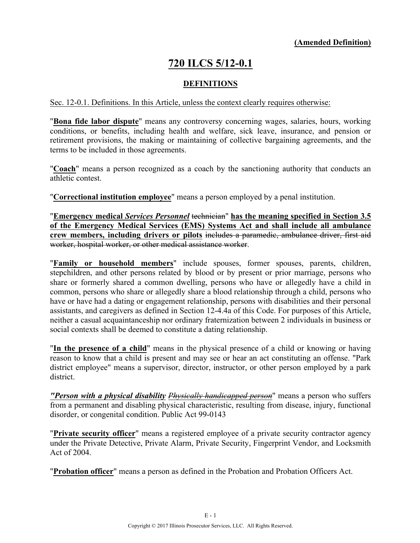# **720 ILCS 5/12-0.1**

#### **DEFINITIONS**

#### Sec. 12-0.1. Definitions. In this Article, unless the context clearly requires otherwise:

"**Bona fide labor dispute**" means any controversy concerning wages, salaries, hours, working conditions, or benefits, including health and welfare, sick leave, insurance, and pension or retirement provisions, the making or maintaining of collective bargaining agreements, and the terms to be included in those agreements.

"**Coach**" means a person recognized as a coach by the sanctioning authority that conducts an athletic contest.

"**Correctional institution employee**" means a person employed by a penal institution.

"**Emergency medical** *Services Personnel* technician" **has the meaning specified in Section 3.5 of the Emergency Medical Services (EMS) Systems Act and shall include all ambulance crew members, including drivers or pilots** includes a paramedic, ambulance driver, first aid worker, hospital worker, or other medical assistance worker.

"**Family or household members**" include spouses, former spouses, parents, children, stepchildren, and other persons related by blood or by present or prior marriage, persons who share or formerly shared a common dwelling, persons who have or allegedly have a child in common, persons who share or allegedly share a blood relationship through a child, persons who have or have had a dating or engagement relationship, persons with disabilities and their personal assistants, and caregivers as defined in Section 12-4.4a of this Code. For purposes of this Article, neither a casual acquaintanceship nor ordinary fraternization between 2 individuals in business or social contexts shall be deemed to constitute a dating relationship.

"**In the presence of a child**" means in the physical presence of a child or knowing or having reason to know that a child is present and may see or hear an act constituting an offense. "Park district employee" means a supervisor, director, instructor, or other person employed by a park district.

*"Person with a physical disability Physically handicapped person*" means a person who suffers from a permanent and disabling physical characteristic, resulting from disease, injury, functional disorder, or congenital condition. Public Act 99-0143

"**Private security officer**" means a registered employee of a private security contractor agency under the Private Detective, Private Alarm, Private Security, Fingerprint Vendor, and Locksmith Act of 2004.

"**Probation officer**" means a person as defined in the Probation and Probation Officers Act.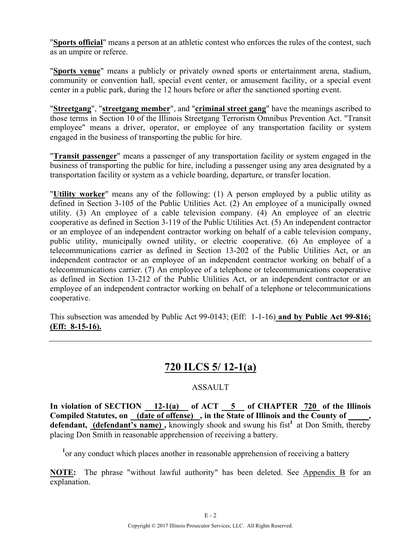"**Sports official**" means a person at an athletic contest who enforces the rules of the contest, such as an umpire or referee.

"**Sports venue**" means a publicly or privately owned sports or entertainment arena, stadium, community or convention hall, special event center, or amusement facility, or a special event center in a public park, during the 12 hours before or after the sanctioned sporting event.

"**Streetgang**", "**streetgang member**", and "**criminal street gang**" have the meanings ascribed to those terms in Section 10 of the Illinois Streetgang Terrorism Omnibus Prevention Act. "Transit employee" means a driver, operator, or employee of any transportation facility or system engaged in the business of transporting the public for hire.

"**Transit passenger**" means a passenger of any transportation facility or system engaged in the business of transporting the public for hire, including a passenger using any area designated by a transportation facility or system as a vehicle boarding, departure, or transfer location.

"**Utility worker**" means any of the following: (1) A person employed by a public utility as defined in Section 3-105 of the Public Utilities Act. (2) An employee of a municipally owned utility. (3) An employee of a cable television company. (4) An employee of an electric cooperative as defined in Section 3-119 of the Public Utilities Act. (5) An independent contractor or an employee of an independent contractor working on behalf of a cable television company, public utility, municipally owned utility, or electric cooperative. (6) An employee of a telecommunications carrier as defined in Section 13-202 of the Public Utilities Act, or an independent contractor or an employee of an independent contractor working on behalf of a telecommunications carrier. (7) An employee of a telephone or telecommunications cooperative as defined in Section 13-212 of the Public Utilities Act, or an independent contractor or an employee of an independent contractor working on behalf of a telephone or telecommunications cooperative.

This subsection was amended by Public Act 99-0143; (Eff: 1-1-16) **and by Public Act 99-816; (Eff: 8-15-16).**

## **720 ILCS 5/ 12-1(a)**

### ASSAULT

**In violation of SECTION 12-1(a) of ACT 5 of CHAPTER 720 of the Illinois**  Compiled Statutes, on (date of offense), in the State of Illinois and the County of defendant, (defendant's name), knowingly shook and swung his fist<sup>1</sup> at Don Smith, thereby placing Don Smith in reasonable apprehension of receiving a battery.

<sup>1</sup> or any conduct which places another in reasonable apprehension of receiving a battery

**NOTE:** The phrase "without lawful authority" has been deleted. See Appendix B for an explanation.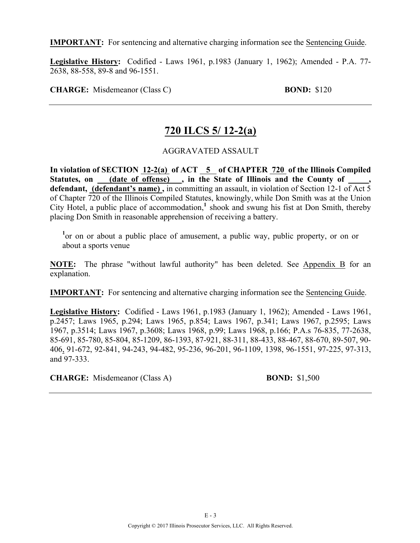**IMPORTANT:** For sentencing and alternative charging information see the Sentencing Guide.

**Legislative History:** Codified - Laws 1961, p.1983 (January 1, 1962); Amended - P.A. 77- 2638, 88-558, 89-8 and 96-1551.

**CHARGE:** Misdemeanor (Class C) **BOND:** \$120

### **720 ILCS 5/ 12-2(a)**

AGGRAVATED ASSAULT

In violation of SECTION 12-2(a) of ACT 5 of CHAPTER 720 of the Illinois Compiled Statutes, on <u>(date of offense)</u>, in the State of Illinois and the County of **defendant, (defendant's name) ,** in committing an assault, in violation of Section 12-1 of Act 5 of Chapter 720 of the Illinois Compiled Statutes, knowingly, while Don Smith was at the Union City Hotel, a public place of accommodation,**<sup>1</sup>** shook and swung his fist at Don Smith, thereby placing Don Smith in reasonable apprehension of receiving a battery.

<sup>1</sup> or on or about a public place of amusement, a public way, public property, or on or about a sports venue

**NOTE:** The phrase "without lawful authority" has been deleted. See Appendix B for an explanation.

**IMPORTANT:** For sentencing and alternative charging information see the Sentencing Guide.

**Legislative History:** Codified - Laws 1961, p.1983 (January 1, 1962); Amended - Laws 1961, p.2457; Laws 1965, p.294; Laws 1965, p.854; Laws 1967, p.341; Laws 1967, p.2595; Laws 1967, p.3514; Laws 1967, p.3608; Laws 1968, p.99; Laws 1968, p.166; P.A.s 76-835, 77-2638, 85-691, 85-780, 85-804, 85-1209, 86-1393, 87-921, 88-311, 88-433, 88-467, 88-670, 89-507, 90- 406, 91-672, 92-841, 94-243, 94-482, 95-236, 96-201, 96-1109, 1398, 96-1551, 97-225, 97-313, and 97-333.

**CHARGE:** Misdemeanor (Class A) **BOND:** \$1,500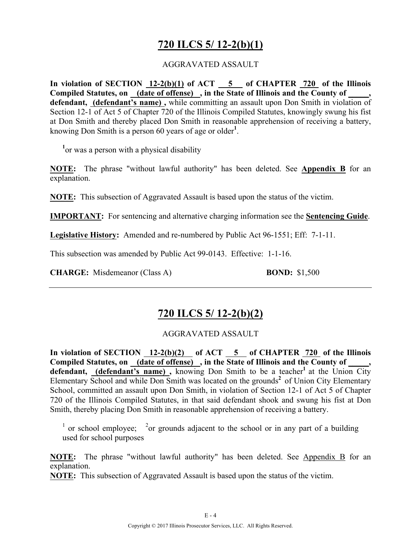## **720 ILCS 5/ 12-2(b)(1)**

#### AGGRAVATED ASSAULT

In violation of SECTION  $12-2(b)(1)$  of ACT  $-5$  of CHAPTER  $720$  of the Illinois **Compiled Statutes, on (date of offense) , in the State of Illinois and the County of \_\_\_\_\_, defendant, (defendant's name) ,** while committing an assault upon Don Smith in violation of Section 12-1 of Act 5 of Chapter 720 of the Illinois Compiled Statutes, knowingly swung his fist at Don Smith and thereby placed Don Smith in reasonable apprehension of receiving a battery, knowing Don Smith is a person 60 years of age or older**<sup>1</sup>** .

**1** or was a person with a physical disability

**NOTE:** The phrase "without lawful authority" has been deleted. See **Appendix B** for an explanation.

**NOTE:** This subsection of Aggravated Assault is based upon the status of the victim.

**IMPORTANT:** For sentencing and alternative charging information see the **Sentencing Guide**.

**Legislative History:** Amended and re-numbered by Public Act 96-1551; Eff: 7-1-11.

This subsection was amended by Public Act 99-0143. Effective: 1-1-16.

**CHARGE:** Misdemeanor (Class A) **BOND:** \$1,500

### **720 ILCS 5/ 12-2(b)(2)**

#### AGGRAVATED ASSAULT

In violation of SECTION  $\frac{12-2(b)(2)}{2}$  of ACT  $\frac{5}{2}$  of CHAPTER  $\frac{720}{2}$  of the Illinois Compiled Statutes, on (date of offense), in the State of Illinois and the County of defendant, (defendant's name), knowing Don Smith to be a teacher<sup>1</sup> at the Union City Elementary School and while Don Smith was located on the grounds**<sup>2</sup>** of Union City Elementary School, committed an assault upon Don Smith, in violation of Section 12-1 of Act 5 of Chapter 720 of the Illinois Compiled Statutes, in that said defendant shook and swung his fist at Don Smith, thereby placing Don Smith in reasonable apprehension of receiving a battery.

<sup>1</sup> or school employee; <sup>2</sup> or grounds adjacent to the school or in any part of a building used for school purposes

**NOTE:** The phrase "without lawful authority" has been deleted. See Appendix B for an explanation.

**NOTE:** This subsection of Aggravated Assault is based upon the status of the victim.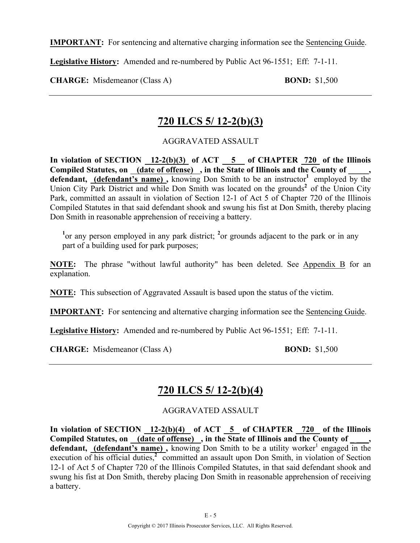**IMPORTANT:** For sentencing and alternative charging information see the Sentencing Guide.

**Legislative History:** Amended and re-numbered by Public Act 96-1551; Eff: 7-1-11.

**CHARGE:** Misdemeanor (Class A) **BOND:** \$1,500

### **720 ILCS 5/ 12-2(b)(3)**

AGGRAVATED ASSAULT

**In violation of SECTION 12-2(b)(3) of ACT 5 of CHAPTER 720 of the Illinois**  Compiled Statutes, on (date of offense), in the State of Illinois and the County of defendant, **(defendant's name)**, knowing Don Smith to be an instructor<sup>1</sup> employed by the Union City Park District and while Don Smith was located on the grounds**<sup>2</sup>** of the Union City Park, committed an assault in violation of Section 12-1 of Act 5 of Chapter 720 of the Illinois Compiled Statutes in that said defendant shook and swung his fist at Don Smith, thereby placing Don Smith in reasonable apprehension of receiving a battery.

<sup>1</sup> or any person employed in any park district; <sup>2</sup> or grounds adjacent to the park or in any part of a building used for park purposes;

**NOTE:** The phrase "without lawful authority" has been deleted. See Appendix B for an explanation.

**NOTE:** This subsection of Aggravated Assault is based upon the status of the victim.

**IMPORTANT:** For sentencing and alternative charging information see the Sentencing Guide.

**Legislative History:** Amended and re-numbered by Public Act 96-1551; Eff: 7-1-11.

**CHARGE:** Misdemeanor (Class A) **BOND:** \$1,500

# **720 ILCS 5/ 12-2(b)(4)**

AGGRAVATED ASSAULT

In violation of SECTION 12-2(b)(4) of ACT 5 of CHAPTER 720 of the Illinois Compiled Statutes, on (date of offense), in the State of Illinois and the County of **defendant, (defendant's name)**, knowing Don Smith to be a utility worker<sup>1</sup> engaged in the execution of his official duties,<sup>2</sup> committed an assault upon Don Smith, in violation of Section 12-1 of Act 5 of Chapter 720 of the Illinois Compiled Statutes, in that said defendant shook and swung his fist at Don Smith, thereby placing Don Smith in reasonable apprehension of receiving a battery.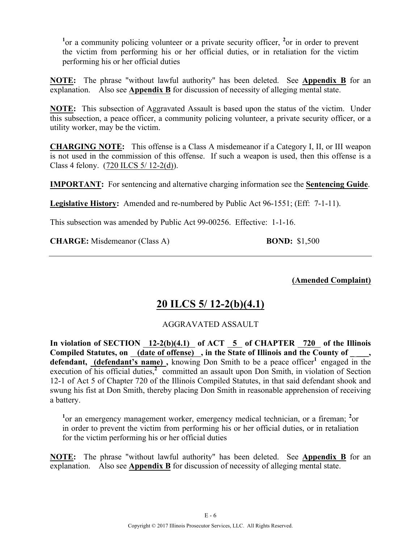<sup>1</sup><sup>or</sup> a community policing volunteer or a private security officer, <sup>2</sup><sup>or</sup> in order to prevent the victim from performing his or her official duties, or in retaliation for the victim performing his or her official duties

**NOTE:** The phrase "without lawful authority" has been deleted. See **Appendix B** for an explanation. Also see **Appendix B** for discussion of necessity of alleging mental state.

**NOTE:** This subsection of Aggravated Assault is based upon the status of the victim. Under this subsection, a peace officer, a community policing volunteer, a private security officer, or a utility worker, may be the victim.

**CHARGING NOTE:** This offense is a Class A misdemeanor if a Category I, II, or III weapon is not used in the commission of this offense. If such a weapon is used, then this offense is a Class 4 felony. (720 ILCS 5/ 12-2(d)).

**IMPORTANT:** For sentencing and alternative charging information see the **Sentencing Guide**.

**Legislative History:** Amended and re-numbered by Public Act 96-1551; (Eff: 7-1-11).

This subsection was amended by Public Act 99-00256. Effective: 1-1-16.

**CHARGE:** Misdemeanor (Class A) **BOND:** \$1,500

**(Amended Complaint)**

### **20 ILCS 5/ 12-2(b)(4.1)**

#### AGGRAVATED ASSAULT

In violation of SECTION  $12-2(b)(4.1)$  of ACT  $\overline{5}$  of CHAPTER  $\overline{720}$  of the Illinois Compiled Statutes, on (date of offense), in the State of Illinois and the County of **defendant, (defendant's name)**, knowing Don Smith to be a peace officer<sup>1</sup> engaged in the execution of his official duties,<sup>2</sup> committed an assault upon Don Smith, in violation of Section 12-1 of Act 5 of Chapter 720 of the Illinois Compiled Statutes, in that said defendant shook and swung his fist at Don Smith, thereby placing Don Smith in reasonable apprehension of receiving a battery.

<sup>1</sup> or an emergency management worker, emergency medical technician, or a fireman; <sup>2</sup> or in order to prevent the victim from performing his or her official duties, or in retaliation for the victim performing his or her official duties

**NOTE:** The phrase "without lawful authority" has been deleted. See **Appendix B** for an explanation. Also see **Appendix B** for discussion of necessity of alleging mental state.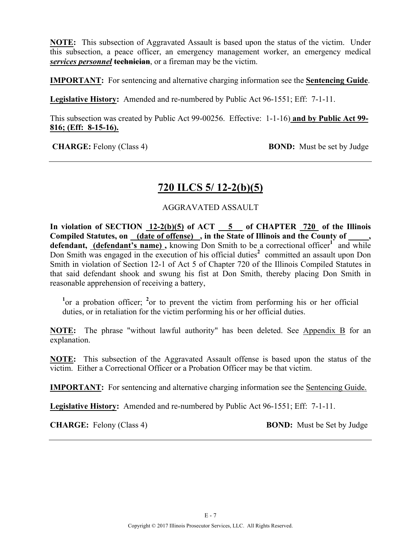**NOTE:** This subsection of Aggravated Assault is based upon the status of the victim. Under this subsection, a peace officer, an emergency management worker, an emergency medical *services personnel* **technician**, or a fireman may be the victim.

**IMPORTANT:** For sentencing and alternative charging information see the **Sentencing Guide**.

**Legislative History:** Amended and re-numbered by Public Act 96-1551; Eff: 7-1-11.

This subsection was created by Public Act 99-00256. Effective: 1-1-16) **and by Public Act 99- 816; (Eff: 8-15-16).**

**CHARGE:** Felony (Class 4) **BOND:** Must be set by Judge

### **720 ILCS 5/ 12-2(b)(5)**

#### AGGRAVATED ASSAULT

**In violation of SECTION 12-2(b)(5) of ACT 5 of CHAPTER 720 of the Illinois Compiled Statutes, on (date of offense) , in the State of Illinois and the County of \_\_\_\_\_,**  defendant, (defendant's name), knowing Don Smith to be a correctional officer<sup>1</sup> and while Don Smith was engaged in the execution of his official duties<sup>2</sup> committed an assault upon Don Smith in violation of Section 12-1 of Act 5 of Chapter 720 of the Illinois Compiled Statutes in that said defendant shook and swung his fist at Don Smith, thereby placing Don Smith in reasonable apprehension of receiving a battery,

<sup>1</sup> or a probation officer; <sup>2</sup> or to prevent the victim from performing his or her official duties, or in retaliation for the victim performing his or her official duties.

**NOTE:** The phrase "without lawful authority" has been deleted. See Appendix B for an explanation.

**NOTE:** This subsection of the Aggravated Assault offense is based upon the status of the victim. Either a Correctional Officer or a Probation Officer may be that victim.

**IMPORTANT:** For sentencing and alternative charging information see the Sentencing Guide.

**Legislative History:** Amended and re-numbered by Public Act 96-1551; Eff: 7-1-11.

**CHARGE:** Felony (Class 4) **BOND:** Must be Set by Judge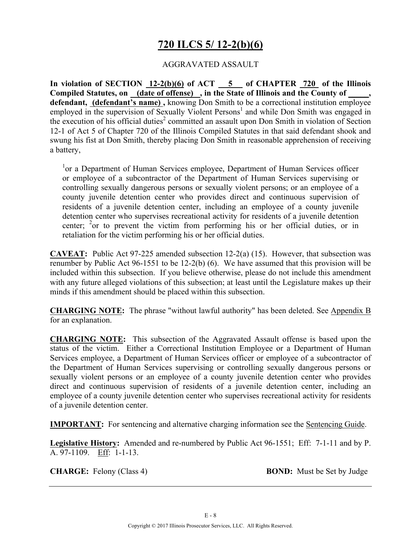# **720 ILCS 5/ 12-2(b)(6)**

#### AGGRAVATED ASSAULT

In violation of SECTION  $12-2(b)(6)$  of ACT  $\overline{\hspace{1cm}}$  5 of CHAPTER  $\overline{\hspace{1cm}}$  720 of the Illinois **Compiled Statutes, on (date of offense) , in the State of Illinois and the County of \_\_\_\_\_, defendant, (defendant's name) ,** knowing Don Smith to be a correctional institution employee employed in the supervision of Sexually Violent Persons<sup>1</sup> and while Don Smith was engaged in the execution of his official duties<sup>2</sup> committed an assault upon Don Smith in violation of Section 12-1 of Act 5 of Chapter 720 of the Illinois Compiled Statutes in that said defendant shook and swung his fist at Don Smith, thereby placing Don Smith in reasonable apprehension of receiving a battery,

<sup>1</sup>or a Department of Human Services employee, Department of Human Services officer or employee of a subcontractor of the Department of Human Services supervising or controlling sexually dangerous persons or sexually violent persons; or an employee of a county juvenile detention center who provides direct and continuous supervision of residents of a juvenile detention center, including an employee of a county juvenile detention center who supervises recreational activity for residents of a juvenile detention center; <sup>2</sup> or to prevent the victim from performing his or her official duties, or in retaliation for the victim performing his or her official duties.

**CAVEAT:** Public Act 97-225 amended subsection 12-2(a) (15). However, that subsection was renumber by Public Act 96-1551 to be 12-2(b) (6). We have assumed that this provision will be included within this subsection. If you believe otherwise, please do not include this amendment with any future alleged violations of this subsection; at least until the Legislature makes up their minds if this amendment should be placed within this subsection.

**CHARGING NOTE:** The phrase "without lawful authority" has been deleted. See Appendix B for an explanation.

**CHARGING NOTE:** This subsection of the Aggravated Assault offense is based upon the status of the victim. Either a Correctional Institution Employee or a Department of Human Services employee, a Department of Human Services officer or employee of a subcontractor of the Department of Human Services supervising or controlling sexually dangerous persons or sexually violent persons or an employee of a county juvenile detention center who provides direct and continuous supervision of residents of a juvenile detention center, including an employee of a county juvenile detention center who supervises recreational activity for residents of a juvenile detention center.

**IMPORTANT:** For sentencing and alternative charging information see the Sentencing Guide.

**Legislative History:** Amended and re-numbered by Public Act 96-1551; Eff: 7-1-11 and by P. A. 97-1109. Eff: 1-1-13.

**CHARGE:** Felony (Class 4) **BOND:** Must be Set by Judge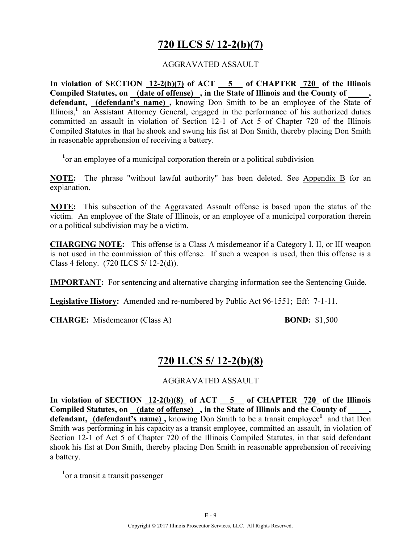# **720 ILCS 5/ 12-2(b)(7)**

#### AGGRAVATED ASSAULT

**In violation of SECTION 12-2(b)(7) of ACT 5 of CHAPTER 720 of the Illinois**  Compiled Statutes, on **(date of offense)**, in the State of Illinois and the County of **defendant, (defendant's name) ,** knowing Don Smith to be an employee of the State of Illinois,**<sup>1</sup>** an Assistant Attorney General, engaged in the performance of his authorized duties committed an assault in violation of Section 12-1 of Act 5 of Chapter 720 of the Illinois Compiled Statutes in that he shook and swung his fist at Don Smith, thereby placing Don Smith in reasonable apprehension of receiving a battery.

<sup>1</sup> or an employee of a municipal corporation therein or a political subdivision

**NOTE:** The phrase "without lawful authority" has been deleted. See Appendix B for an explanation.

**NOTE:** This subsection of the Aggravated Assault offense is based upon the status of the victim. An employee of the State of Illinois, or an employee of a municipal corporation therein or a political subdivision may be a victim.

**CHARGING NOTE:** This offense is a Class A misdemeanor if a Category I, II, or III weapon is not used in the commission of this offense. If such a weapon is used, then this offense is a Class 4 felony. (720 ILCS 5/ 12-2(d)).

**IMPORTANT:** For sentencing and alternative charging information see the Sentencing Guide.

**Legislative History:** Amended and re-numbered by Public Act 96-1551; Eff: 7-1-11.

**CHARGE:** Misdemeanor (Class A) **BOND:** \$1,500

### **720 ILCS 5/ 12-2(b)(8)**

#### AGGRAVATED ASSAULT

**In violation of SECTION 12-2(b)(8) of ACT 5 of CHAPTER 720 of the Illinois**  Compiled Statutes, on (date of offense), in the State of Illinois and the County of defendant, (defendant's name), knowing Don Smith to be a transit employee<sup>1</sup> and that Don Smith was performing in his capacity as a transit employee, committed an assault, in violation of Section 12-1 of Act 5 of Chapter 720 of the Illinois Compiled Statutes, in that said defendant shook his fist at Don Smith, thereby placing Don Smith in reasonable apprehension of receiving a battery.

<sup>1</sup><sub>or</sub> a transit a transit passenger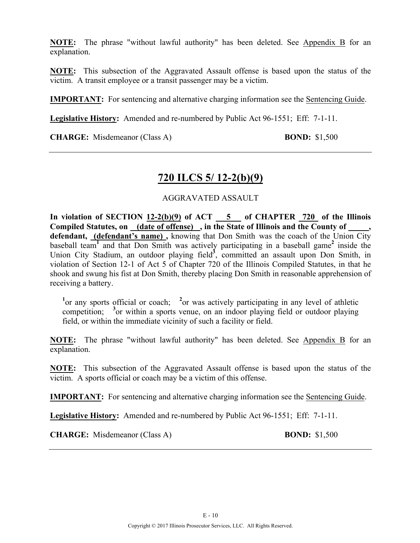**NOTE:** The phrase "without lawful authority" has been deleted. See Appendix B for an explanation.

**NOTE:** This subsection of the Aggravated Assault offense is based upon the status of the victim. A transit employee or a transit passenger may be a victim.

**IMPORTANT:** For sentencing and alternative charging information see the Sentencing Guide.

**Legislative History:** Amended and re-numbered by Public Act 96-1551; Eff: 7-1-11.

**CHARGE:** Misdemeanor (Class A) **BOND:** \$1,500

### **720 ILCS 5/ 12-2(b)(9)**

#### AGGRAVATED ASSAULT

In violation of SECTION  $12-2(b)(9)$  of ACT  $\overline{\hspace{1cm}}$  5 of CHAPTER 720 of the Illinois **Compiled Statutes, on (date of offense) , in the State of Illinois and the County of \_\_\_\_\_, defendant, (defendant's name) ,** knowing that Don Smith was the coach of the Union City baseball team<sup>1</sup> and that Don Smith was actively participating in a baseball game<sup>2</sup> inside the Union City Stadium, an outdoor playing field<sup>3</sup>, committed an assault upon Don Smith, in violation of Section 12-1 of Act 5 of Chapter 720 of the Illinois Compiled Statutes, in that he shook and swung his fist at Don Smith, thereby placing Don Smith in reasonable apprehension of receiving a battery.

<sup>1</sup> or any sports official or coach; <sup>2</sup> or was actively participating in any level of athletic competition; <sup>3</sup> or within a sports venue, on an indoor playing field or outdoor playing field, or within the immediate vicinity of such a facility or field.

**NOTE:** The phrase "without lawful authority" has been deleted. See Appendix B for an explanation.

**NOTE:** This subsection of the Aggravated Assault offense is based upon the status of the victim. A sports official or coach may be a victim of this offense.

**IMPORTANT:** For sentencing and alternative charging information see the Sentencing Guide.

**Legislative History:** Amended and re-numbered by Public Act 96-1551; Eff: 7-1-11.

**CHARGE:** Misdemeanor (Class A) **BOND:** \$1,500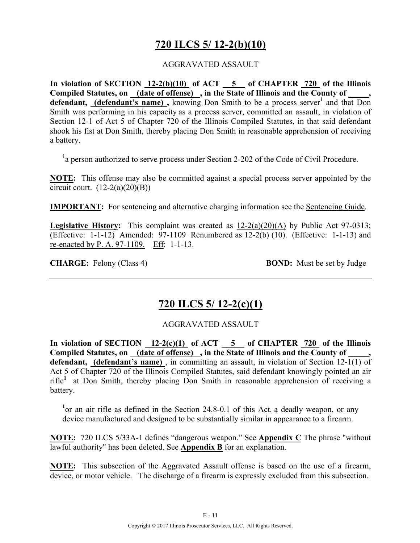## **720 ILCS 5/ 12-2(b)(10)**

#### AGGRAVATED ASSAULT

**In violation of SECTION 12-2(b)(10) of ACT 5 of CHAPTER 720 of the Illinois Compiled Statutes, on (date of offense) , in the State of Illinois and the County of \_\_\_\_\_, defendant, (defendant's name)**, knowing Don Smith to be a process server<sup>1</sup> and that Don Smith was performing in his capacity as a process server, committed an assault, in violation of Section 12-1 of Act 5 of Chapter 720 of the Illinois Compiled Statutes, in that said defendant shook his fist at Don Smith, thereby placing Don Smith in reasonable apprehension of receiving a battery.

<sup>1</sup>a person authorized to serve process under Section 2-202 of the Code of Civil Procedure.

**NOTE:** This offense may also be committed against a special process server appointed by the circuit court.  $(12-2(a)(20)(B))$ 

**IMPORTANT:** For sentencing and alternative charging information see the Sentencing Guide.

**Legislative History:** This complaint was created as 12-2(a)(20)(A) by Public Act 97-0313; (Effective: 1-1-12) Amended: 97-1109 Renumbered as 12-2(b) (10). (Effective: 1-1-13) and re-enacted by P. A. 97-1109. Eff: 1-1-13.

**CHARGE:** Felony (Class 4) **BOND:** Must be set by Judge

## **720 ILCS 5/ 12-2(c)(1)**

#### AGGRAVATED ASSAULT

In violation of SECTION  $\frac{12-2(c)(1)}{c}$  of ACT  $\frac{5}{c}$  of CHAPTER  $\frac{720}{c}$  of the Illinois Compiled Statutes, on (date of offense), in the State of Illinois and the County of **defendant, (defendant's name)** , in committing an assault, in violation of Section 12-1(1) of Act 5 of Chapter 720 of the Illinois Compiled Statutes, said defendant knowingly pointed an air rifle**<sup>1</sup>** at Don Smith, thereby placing Don Smith in reasonable apprehension of receiving a battery.

<sup>1</sup> or an air rifle as defined in the Section 24.8-0.1 of this Act, a deadly weapon, or any device manufactured and designed to be substantially similar in appearance to a firearm.

**NOTE:** 720 ILCS 5/33A-1 defines "dangerous weapon." See **Appendix C** The phrase "without lawful authority" has been deleted. See **Appendix B** for an explanation.

**NOTE:** This subsection of the Aggravated Assault offense is based on the use of a firearm, device, or motor vehicle. The discharge of a firearm is expressly excluded from this subsection.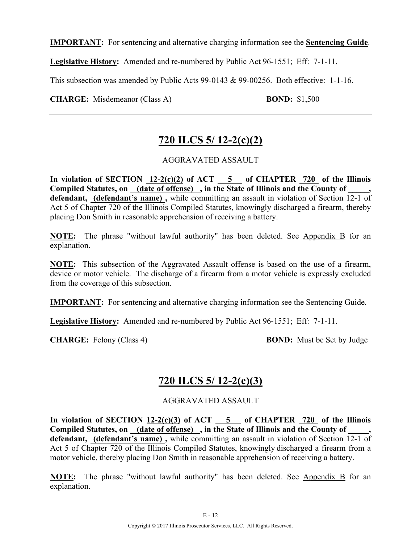**IMPORTANT:** For sentencing and alternative charging information see the **Sentencing Guide**.

**Legislative History:** Amended and re-numbered by Public Act 96-1551; Eff: 7-1-11.

This subsection was amended by Public Acts 99-0143 & 99-00256. Both effective: 1-1-16.

**CHARGE:** Misdemeanor (Class A) **BOND:** \$1,500

# **720 ILCS 5/ 12-2(c)(2)**

#### AGGRAVATED ASSAULT

In violation of SECTION  $12-2(c)(2)$  of ACT  $-5$  of CHAPTER  $720$  of the Illinois **Compiled Statutes, on (date of offense) , in the State of Illinois and the County of \_\_\_\_\_, defendant, (defendant's name) ,** while committing an assault in violation of Section 12-1 of Act 5 of Chapter 720 of the Illinois Compiled Statutes, knowingly discharged a firearm, thereby placing Don Smith in reasonable apprehension of receiving a battery.

**NOTE:** The phrase "without lawful authority" has been deleted. See Appendix B for an explanation.

**NOTE:** This subsection of the Aggravated Assault offense is based on the use of a firearm, device or motor vehicle. The discharge of a firearm from a motor vehicle is expressly excluded from the coverage of this subsection.

**IMPORTANT:** For sentencing and alternative charging information see the Sentencing Guide.

**Legislative History:** Amended and re-numbered by Public Act 96-1551; Eff: 7-1-11.

**CHARGE:** Felony (Class 4) **BOND:** Must be Set by Judge

### **720 ILCS 5/ 12-2(c)(3)**

AGGRAVATED ASSAULT

**In violation of SECTION 12-2(c)(3) of ACT 5 of CHAPTER 720 of the Illinois**  Compiled Statutes, on <u>(date of offense)</u>, in the State of Illinois and the County of **defendant, (defendant's name) ,** while committing an assault in violation of Section 12-1 of Act 5 of Chapter 720 of the Illinois Compiled Statutes, knowingly discharged a firearm from a motor vehicle, thereby placing Don Smith in reasonable apprehension of receiving a battery.

**NOTE:** The phrase "without lawful authority" has been deleted. See Appendix B for an explanation.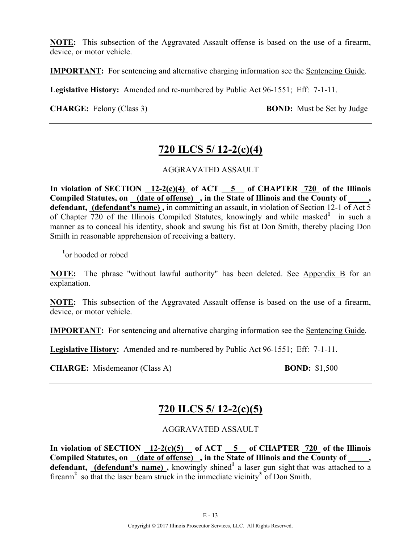**NOTE:** This subsection of the Aggravated Assault offense is based on the use of a firearm, device, or motor vehicle.

**IMPORTANT:** For sentencing and alternative charging information see the Sentencing Guide.

**Legislative History:** Amended and re-numbered by Public Act 96-1551; Eff: 7-1-11.

**CHARGE:** Felony (Class 3) **BOND:** Must be Set by Judge

### **720 ILCS 5/ 12-2(c)(4)**

#### AGGRAVATED ASSAULT

**In violation of SECTION 12-2(c)(4) of ACT 5 of CHAPTER 720 of the Illinois Compiled Statutes, on (date of offense) , in the State of Illinois and the County of \_\_\_\_\_, defendant, (defendant's name) ,** in committing an assault, in violation of Section 12-1 of Act 5 of Chapter 720 of the Illinois Compiled Statutes, knowingly and while masked**<sup>1</sup>** in such a manner as to conceal his identity, shook and swung his fist at Don Smith, thereby placing Don Smith in reasonable apprehension of receiving a battery.

**1** or hooded or robed

**NOTE:** The phrase "without lawful authority" has been deleted. See Appendix B for an explanation.

**NOTE:** This subsection of the Aggravated Assault offense is based on the use of a firearm, device, or motor vehicle.

**IMPORTANT:** For sentencing and alternative charging information see the Sentencing Guide.

**Legislative History:** Amended and re-numbered by Public Act 96-1551; Eff: 7-1-11.

**CHARGE:** Misdemeanor (Class A) **BOND:** \$1,500

## **720 ILCS 5/ 12-2(c)(5)**

#### AGGRAVATED ASSAULT

In violation of SECTION  $12-2(c)(5)$  of ACT  $5$  of CHAPTER  $720$  of the Illinois Compiled Statutes, on (date of offense), in the State of Illinois and the County of defendant, (defendant's name), knowingly shined<sup>1</sup> a laser gun sight that was attached to a firearm**<sup>2</sup>** so that the laser beam struck in the immediate vicinity**<sup>3</sup>** of Don Smith.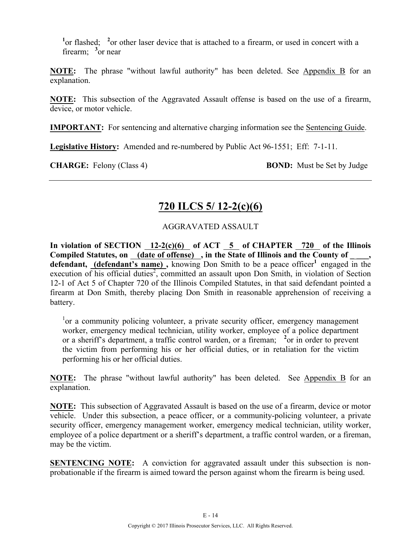<sup>1</sup> or flashed; <sup>2</sup> or other laser device that is attached to a firearm, or used in concert with a firearm; <sup>3</sup> or near

**NOTE:** The phrase "without lawful authority" has been deleted. See Appendix B for an explanation.

**NOTE:** This subsection of the Aggravated Assault offense is based on the use of a firearm, device, or motor vehicle.

**IMPORTANT:** For sentencing and alternative charging information see the Sentencing Guide.

**Legislative History:** Amended and re-numbered by Public Act 96-1551; Eff: 7-1-11.

**CHARGE:** Felony (Class 4) **BOND:** Must be Set by Judge

# **720 ILCS 5/ 12-2(c)(6)**

#### AGGRAVATED ASSAULT

**In violation of SECTION 12-2(c)(6) of ACT 5 of CHAPTER 720 of the Illinois Compiled Statutes, on (date of offense) , in the State of Illinois and the County of \_ \_\_\_,**  defendant, (defendant's name), knowing Don Smith to be a peace officer<sup>1</sup> engaged in the execution of his official duties<sup>2</sup>, committed an assault upon Don Smith, in violation of Section 12-1 of Act 5 of Chapter 720 of the Illinois Compiled Statutes, in that said defendant pointed a firearm at Don Smith, thereby placing Don Smith in reasonable apprehension of receiving a battery.

<sup>1</sup>or a community policing volunteer, a private security officer, emergency management worker, emergency medical technician, utility worker, employee of a police department or a sheriff's department, a traffic control warden, or a fireman; <sup>2</sup> or in order to prevent the victim from performing his or her official duties, or in retaliation for the victim performing his or her official duties.

**NOTE:** The phrase "without lawful authority" has been deleted. See Appendix B for an explanation.

**NOTE:** This subsection of Aggravated Assault is based on the use of a firearm, device or motor vehicle. Under this subsection, a peace officer, or a community-policing volunteer, a private security officer, emergency management worker, emergency medical technician, utility worker, employee of a police department or a sheriff's department, a traffic control warden, or a fireman, may be the victim.

**SENTENCING NOTE:** A conviction for aggravated assault under this subsection is nonprobationable if the firearm is aimed toward the person against whom the firearm is being used.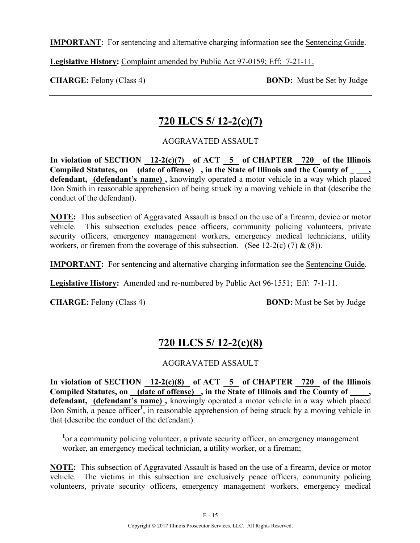**IMPORTANT**: For sentencing and alternative charging information see the Sentencing Guide.

**Legislative History:** Complaint amended by Public Act 97-0159; Eff: 7-21-11.

**CHARGE:** Felony (Class 4) **BOND:** Must be Set by Judge

## **720 ILCS 5/ 12-2(c)(7)**

### AGGRAVATED ASSAULT

In violation of SECTION 12-2(c)(7) of ACT 5 of CHAPTER 720 of the Illinois Compiled Statutes, on (date of offense), in the State of Illinois and the County of **defendant, (defendant's name) ,** knowingly operated a motor vehicle in a way which placed Don Smith in reasonable apprehension of being struck by a moving vehicle in that (describe the conduct of the defendant).

**NOTE:** This subsection of Aggravated Assault is based on the use of a firearm, device or motor vehicle. This subsection excludes peace officers, community policing volunteers, private security officers, emergency management workers, emergency medical technicians, utility workers, or firemen from the coverage of this subsection. (See 12-2(c) (7)  $\&$  (8)).

**IMPORTANT:** For sentencing and alternative charging information see the Sentencing Guide.

**Legislative History:** Amended and re-numbered by Public Act 96-1551; Eff: 7-1-11.

**CHARGE:** Felony (Class 4) **BOND:** Must be Set by Judge

# **720 ILCS 5/ 12-2(c)(8)**

### AGGRAVATED ASSAULT

In violation of SECTION  $12-2(c)(8)$  of ACT  $\overline{5}$  of CHAPTER  $\overline{720}$  of the Illinois Compiled Statutes, on (date of offense), in the State of Illinois and the County of **defendant, (defendant's name) ,** knowingly operated a motor vehicle in a way which placed Don Smith, a peace officer<sup>1</sup>, in reasonable apprehension of being struck by a moving vehicle in that (describe the conduct of the defendant).

<sup>1</sup> or a community policing volunteer, a private security officer, an emergency management worker, an emergency medical technician, a utility worker, or a fireman;

**NOTE:** This subsection of Aggravated Assault is based on the use of a firearm, device or motor vehicle. The victims in this subsection are exclusively peace officers, community policing volunteers, private security officers, emergency management workers, emergency medical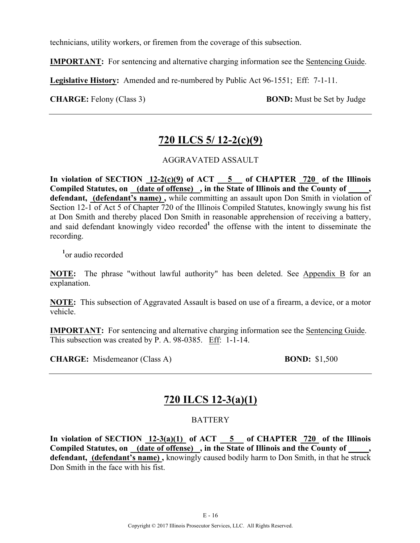technicians, utility workers, or firemen from the coverage of this subsection.

**IMPORTANT:** For sentencing and alternative charging information see the Sentencing Guide.

**Legislative History:** Amended and re-numbered by Public Act 96-1551; Eff: 7-1-11.

**CHARGE:** Felony (Class 3) **BOND:** Must be Set by Judge

# **720 ILCS 5/ 12-2(c)(9)**

#### AGGRAVATED ASSAULT

In violation of SECTION  $12-2(c)(9)$  of ACT  $-5$  of CHAPTER  $720$  of the Illinois **Compiled Statutes, on (date of offense) , in the State of Illinois and the County of \_\_\_\_\_, defendant, (defendant's name) ,** while committing an assault upon Don Smith in violation of Section 12-1 of Act 5 of Chapter 720 of the Illinois Compiled Statutes, knowingly swung his fist at Don Smith and thereby placed Don Smith in reasonable apprehension of receiving a battery, and said defendant knowingly video recorded<sup>1</sup> the offense with the intent to disseminate the recording.

**1** or audio recorded

**NOTE:** The phrase "without lawful authority" has been deleted. See Appendix B for an explanation.

**NOTE:** This subsection of Aggravated Assault is based on use of a firearm, a device, or a motor vehicle.

**IMPORTANT:** For sentencing and alternative charging information see the Sentencing Guide. This subsection was created by P. A. 98-0385. Eff: 1-1-14.

**CHARGE:** Misdemeanor (Class A) **BOND:** \$1,500

## **720 ILCS 12-3(a)(1)**

#### **BATTERY**

**In violation of SECTION 12-3(a)(1) of ACT 5 of CHAPTER 720 of the Illinois**  Compiled Statutes, on <u>(date of offense)</u>, in the State of Illinois and the County of, defendant, (defendant's name), knowingly caused bodily harm to Don Smith, in that he struck Don Smith in the face with his fist.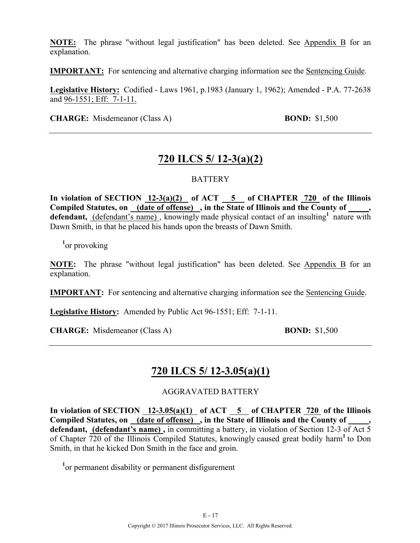**NOTE:** The phrase "without legal justification" has been deleted. See Appendix B for an explanation.

**IMPORTANT:** For sentencing and alternative charging information see the Sentencing Guide.

**Legislative History:** Codified - Laws 1961, p.1983 (January 1, 1962); Amended - P.A. 77-2638 and 96-1551; Eff: 7-1-11.

**CHARGE:** Misdemeanor (Class A) **BOND:** \$1,500

## **720 ILCS 5/ 12-3(a)(2)**

#### **BATTERY**

**In violation of SECTION 12-3(a)(2) of ACT 5 of CHAPTER 720 of the Illinois Compiled Statutes, on (date of offense) , in the State of Illinois and the County of \_\_\_\_\_,**  defendant, (defendant's name), knowingly made physical contact of an insulting<sup>1</sup> nature with Dawn Smith, in that he placed his hands upon the breasts of Dawn Smith.

**1** or provoking

**NOTE:** The phrase "without legal justification" has been deleted. See Appendix B for an explanation.

**IMPORTANT:** For sentencing and alternative charging information see the Sentencing Guide.

**Legislative History:** Amended by Public Act 96-1551; Eff: 7-1-11.

**CHARGE:** Misdemeanor (Class A) **BOND:** \$1,500

### **720 ILCS 5/ 12-3.05(a)(1)**

#### AGGRAVATED BATTERY

In violation of SECTION  $\overline{12-3.05(a)(1)}$  of ACT  $\overline{5}$  of CHAPTER  $\overline{720}$  of the Illinois Compiled Statutes, on (date of offense), in the State of Illinois and the County of **defendant, (defendant's name) ,** in committing a battery, in violation of Section 12-3 of Act 5 of Chapter 720 of the Illinois Compiled Statutes, knowingly caused great bodily harm**<sup>1</sup>** to Don Smith, in that he kicked Don Smith in the face and groin.

<sup>1</sup> or permanent disability or permanent disfigurement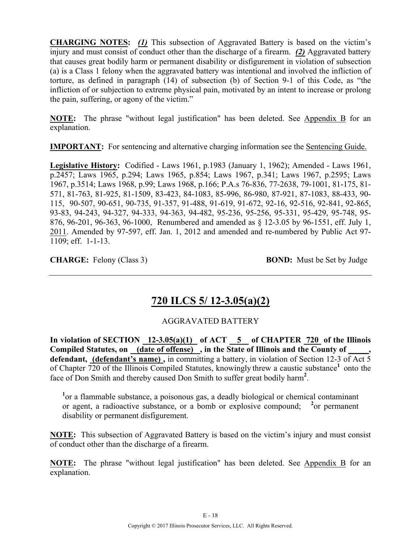**CHARGING NOTES:** *(1)* This subsection of Aggravated Battery is based on the victim's injury and must consist of conduct other than the discharge of a firearm. *(2)* Aggravated battery that causes great bodily harm or permanent disability or disfigurement in violation of subsection (a) is a Class 1 felony when the aggravated battery was intentional and involved the infliction of torture, as defined in paragraph (14) of subsection (b) of Section 9-1 of this Code, as "the infliction of or subjection to extreme physical pain, motivated by an intent to increase or prolong the pain, suffering, or agony of the victim."

**NOTE:** The phrase "without legal justification" has been deleted. See Appendix B for an explanation.

**IMPORTANT:** For sentencing and alternative charging information see the Sentencing Guide.

**Legislative History:** Codified - Laws 1961, p.1983 (January 1, 1962); Amended - Laws 1961, p.2457; Laws 1965, p.294; Laws 1965, p.854; Laws 1967, p.341; Laws 1967, p.2595; Laws 1967, p.3514; Laws 1968, p.99; Laws 1968, p.166; P.A.s 76-836, 77-2638, 79-1001, 81-175, 81- 571, 81-763, 81-925, 81-1509, 83-423, 84-1083, 85-996, 86-980, 87-921, 87-1083, 88-433, 90- 115, 90-507, 90-651, 90-735, 91-357, 91-488, 91-619, 91-672, 92-16, 92-516, 92-841, 92-865, 93-83, 94-243, 94-327, 94-333, 94-363, 94-482, 95-236, 95-256, 95-331, 95-429, 95-748, 95- 876, 96-201, 96-363, 96-1000, Renumbered and amended as § 12-3.05 by 96-1551, eff. July 1, 2011. Amended by 97-597, eff. Jan. 1, 2012 and amended and re-numbered by Public Act 97- 1109; eff. 1-1-13.

**CHARGE:** Felony (Class 3) **BOND:** Must be Set by Judge

## **720 ILCS 5/ 12-3.05(a)(2)**

### AGGRAVATED BATTERY

In violation of SECTION  $12-3.05(a)(1)$  of ACT  $-5$  of CHAPTER 720 of the Illinois **Compiled Statutes, on (date of offense) , in the State of Illinois and the County of \_\_\_\_\_, defendant, (defendant's name) ,** in committing a battery, in violation of Section 12-3 of Act 5 of Chapter 720 of the Illinois Compiled Statutes, knowingly threw a caustic substance**<sup>1</sup>** onto the face of Don Smith and thereby caused Don Smith to suffer great bodily harm**<sup>2</sup>** .

<sup>1</sup> or a flammable substance, a poisonous gas, a deadly biological or chemical contaminant or agent, a radioactive substance, or a bomb or explosive compound; **<sup>2</sup>** or permanent disability or permanent disfigurement.

**NOTE:** This subsection of Aggravated Battery is based on the victim's injury and must consist of conduct other than the discharge of a firearm.

**NOTE:** The phrase "without legal justification" has been deleted. See Appendix B for an explanation.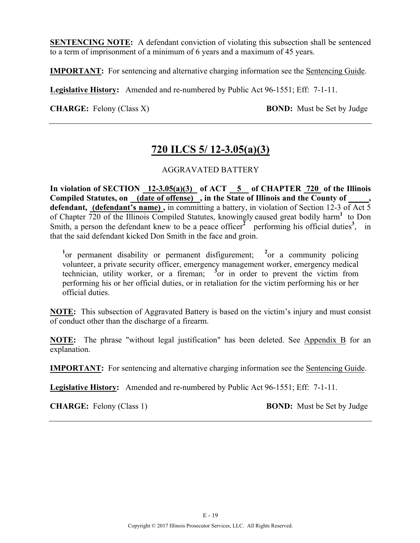**SENTENCING NOTE:** A defendant conviction of violating this subsection shall be sentenced to a term of imprisonment of a minimum of 6 years and a maximum of 45 years.

**IMPORTANT:** For sentencing and alternative charging information see the Sentencing Guide.

**Legislative History:** Amended and re-numbered by Public Act 96-1551; Eff: 7-1-11.

**CHARGE:** Felony (Class X) **BOND:** Must be Set by Judge

### **720 ILCS 5/ 12-3.05(a)(3)**

#### AGGRAVATED BATTERY

In violation of SECTION  $12-3.05(a)(3)$  of ACT  $\overline{5}$  of CHAPTER 720 of the Illinois **Compiled Statutes, on (date of offense) , in the State of Illinois and the County of \_\_\_\_\_, defendant, (defendant's name) ,** in committing a battery, in violation of Section 12-3 of Act 5 of Chapter 720 of the Illinois Compiled Statutes, knowingly caused great bodily harm**<sup>1</sup>** to Don Smith, a person the defendant knew to be a peace officer<sup>2</sup> performing his official duties<sup>3</sup>, in that the said defendant kicked Don Smith in the face and groin.

<sup>1</sup><sup>or</sup> permanent disability or permanent disfigurement; <sup>2</sup><sup>or</sup> a community policing volunteer, a private security officer, emergency management worker, emergency medical technician, utility worker, or a fireman;  $\frac{3}{2}$  or in order to prevent the victim from performing his or her official duties, or in retaliation for the victim performing his or her official duties.

**NOTE:** This subsection of Aggravated Battery is based on the victim's injury and must consist of conduct other than the discharge of a firearm.

**NOTE:** The phrase "without legal justification" has been deleted. See Appendix B for an explanation.

**IMPORTANT:** For sentencing and alternative charging information see the Sentencing Guide.

**Legislative History:** Amended and re-numbered by Public Act 96-1551; Eff: 7-1-11.

**CHARGE:** Felony (Class 1) **BOND:** Must be Set by Judge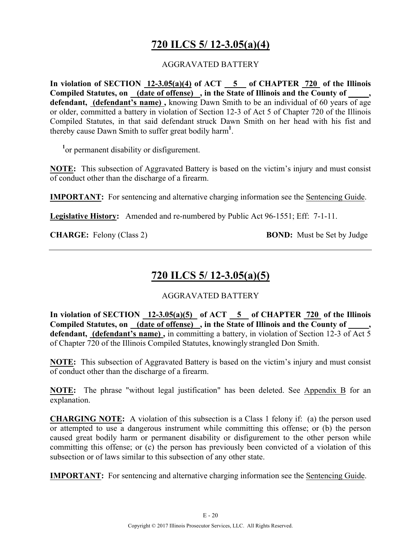# **720 ILCS 5/ 12-3.05(a)(4)**

#### AGGRAVATED BATTERY

**In violation of SECTION 12-3.05(a)(4) of ACT 5 of CHAPTER 720 of the Illinois Compiled Statutes, on (date of offense) , in the State of Illinois and the County of \_\_\_\_\_,**  defendant, (defendant's name), knowing Dawn Smith to be an individual of 60 years of age or older, committed a battery in violation of Section 12-3 of Act 5 of Chapter 720 of the Illinois Compiled Statutes, in that said defendant struck Dawn Smith on her head with his fist and thereby cause Dawn Smith to suffer great bodily harm**<sup>1</sup>** .

<sup>1</sup> or permanent disability or disfigurement.

**NOTE:** This subsection of Aggravated Battery is based on the victim's injury and must consist of conduct other than the discharge of a firearm.

**IMPORTANT:** For sentencing and alternative charging information see the Sentencing Guide.

**Legislative History:** Amended and re-numbered by Public Act 96-1551; Eff: 7-1-11.

**CHARGE:** Felony (Class 2) **BOND:** Must be Set by Judge

# **720 ILCS 5/ 12-3.05(a)(5)**

#### AGGRAVATED BATTERY

In violation of SECTION  $12-3.05(a)(5)$  of ACT  $\overline{5}$  of CHAPTER 720 of the Illinois **Compiled Statutes, on (date of offense) , in the State of Illinois and the County of \_\_\_\_\_, defendant, (defendant's name) ,** in committing a battery, in violation of Section 12-3 of Act 5 of Chapter 720 of the Illinois Compiled Statutes, knowingly strangled Don Smith.

**NOTE:** This subsection of Aggravated Battery is based on the victim's injury and must consist of conduct other than the discharge of a firearm.

**NOTE:** The phrase "without legal justification" has been deleted. See Appendix B for an explanation.

**CHARGING NOTE:** A violation of this subsection is a Class 1 felony if: (a) the person used or attempted to use a dangerous instrument while committing this offense; or (b) the person caused great bodily harm or permanent disability or disfigurement to the other person while committing this offense; or (c) the person has previously been convicted of a violation of this subsection or of laws similar to this subsection of any other state.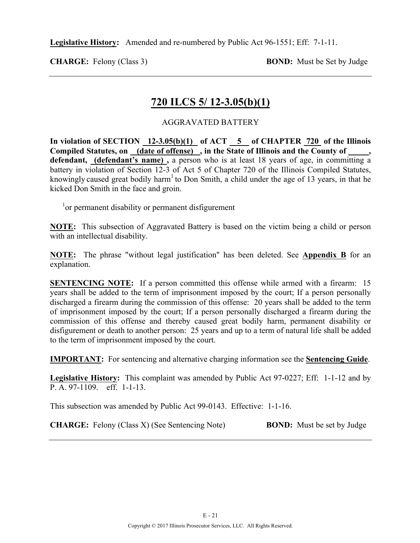**Legislative History:** Amended and re-numbered by Public Act 96-1551; Eff: 7-1-11.

**CHARGE:** Felony (Class 3) **BOND:** Must be Set by Judge

### **720 ILCS 5/ 12-3.05(b)(1)**

#### AGGRAVATED BATTERY

In violation of SECTION  $12-3.05(b)(1)$  of ACT  $\overline{5}$  of CHAPTER  $\overline{720}$  of the Illinois **Compiled Statutes, on (date of offense) , in the State of Illinois and the County of \_\_\_\_\_, defendant, (defendant's name) ,** a person who is at least 18 years of age, in committing a battery in violation of Section 12-3 of Act 5 of Chapter 720 of the Illinois Compiled Statutes, knowingly caused great bodily harm<sup>1</sup> to Don Smith, a child under the age of 13 years, in that he kicked Don Smith in the face and groin.

<sup>1</sup> or permanent disability or permanent disfigurement

**NOTE:** This subsection of Aggravated Battery is based on the victim being a child or person with an intellectual disability.

**NOTE:** The phrase "without legal justification" has been deleted. See **Appendix B** for an explanation.

**SENTENCING NOTE:** If a person committed this offense while armed with a firearm: 15 years shall be added to the term of imprisonment imposed by the court; If a person personally discharged a firearm during the commission of this offense: 20 years shall be added to the term of imprisonment imposed by the court; If a person personally discharged a firearm during the commission of this offense and thereby caused great bodily harm, permanent disability or disfigurement or death to another person: 25 years and up to a term of natural life shall be added to the term of imprisonment imposed by the court.

**IMPORTANT:** For sentencing and alternative charging information see the **Sentencing Guide**.

**Legislative History:** This complaint was amended by Public Act 97-0227; Eff: 1-1-12 and by P. A. 97-1109. eff. 1-1-13.

This subsection was amended by Public Act 99-0143. Effective: 1-1-16.

**CHARGE:** Felony (Class X) (See Sentencing Note) **BOND:** Must be set by Judge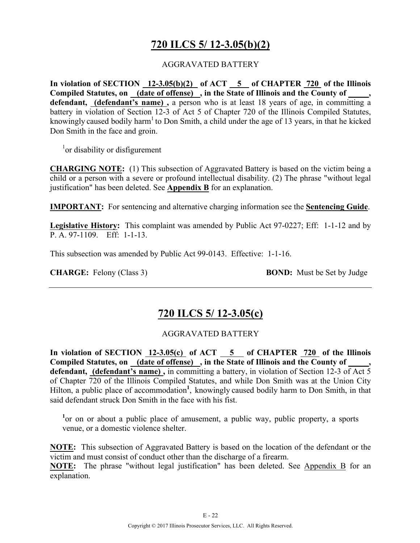# **720 ILCS 5/ 12-3.05(b)(2)**

#### AGGRAVATED BATTERY

**In violation of SECTION 12-3.05(b)(2) of ACT 5 of CHAPTER 720 of the Illinois**  Compiled Statutes, on <u>(date of offense)</u>, in the State of Illinois and the County of  $\,$ , **defendant, (defendant's name) ,** a person who is at least 18 years of age, in committing a battery in violation of Section 12-3 of Act 5 of Chapter 720 of the Illinois Compiled Statutes, knowingly caused bodily harm<sup>1</sup> to Don Smith, a child under the age of 13 years, in that he kicked Don Smith in the face and groin.

<sup>1</sup>or disability or disfigurement

**CHARGING NOTE:** (1) This subsection of Aggravated Battery is based on the victim being a child or a person with a severe or profound intellectual disability. (2) The phrase "without legal justification" has been deleted. See **Appendix B** for an explanation.

**IMPORTANT:** For sentencing and alternative charging information see the **Sentencing Guide**.

**Legislative History:** This complaint was amended by Public Act 97-0227; Eff: 1-1-12 and by P. A. 97-1109. Eff: 1-1-13.

This subsection was amended by Public Act 99-0143. Effective: 1-1-16.

**CHARGE:** Felony (Class 3) **BOND:** Must be Set by Judge

### **720 ILCS 5/ 12-3.05(c)**

#### AGGRAVATED BATTERY

**In violation of SECTION 12-3.05(c) of ACT 5 of CHAPTER 720 of the Illinois Compiled Statutes, on (date of offense) , in the State of Illinois and the County of \_\_\_\_\_, defendant, (defendant's name) ,** in committing a battery, in violation of Section 12-3 of Act 5 of Chapter 720 of the Illinois Compiled Statutes, and while Don Smith was at the Union City Hilton, a public place of accommodation<sup>1</sup>, knowingly caused bodily harm to Don Smith, in that said defendant struck Don Smith in the face with his fist.

<sup>1</sup> or on or about a public place of amusement, a public way, public property, a sports venue, or a domestic violence shelter.

**NOTE:** This subsection of Aggravated Battery is based on the location of the defendant or the victim and must consist of conduct other than the discharge of a firearm.

**NOTE:** The phrase "without legal justification" has been deleted. See Appendix B for an explanation.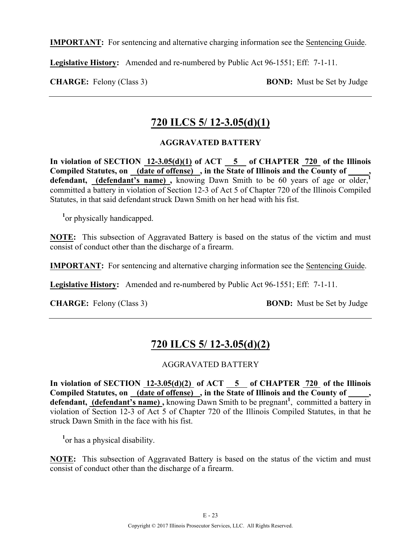**IMPORTANT:** For sentencing and alternative charging information see the Sentencing Guide.

**Legislative History:** Amended and re-numbered by Public Act 96-1551; Eff: 7-1-11.

**CHARGE:** Felony (Class 3) **BOND:** Must be Set by Judge

### **720 ILCS 5/ 12-3.05(d)(1)**

#### **AGGRAVATED BATTERY**

In violation of SECTION  $12-3.05(d)(1)$  of ACT  $-5$  of CHAPTER  $720$  of the Illinois **Compiled Statutes, on (date of offense) , in the State of Illinois and the County of \_\_\_\_\_,**  defendant, **(defendant's name)**, knowing Dawn Smith to be 60 years of age or older,<sup>1</sup> committed a battery in violation of Section 12-3 of Act 5 of Chapter 720 of the Illinois Compiled Statutes, in that said defendant struck Dawn Smith on her head with his fist.

<sup>1</sup> or physically handicapped.

**NOTE:** This subsection of Aggravated Battery is based on the status of the victim and must consist of conduct other than the discharge of a firearm.

**IMPORTANT:** For sentencing and alternative charging information see the Sentencing Guide.

**Legislative History:** Amended and re-numbered by Public Act 96-1551; Eff: 7-1-11.

**CHARGE:** Felony (Class 3) **BOND:** Must be Set by Judge

# **720 ILCS 5/ 12-3.05(d)(2)**

### AGGRAVATED BATTERY

In violation of SECTION  $12-3.05(d)(2)$  of ACT  $-5$  of CHAPTER  $720$  of the Illinois Compiled Statutes, on <u>(date of offense)</u>, in the State of Illinois and the County of \_\_\_\_, defendant, **(defendant's name)**, knowing Dawn Smith to be pregnant<sup>1</sup>, committed a battery in violation of Section 12-3 of Act 5 of Chapter 720 of the Illinois Compiled Statutes, in that he struck Dawn Smith in the face with his fist.

<sup>1</sup> or has a physical disability.

**NOTE:** This subsection of Aggravated Battery is based on the status of the victim and must consist of conduct other than the discharge of a firearm.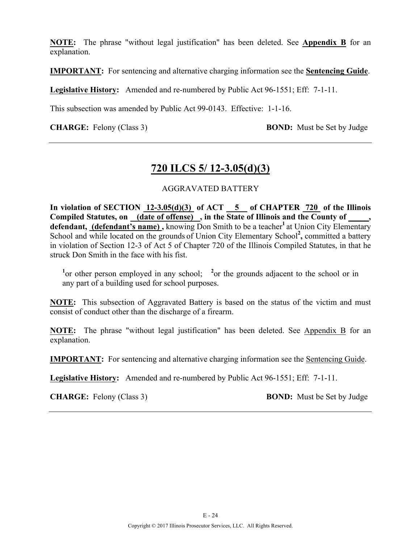**NOTE:** The phrase "without legal justification" has been deleted. See **Appendix B** for an explanation.

**IMPORTANT:** For sentencing and alternative charging information see the **Sentencing Guide**.

**Legislative History:** Amended and re-numbered by Public Act 96-1551; Eff: 7-1-11.

This subsection was amended by Public Act 99-0143. Effective: 1-1-16.

**CHARGE:** Felony (Class 3) **BOND:** Must be Set by Judge

### **720 ILCS 5/ 12-3.05(d)(3)**

#### AGGRAVATED BATTERY

**In violation of SECTION 12-3.05(d)(3) of ACT 5 of CHAPTER 720 of the Illinois**  Compiled Statutes, on (date of offense), in the State of Illinois and the County of, defendant, (defendant's name), knowing Don Smith to be a teacher<sup>1</sup> at Union City Elementary School and while located on the grounds of Union City Elementary School<sup>2</sup>, committed a battery in violation of Section 12-3 of Act 5 of Chapter 720 of the Illinois Compiled Statutes, in that he struck Don Smith in the face with his fist.

<sup>1</sup> or other person employed in any school; <sup>2</sup> or the grounds adjacent to the school or in any part of a building used for school purposes.

**NOTE:** This subsection of Aggravated Battery is based on the status of the victim and must consist of conduct other than the discharge of a firearm.

**NOTE:** The phrase "without legal justification" has been deleted. See Appendix B for an explanation.

**IMPORTANT:** For sentencing and alternative charging information see the Sentencing Guide.

**Legislative History:** Amended and re-numbered by Public Act 96-1551; Eff: 7-1-11.

**CHARGE:** Felony (Class 3) **BOND:** Must be Set by Judge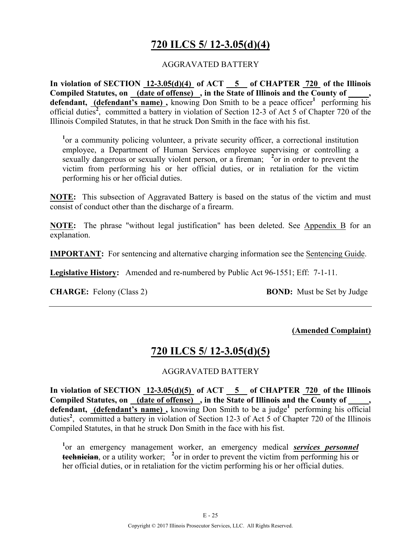## **720 ILCS 5/ 12-3.05(d)(4)**

#### AGGRAVATED BATTERY

**In violation of SECTION 12-3.05(d)(4) of ACT 5 of CHAPTER 720 of the Illinois**  Compiled Statutes, on (date of offense), in the State of Illinois and the County of defendant, **(defendant's name)**, knowing Don Smith to be a peace officer<sup>1</sup> performing his official duties<sup>2</sup>, committed a battery in violation of Section 12-3 of Act 5 of Chapter 720 of the Illinois Compiled Statutes, in that he struck Don Smith in the face with his fist.

<sup>1</sup> or a community policing volunteer, a private security officer, a correctional institution employee, a Department of Human Services employee supervising or controlling a sexually dangerous or sexually violent person, or a fireman; <sup>2</sup> or in order to prevent the victim from performing his or her official duties, or in retaliation for the victim performing his or her official duties.

**NOTE:** This subsection of Aggravated Battery is based on the status of the victim and must consist of conduct other than the discharge of a firearm.

**NOTE:** The phrase "without legal justification" has been deleted. See Appendix B for an explanation.

**IMPORTANT:** For sentencing and alternative charging information see the Sentencing Guide.

**Legislative History:** Amended and re-numbered by Public Act 96-1551; Eff: 7-1-11.

**CHARGE:** Felony (Class 2) **BOND:** Must be Set by Judge

#### **(Amended Complaint)**

### **720 ILCS 5/ 12-3.05(d)(5)**

#### AGGRAVATED BATTERY

In violation of SECTION  $12-3.05(d)(5)$  of ACT  $-5$  of CHAPTER  $720$  of the Illinois Compiled Statutes, on \_(date of offense) \_, in the State of Illinois and the County of defendant, (defendant's name), knowing Don Smith to be a judge<sup>1</sup> performing his official duties<sup>2</sup>, committed a battery in violation of Section 12-3 of Act 5 of Chapter 720 of the Illinois Compiled Statutes, in that he struck Don Smith in the face with his fist.

**1** or an emergency management worker, an emergency medical *services personnel* **technician**, or a utility worker; <sup>2</sup> or in order to prevent the victim from performing his or her official duties, or in retaliation for the victim performing his or her official duties.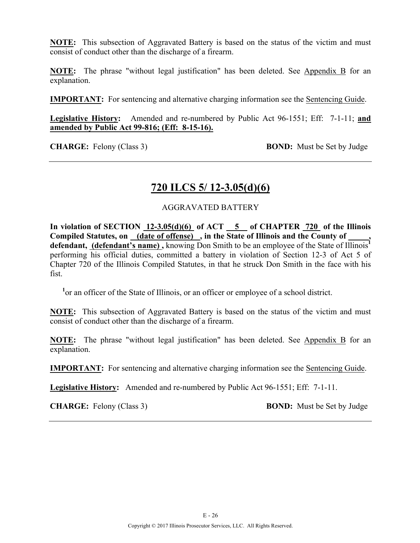**NOTE:** This subsection of Aggravated Battery is based on the status of the victim and must consist of conduct other than the discharge of a firearm.

**NOTE:** The phrase "without legal justification" has been deleted. See Appendix B for an explanation.

**IMPORTANT:** For sentencing and alternative charging information see the Sentencing Guide.

**Legislative History:** Amended and re-numbered by Public Act 96-1551; Eff: 7-1-11; **and amended by Public Act 99-816; (Eff: 8-15-16).**

**CHARGE:** Felony (Class 3) **BOND:** Must be Set by Judge

### **720 ILCS 5/ 12-3.05(d)(6)**

#### AGGRAVATED BATTERY

In violation of SECTION 12-3.05(d)(6) of ACT 5 of CHAPTER 720 of the Illinois Compiled Statutes, on (date of offense), in the State of Illinois and the County of **defendant, (defendant's name) ,** knowing Don Smith to be an employee of the State of Illinois**<sup>1</sup>** performing his official duties, committed a battery in violation of Section 12-3 of Act 5 of Chapter 720 of the Illinois Compiled Statutes, in that he struck Don Smith in the face with his fist.

<sup>1</sup> or an officer of the State of Illinois, or an officer or employee of a school district.

**NOTE:** This subsection of Aggravated Battery is based on the status of the victim and must consist of conduct other than the discharge of a firearm.

**NOTE:** The phrase "without legal justification" has been deleted. See Appendix B for an explanation.

**IMPORTANT:** For sentencing and alternative charging information see the Sentencing Guide.

**Legislative History:** Amended and re-numbered by Public Act 96-1551; Eff: 7-1-11.

**CHARGE:** Felony (Class 3) **BOND:** Must be Set by Judge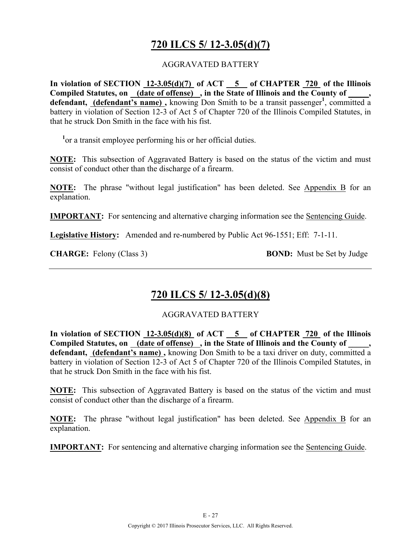# **720 ILCS 5/ 12-3.05(d)(7)**

#### AGGRAVATED BATTERY

**In violation of SECTION 12-3.05(d)(7) of ACT 5 of CHAPTER 720 of the Illinois**  Compiled Statutes, on (date of offense), in the State of Illinois and the County of, defendant, (defendant's name), knowing Don Smith to be a transit passenger<sup>1</sup>, committed a battery in violation of Section 12-3 of Act 5 of Chapter 720 of the Illinois Compiled Statutes, in that he struck Don Smith in the face with his fist.

<sup>1</sup> or a transit employee performing his or her official duties.

**NOTE:** This subsection of Aggravated Battery is based on the status of the victim and must consist of conduct other than the discharge of a firearm.

**NOTE:** The phrase "without legal justification" has been deleted. See Appendix B for an explanation.

**IMPORTANT:** For sentencing and alternative charging information see the Sentencing Guide.

**Legislative History:** Amended and re-numbered by Public Act 96-1551; Eff: 7-1-11.

**CHARGE:** Felony (Class 3) **BOND:** Must be Set by Judge

## **720 ILCS 5/ 12-3.05(d)(8)**

AGGRAVATED BATTERY

**In violation of SECTION 12-3.05(d)(8) of ACT 5 of CHAPTER 720 of the Illinois Compiled Statutes, on (date of offense) , in the State of Illinois and the County of \_\_\_\_\_, defendant, (defendant's name) ,** knowing Don Smith to be a taxi driver on duty, committed a battery in violation of Section 12-3 of Act 5 of Chapter 720 of the Illinois Compiled Statutes, in that he struck Don Smith in the face with his fist.

**NOTE:** This subsection of Aggravated Battery is based on the status of the victim and must consist of conduct other than the discharge of a firearm.

**NOTE:** The phrase "without legal justification" has been deleted. See Appendix B for an explanation.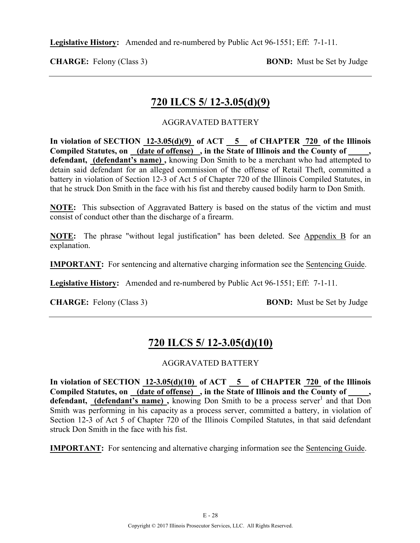**Legislative History:** Amended and re-numbered by Public Act 96-1551; Eff: 7-1-11.

**CHARGE:** Felony (Class 3) **BOND:** Must be Set by Judge

## **720 ILCS 5/ 12-3.05(d)(9)**

### AGGRAVATED BATTERY

In violation of SECTION  $12-3.05(d)(9)$  of ACT  $\overline{5}$  of CHAPTER  $\overline{720}$  of the Illinois **Compiled Statutes, on (date of offense) , in the State of Illinois and the County of \_\_\_\_\_, defendant, (defendant's name) ,** knowing Don Smith to be a merchant who had attempted to detain said defendant for an alleged commission of the offense of Retail Theft, committed a battery in violation of Section 12-3 of Act 5 of Chapter 720 of the Illinois Compiled Statutes, in that he struck Don Smith in the face with his fist and thereby caused bodily harm to Don Smith.

**NOTE:** This subsection of Aggravated Battery is based on the status of the victim and must consist of conduct other than the discharge of a firearm.

**NOTE:** The phrase "without legal justification" has been deleted. See Appendix B for an explanation.

**IMPORTANT:** For sentencing and alternative charging information see the Sentencing Guide.

**Legislative History:** Amended and re-numbered by Public Act 96-1551; Eff: 7-1-11.

**CHARGE:** Felony (Class 3) **BOND:** Must be Set by Judge

# **720 ILCS 5/ 12-3.05(d)(10)**

### AGGRAVATED BATTERY

**In violation of SECTION 12-3.05(d)(10) of ACT 5 of CHAPTER 720 of the Illinois**  Compiled Statutes, on (date of offense), in the State of Illinois and the County of **defendant, (defendant's name)**, knowing Don Smith to be a process server<sup>1</sup> and that Don Smith was performing in his capacity as a process server, committed a battery, in violation of Section 12-3 of Act 5 of Chapter 720 of the Illinois Compiled Statutes, in that said defendant struck Don Smith in the face with his fist.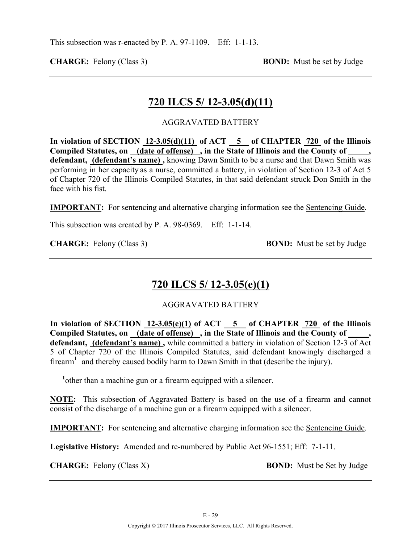**CHARGE:** Felony (Class 3) **BOND:** Must be set by Judge

### **720 ILCS 5/ 12-3.05(d)(11)**

AGGRAVATED BATTERY

**In violation of SECTION 12-3.05(d)(11) of ACT 5 of CHAPTER 720 of the Illinois Compiled Statutes, on (date of offense) , in the State of Illinois and the County of \_\_\_\_\_, defendant, (defendant's name) ,** knowing Dawn Smith to be a nurse and that Dawn Smith was performing in her capacity as a nurse, committed a battery, in violation of Section 12-3 of Act 5 of Chapter 720 of the Illinois Compiled Statutes, in that said defendant struck Don Smith in the face with his fist.

**IMPORTANT:** For sentencing and alternative charging information see the Sentencing Guide.

This subsection was created by P. A. 98-0369. Eff: 1-1-14.

**CHARGE:** Felony (Class 3) **BOND:** Must be set by Judge

### **720 ILCS 5/ 12-3.05(e)(1)**

AGGRAVATED BATTERY

In violation of SECTION  $12-3.05(e)(1)$  of ACT  $-5$  of CHAPTER  $720$  of the Illinois Compiled Statutes, on (date of offense), in the State of Illinois and the County of **defendant, (defendant's name) ,** while committed a battery in violation of Section 12-3 of Act 5 of Chapter 720 of the Illinois Compiled Statutes, said defendant knowingly discharged a firearm**<sup>1</sup>** and thereby caused bodily harm to Dawn Smith in that (describe the injury).

<sup>1</sup> other than a machine gun or a firearm equipped with a silencer.

**NOTE:** This subsection of Aggravated Battery is based on the use of a firearm and cannot consist of the discharge of a machine gun or a firearm equipped with a silencer.

**IMPORTANT:** For sentencing and alternative charging information see the Sentencing Guide.

**Legislative History:** Amended and re-numbered by Public Act 96-1551; Eff: 7-1-11.

**CHARGE:** Felony (Class X) **BOND:** Must be Set by Judge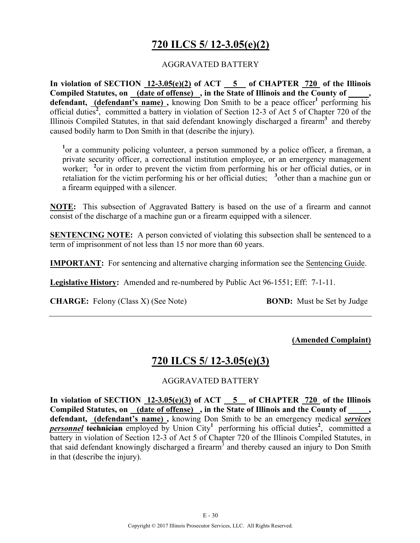# **720 ILCS 5/ 12-3.05(e)(2)**

#### AGGRAVATED BATTERY

**In violation of SECTION 12-3.05(e)(2) of ACT 5 of CHAPTER 720 of the Illinois Compiled Statutes, on (date of offense) , in the State of Illinois and the County of \_\_\_\_\_, defendant, (defendant's name)**, knowing Don Smith to be a peace officer<sup>1</sup> performing his official duties<sup>2</sup>, committed a battery in violation of Section 12-3 of Act 5 of Chapter 720 of the Illinois Compiled Statutes, in that said defendant knowingly discharged a firearm**<sup>3</sup>** and thereby caused bodily harm to Don Smith in that (describe the injury).

<sup>1</sup> or a community policing volunteer, a person summoned by a police officer, a fireman, a private security officer, a correctional institution employee, or an emergency management worker; <sup>2</sup> or in order to prevent the victim from performing his or her official duties, or in retaliation for the victim performing his or her official duties; <sup>3</sup>other than a machine gun or a firearm equipped with a silencer.

**NOTE:** This subsection of Aggravated Battery is based on the use of a firearm and cannot consist of the discharge of a machine gun or a firearm equipped with a silencer.

**SENTENCING NOTE:** A person convicted of violating this subsection shall be sentenced to a term of imprisonment of not less than 15 nor more than 60 years.

**IMPORTANT:** For sentencing and alternative charging information see the Sentencing Guide.

**Legislative History:** Amended and re-numbered by Public Act 96-1551; Eff: 7-1-11.

**CHARGE:** Felony (Class X) (See Note) **BOND:** Must be Set by Judge

#### **(Amended Complaint)**

### **720 ILCS 5/ 12-3.05(e)(3)**

#### AGGRAVATED BATTERY

**In violation of SECTION 12-3.05(e)(3) of ACT 5 of CHAPTER 720 of the Illinois**  Compiled Statutes, on (date of offense), in the State of Illinois and the County of **defendant, (defendant's name) ,** knowing Don Smith to be an emergency medical *services*  **personnel technician** employed by Union City<sup>1</sup> performing his official duties<sup>2</sup>, committed a battery in violation of Section 12-3 of Act 5 of Chapter 720 of the Illinois Compiled Statutes, in that said defendant knowingly discharged a firearm<sup>3</sup> and thereby caused an injury to Don Smith in that (describe the injury).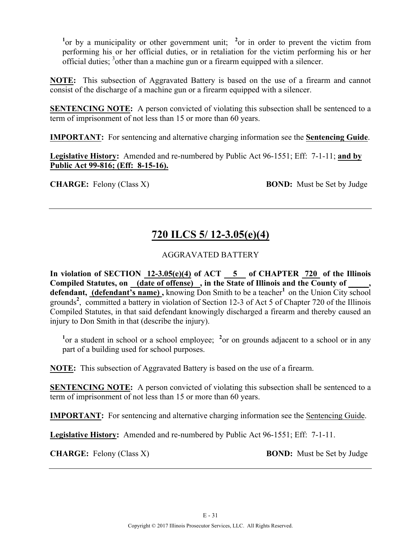<sup>1</sup> or by a municipality or other government unit; <sup>2</sup> or in order to prevent the victim from performing his or her official duties, or in retaliation for the victim performing his or her official duties;  $3$  other than a machine gun or a firearm equipped with a silencer.

**NOTE:** This subsection of Aggravated Battery is based on the use of a firearm and cannot consist of the discharge of a machine gun or a firearm equipped with a silencer.

**SENTENCING NOTE:** A person convicted of violating this subsection shall be sentenced to a term of imprisonment of not less than 15 or more than 60 years.

**IMPORTANT:** For sentencing and alternative charging information see the **Sentencing Guide**.

**Legislative History:** Amended and re-numbered by Public Act 96-1551; Eff: 7-1-11; **and by Public Act 99-816; (Eff: 8-15-16).**

**CHARGE:** Felony (Class X) **BOND:** Must be Set by Judge

# **720 ILCS 5/ 12-3.05(e)(4)**

### AGGRAVATED BATTERY

In violation of SECTION  $12-3.05(e)(4)$  of ACT  $-5$  of CHAPTER  $720$  of the Illinois **Compiled Statutes, on (date of offense) , in the State of Illinois and the County of \_\_\_\_\_, defendant, (defendant's name),** knowing Don Smith to be a teacher<sup>1</sup> on the Union City school grounds<sup>2</sup>, committed a battery in violation of Section 12-3 of Act 5 of Chapter 720 of the Illinois Compiled Statutes, in that said defendant knowingly discharged a firearm and thereby caused an injury to Don Smith in that (describe the injury).

<sup>1</sup> or a student in school or a school employee; <sup>2</sup> or on grounds adjacent to a school or in any part of a building used for school purposes.

**NOTE:** This subsection of Aggravated Battery is based on the use of a firearm.

**SENTENCING NOTE:** A person convicted of violating this subsection shall be sentenced to a term of imprisonment of not less than 15 or more than 60 years.

**IMPORTANT:** For sentencing and alternative charging information see the Sentencing Guide.

**Legislative History:** Amended and re-numbered by Public Act 96-1551; Eff: 7-1-11.

**CHARGE:** Felony (Class X) **BOND:** Must be Set by Judge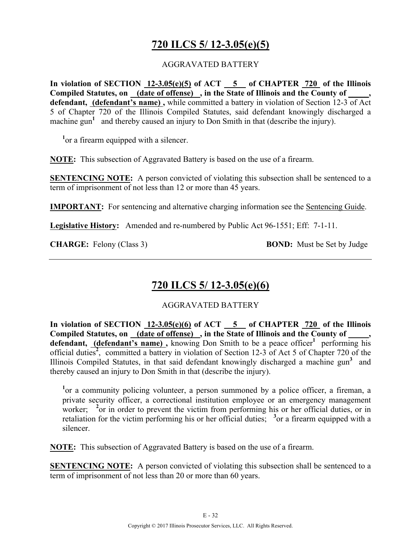# **720 ILCS 5/ 12-3.05(e)(5)**

#### AGGRAVATED BATTERY

**In violation of SECTION 12-3.05(e)(5) of ACT 5 of CHAPTER 720 of the Illinois Compiled Statutes, on (date of offense) , in the State of Illinois and the County of \_\_\_\_\_, defendant, (defendant's name) ,** while committed a battery in violation of Section 12-3 of Act 5 of Chapter 720 of the Illinois Compiled Statutes, said defendant knowingly discharged a machine gun<sup>1</sup> and thereby caused an injury to Don Smith in that (describe the injury).

<sup>1</sup> or a firearm equipped with a silencer.

**NOTE:** This subsection of Aggravated Battery is based on the use of a firearm.

**SENTENCING NOTE:** A person convicted of violating this subsection shall be sentenced to a term of imprisonment of not less than 12 or more than 45 years.

**IMPORTANT:** For sentencing and alternative charging information see the Sentencing Guide.

**Legislative History:** Amended and re-numbered by Public Act 96-1551; Eff: 7-1-11.

**CHARGE:** Felony (Class 3) **BOND:** Must be Set by Judge

## **720 ILCS 5/ 12-3.05(e)(6)**

AGGRAVATED BATTERY

**In violation of SECTION 12-3.05(e)(6) of ACT 5 of CHAPTER 720 of the Illinois**  Compiled Statutes, on (date of offense), in the State of Illinois and the County of defendant, (defendant's name), knowing Don Smith to be a peace officer<sup>1</sup> performing his official duties<sup>2</sup>, committed a battery in violation of Section 12-3 of Act 5 of Chapter 720 of the Illinois Compiled Statutes, in that said defendant knowingly discharged a machine gun<sup>3</sup> and thereby caused an injury to Don Smith in that (describe the injury).

<sup>1</sup> or a community policing volunteer, a person summoned by a police officer, a fireman, a private security officer, a correctional institution employee or an emergency management worker; <sup>2</sup> or in order to prevent the victim from performing his or her official duties, or in retaliation for the victim performing his or her official duties;  $\frac{3}{2}$  or a firearm equipped with a silencer.

**NOTE:** This subsection of Aggravated Battery is based on the use of a firearm.

**SENTENCING NOTE:** A person convicted of violating this subsection shall be sentenced to a term of imprisonment of not less than 20 or more than 60 years.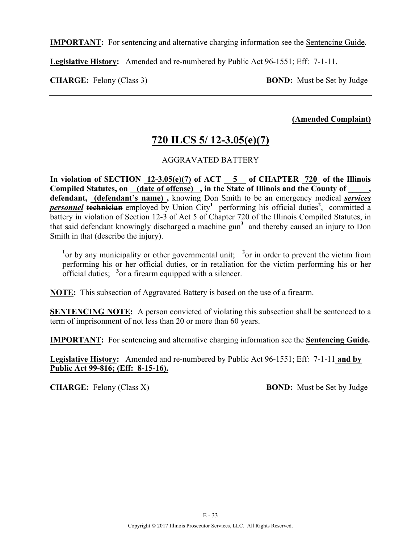**IMPORTANT:** For sentencing and alternative charging information see the Sentencing Guide.

**Legislative History:** Amended and re-numbered by Public Act 96-1551; Eff: 7-1-11.

**CHARGE:** Felony (Class 3) **BOND:** Must be Set by Judge

**(Amended Complaint)**

# **720 ILCS 5/ 12-3.05(e)(7)**

#### AGGRAVATED BATTERY

In violation of SECTION  $12-3.05(e)(7)$  of ACT  $-5$  of CHAPTER  $720$  of the Illinois **Compiled Statutes, on (date of offense) , in the State of Illinois and the County of \_\_\_\_\_, defendant, (defendant's name) ,** knowing Don Smith to be an emergency medical *services*  **personnel technician** employed by Union City<sup>1</sup> performing his official duties<sup>2</sup>, committed a battery in violation of Section 12-3 of Act 5 of Chapter 720 of the Illinois Compiled Statutes, in that said defendant knowingly discharged a machine gun**<sup>3</sup>** and thereby caused an injury to Don Smith in that (describe the injury).

<sup>1</sup> or by any municipality or other governmental unit; <sup>2</sup> or in order to prevent the victim from performing his or her official duties, or in retaliation for the victim performing his or her official duties; **<sup>3</sup>** or a firearm equipped with a silencer.

**NOTE:** This subsection of Aggravated Battery is based on the use of a firearm.

**SENTENCING NOTE:** A person convicted of violating this subsection shall be sentenced to a term of imprisonment of not less than 20 or more than 60 years.

**IMPORTANT:** For sentencing and alternative charging information see the **Sentencing Guide.**

**Legislative History:** Amended and re-numbered by Public Act 96-1551; Eff: 7-1-11 **and by Public Act 99-816; (Eff: 8-15-16).**

**CHARGE:** Felony (Class X) **BOND:** Must be Set by Judge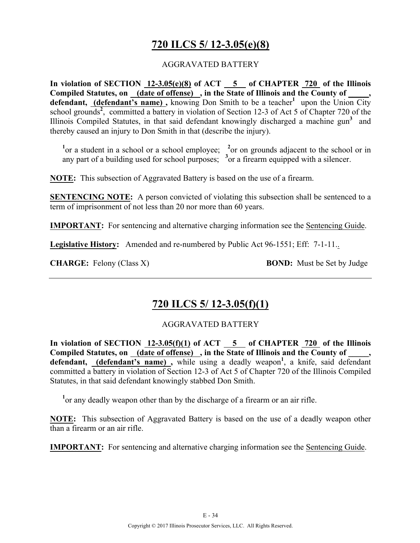# **720 ILCS 5/ 12-3.05(e)(8)**

#### AGGRAVATED BATTERY

**In violation of SECTION 12-3.05(e)(8) of ACT 5 of CHAPTER 720 of the Illinois**  Compiled Statutes, on **(date of offense)**, in the State of Illinois and the County of defendant, **(defendant's name)**, knowing Don Smith to be a teacher<sup>1</sup> upon the Union City school grounds<sup>2</sup>, committed a battery in violation of Section 12-3 of Act 5 of Chapter 720 of the Illinois Compiled Statutes, in that said defendant knowingly discharged a machine gun<sup>3</sup> and thereby caused an injury to Don Smith in that (describe the injury).

<sup>1</sup> or a student in a school or a school employee; <sup>2</sup> or on grounds adjacent to the school or in any part of a building used for school purposes; **<sup>3</sup>** or a firearm equipped with a silencer.

**NOTE:** This subsection of Aggravated Battery is based on the use of a firearm.

**SENTENCING NOTE:** A person convicted of violating this subsection shall be sentenced to a term of imprisonment of not less than 20 nor more than 60 years.

**IMPORTANT:** For sentencing and alternative charging information see the Sentencing Guide.

**Legislative History:** Amended and re-numbered by Public Act 96-1551; Eff: 7-1-11..

**CHARGE:** Felony (Class X) **BOND:** Must be Set by Judge

## **720 ILCS 5/ 12-3.05(f)(1)**

### AGGRAVATED BATTERY

In violation of SECTION  $\overline{12\text{-}3.05(f)(1)}$  of ACT  $\overline{5}$  of CHAPTER  $\overline{720}$  of the Illinois Compiled Statutes, on <u>(date of offense)</u>, in the State of Illinois and the County of \_\_\_\_, defendant, *(defendant's name)*, while using a deadly weapon<sup>1</sup>, a knife, said defendant committed a battery in violation of Section 12-3 of Act 5 of Chapter 720 of the Illinois Compiled Statutes, in that said defendant knowingly stabbed Don Smith.

<sup>1</sup> or any deadly weapon other than by the discharge of a firearm or an air rifle.

**NOTE:** This subsection of Aggravated Battery is based on the use of a deadly weapon other than a firearm or an air rifle.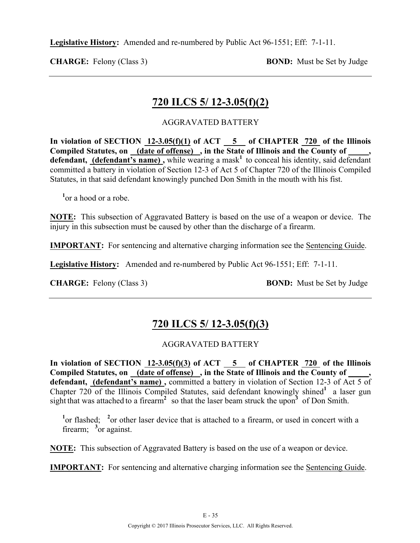**Legislative History:** Amended and re-numbered by Public Act 96-1551; Eff: 7-1-11.

**CHARGE:** Felony (Class 3) **BOND:** Must be Set by Judge

### **720 ILCS 5/ 12-3.05(f)(2)**

#### AGGRAVATED BATTERY

In violation of SECTION  $12-3.05(f)(1)$  of ACT  $-5$  of CHAPTER  $720$  of the Illinois **Compiled Statutes, on (date of offense) , in the State of Illinois and the County of \_\_\_\_\_,**  defendant, (defendant's name), while wearing a mask<sup>1</sup> to conceal his identity, said defendant committed a battery in violation of Section 12-3 of Act 5 of Chapter 720 of the Illinois Compiled Statutes, in that said defendant knowingly punched Don Smith in the mouth with his fist.

**1** or a hood or a robe.

**NOTE:** This subsection of Aggravated Battery is based on the use of a weapon or device. The injury in this subsection must be caused by other than the discharge of a firearm.

**IMPORTANT:** For sentencing and alternative charging information see the Sentencing Guide.

**Legislative History:** Amended and re-numbered by Public Act 96-1551; Eff: 7-1-11.

**CHARGE:** Felony (Class 3) **BOND:** Must be Set by Judge

## **720 ILCS 5/ 12-3.05(f)(3)**

#### AGGRAVATED BATTERY

**In violation of SECTION 12-3.05(f)(3) of ACT 5 of CHAPTER 720 of the Illinois**  Compiled Statutes, on \_(date of offense) \_, in the State of Illinois and the County of \_ defendant, (defendant's name), committed a battery in violation of Section 12-3 of Act 5 of Chapter 720 of the Illinois Compiled Statutes, said defendant knowingly shined<sup>1</sup> a laser gun sight that was attached to a firearm**<sup>2</sup>** so that the laser beam struck the upon**3** of Don Smith.

<sup>1</sup> or flashed; <sup>2</sup> or other laser device that is attached to a firearm, or used in concert with a firearm; <sup>3</sup> or against.

**NOTE:** This subsection of Aggravated Battery is based on the use of a weapon or device.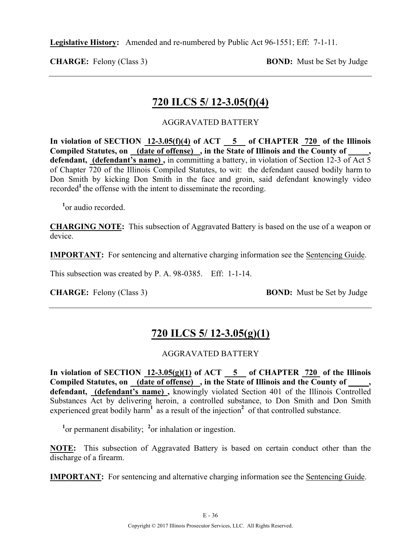**Legislative History:** Amended and re-numbered by Public Act 96-1551; Eff: 7-1-11.

**CHARGE:** Felony (Class 3) **BOND:** Must be Set by Judge

### **720 ILCS 5/ 12-3.05(f)(4)**

#### AGGRAVATED BATTERY

In violation of SECTION  $12-3.05(f)(4)$  of ACT  $\overline{5}$  of CHAPTER  $\overline{720}$  of the Illinois **Compiled Statutes, on (date of offense) , in the State of Illinois and the County of \_\_\_\_\_, defendant, (defendant's name) ,** in committing a battery, in violation of Section 12-3 of Act 5 of Chapter 720 of the Illinois Compiled Statutes, to wit: the defendant caused bodily harm to Don Smith by kicking Don Smith in the face and groin, said defendant knowingly video recorded<sup>1</sup> the offense with the intent to disseminate the recording.

<sup>1</sup><sub>or</sub> audio recorded.

**CHARGING NOTE:** This subsection of Aggravated Battery is based on the use of a weapon or device.

**IMPORTANT:** For sentencing and alternative charging information see the Sentencing Guide.

This subsection was created by P. A. 98-0385. Eff: 1-1-14.

**CHARGE:** Felony (Class 3) **BOND:** Must be Set by Judge

## **720 ILCS 5/ 12-3.05(g)(1)**

#### AGGRAVATED BATTERY

In violation of SECTION  $12-3.05(g)(1)$  of ACT  $-5$  of CHAPTER  $720$  of the Illinois Compiled Statutes, on (date of offense), in the State of Illinois and the County of **defendant, (defendant's name) ,** knowingly violated Section 401 of the Illinois Controlled Substances Act by delivering heroin, a controlled substance, to Don Smith and Don Smith experienced great bodily harm<sup>1</sup> as a result of the injection<sup>2</sup> of that controlled substance.

<sup>1</sup><sup>or</sup> permanent disability; <sup>2</sup><sub>or</sub> inhalation or ingestion.

**NOTE:** This subsection of Aggravated Battery is based on certain conduct other than the discharge of a firearm.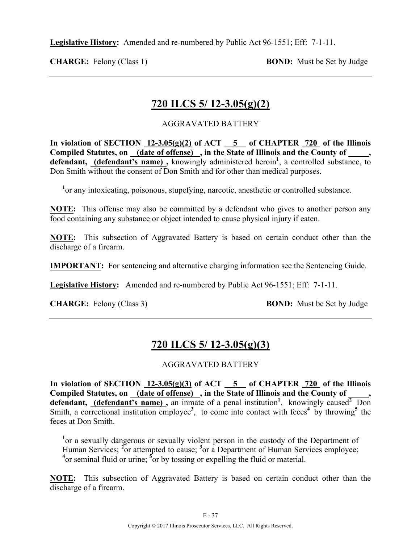**Legislative History:** Amended and re-numbered by Public Act 96-1551; Eff: 7-1-11.

**CHARGE:** Felony (Class 1) **BOND:** Must be Set by Judge

## **720 ILCS 5/ 12-3.05(g)(2)**

### AGGRAVATED BATTERY

**In violation of SECTION 12-3.05(g)(2) of ACT 5 of CHAPTER 720 of the Illinois**  Compiled Statutes, on (date of offense), in the State of Illinois and the County of defendant, (defendant's name), knowingly administered heroin<sup>1</sup>, a controlled substance, to Don Smith without the consent of Don Smith and for other than medical purposes.

<sup>1</sup> or any intoxicating, poisonous, stupefying, narcotic, anesthetic or controlled substance.

**NOTE:** This offense may also be committed by a defendant who gives to another person any food containing any substance or object intended to cause physical injury if eaten.

**NOTE:** This subsection of Aggravated Battery is based on certain conduct other than the discharge of a firearm.

**IMPORTANT:** For sentencing and alternative charging information see the Sentencing Guide.

**Legislative History:** Amended and re-numbered by Public Act 96-1551; Eff: 7-1-11.

**CHARGE:** Felony (Class 3) **BOND:** Must be Set by Judge

# **720 ILCS 5/ 12-3.05(g)(3)**

### AGGRAVATED BATTERY

In violation of SECTION  $12-3.05(g)(3)$  of ACT  $-5$  of CHAPTER  $720$  of the Illinois Compiled Statutes, on (date of offense), in the State of Illinois and the County of defendant, (defendant's name), an inmate of a penal institution<sup>1</sup>, knowingly caused<sup>2</sup> Don Smith, a correctional institution employee<sup>3</sup>, to come into contact with feces<sup>4</sup> by throwing<sup>5</sup> the feces at Don Smith.

<sup>1</sup> or a sexually dangerous or sexually violent person in the custody of the Department of Human Services; <sup>2</sup>or attempted to cause; <sup>3</sup>or a Department of Human Services employee; <sup>4</sup> or seminal fluid or urine; <sup>5</sup> or by tossing or expelling the fluid or material.

**NOTE:** This subsection of Aggravated Battery is based on certain conduct other than the discharge of a firearm.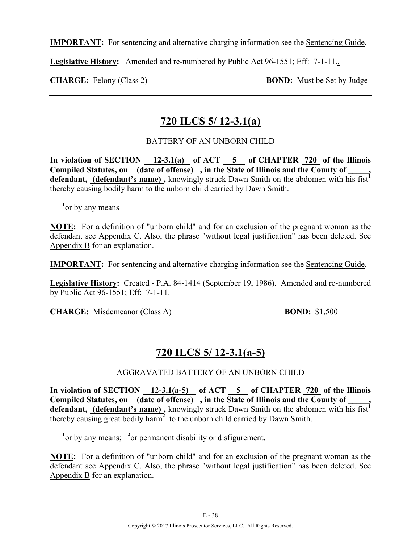**IMPORTANT:** For sentencing and alternative charging information see the Sentencing Guide.

**Legislative History:** Amended and re-numbered by Public Act 96-1551; Eff: 7-1-11..

**CHARGE:** Felony (Class 2) **BOND:** Must be Set by Judge

### **720 ILCS 5/ 12-3.1(a)**

### BATTERY OF AN UNBORN CHILD

In violation of SECTION 12-3.1(a) of ACT 5 of CHAPTER 720 of the Illinois Compiled Statutes, on (date of offense), in the State of Illinois and the County of defendant, **(defendant's name)**, knowingly struck Dawn Smith on the abdomen with his fist<sup>1</sup> thereby causing bodily harm to the unborn child carried by Dawn Smith.

<sup>1</sup> or by any means

**NOTE:** For a definition of "unborn child" and for an exclusion of the pregnant woman as the defendant see Appendix C. Also, the phrase "without legal justification" has been deleted. See Appendix B for an explanation.

**IMPORTANT:** For sentencing and alternative charging information see the Sentencing Guide.

**Legislative History:** Created - P.A. 84-1414 (September 19, 1986). Amended and re-numbered by Public Act 96-1551; Eff: 7-1-11.

**CHARGE:** Misdemeanor (Class A) **BOND:** \$1,500

## **720 ILCS 5/ 12-3.1(a-5)**

#### AGGRAVATED BATTERY OF AN UNBORN CHILD

In violation of SECTION 12-3.1(a-5) of ACT 5 of CHAPTER 720 of the Illinois **Compiled Statutes, on (date of offense) , in the State of Illinois and the County of \_\_\_\_\_,**  defendant, **(defendant's name)**, knowingly struck Dawn Smith on the abdomen with his fist<sup>1</sup> thereby causing great bodily harm**<sup>2</sup>** to the unborn child carried by Dawn Smith.

<sup>1</sup><sup>or</sup> by any means; <sup>2</sup><sup>or</sup> permanent disability or disfigurement.

**NOTE:** For a definition of "unborn child" and for an exclusion of the pregnant woman as the defendant see Appendix C. Also, the phrase "without legal justification" has been deleted. See Appendix B for an explanation.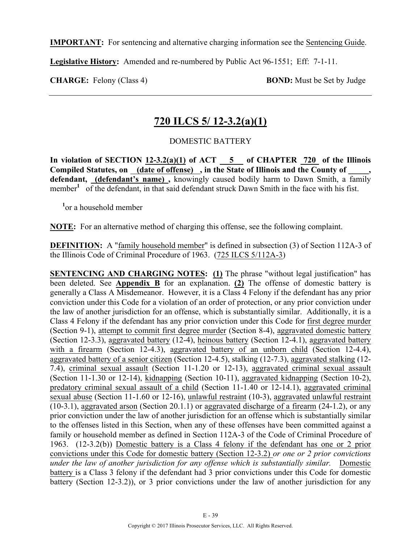**IMPORTANT:** For sentencing and alternative charging information see the Sentencing Guide.

**Legislative History:** Amended and re-numbered by Public Act 96-1551; Eff: 7-1-11.

**CHARGE:** Felony (Class 4) **BOND:** Must be Set by Judge

## **720 ILCS 5/ 12-3.2(a)(1)**

### DOMESTIC BATTERY

**In violation of SECTION 12-3.2(a)(1) of ACT 5 of CHAPTER 720 of the Illinois**  Compiled Statutes, on (date of offense), in the State of Illinois and the County of **defendant, (defendant's name) ,** knowingly caused bodily harm to Dawn Smith, a family member<sup>1</sup> of the defendant, in that said defendant struck Dawn Smith in the face with his fist.

**1** or a household member

**NOTE:** For an alternative method of charging this offense, see the following complaint.

**DEFINITION:** A "family household member" is defined in subsection (3) of Section 112A-3 of the Illinois Code of Criminal Procedure of 1963. (725 ILCS 5/112A-3)

**SENTENCING AND CHARGING NOTES:** (1) The phrase "without legal justification" has been deleted. See **Appendix B** for an explanation. **(2)** The offense of domestic battery is generally a Class A Misdemeanor. However, it is a Class 4 Felony if the defendant has any prior conviction under this Code for a violation of an order of protection, or any prior conviction under the law of another jurisdiction for an offense, which is substantially similar. Additionally, it is a Class 4 Felony if the defendant has any prior conviction under this Code for first degree murder (Section 9-1), attempt to commit first degree murder (Section 8-4), aggravated domestic battery (Section 12-3.3), aggravated battery (12-4), heinous battery (Section 12-4.1), aggravated battery with a firearm (Section 12-4.3), aggravated battery of an unborn child (Section 12-4.4), aggravated battery of a senior citizen (Section 12-4.5), stalking (12-7.3), aggravated stalking (12- 7.4), criminal sexual assault (Section 11-1.20 or 12-13), aggravated criminal sexual assault (Section 11-1.30 or 12-14), kidnapping (Section 10-11), aggravated kidnapping (Section 10-2), predatory criminal sexual assault of a child (Section 11-1.40 or 12-14.1), aggravated criminal sexual abuse (Section 11-1.60 or 12-16), unlawful restraint (10-3), aggravated unlawful restraint (10-3.1), aggravated arson (Section 20.1.1) or aggravated discharge of a firearm (24-1.2), or any prior conviction under the law of another jurisdiction for an offense which is substantially similar to the offenses listed in this Section, when any of these offenses have been committed against a family or household member as defined in Section 112A-3 of the Code of Criminal Procedure of 1963. (12-3.2(b)) Domestic battery is a Class 4 felony if the defendant has one or 2 prior convictions under this Code for domestic battery (Section 12-3.2) *or one or 2 prior convictions under the law of another jurisdiction for any offense which is substantially similar.* Domestic battery is a Class 3 felony if the defendant had 3 prior convictions under this Code for domestic battery (Section 12-3.2)), or 3 prior convictions under the law of another jurisdiction for any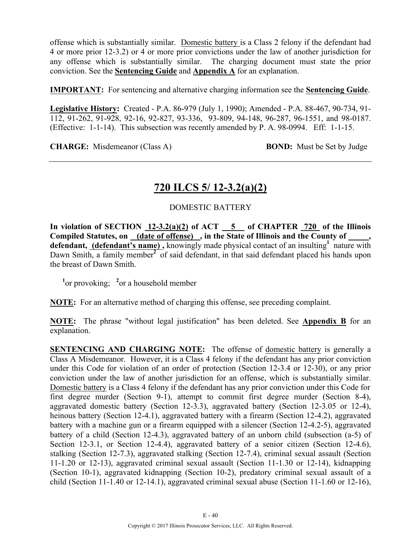offense which is substantially similar. Domestic battery is a Class 2 felony if the defendant had 4 or more prior 12-3.2) or 4 or more prior convictions under the law of another jurisdiction for any offense which is substantially similar. The charging document must state the prior conviction. See the **Sentencing Guide** and **Appendix A** for an explanation.

**IMPORTANT:** For sentencing and alternative charging information see the **Sentencing Guide**.

**Legislative History:** Created - P.A. 86-979 (July 1, 1990); Amended - P.A. 88-467, 90-734, 91- 112, 91-262, 91-928, 92-16, 92-827, 93-336, 93-809, 94-148, 96-287, 96-1551, and 98-0187. (Effective: 1-1-14). This subsection was recently amended by P. A. 98-0994. Eff: 1-1-15.

**CHARGE:** Misdemeanor (Class A) **BOND:** Must be Set by Judge

### **720 ILCS 5/ 12-3.2(a)(2)**

### DOMESTIC BATTERY

**In violation of SECTION 12-3.2(a)(2) of ACT 5 of CHAPTER 720 of the Illinois Compiled Statutes, on (date of offense) , in the State of Illinois and the County of \_\_\_\_\_, defendant, (defendant's name) ,** knowingly made physical contact of an insulting**<sup>1</sup>** nature with Dawn Smith, a family member**<sup>2</sup>** of said defendant, in that said defendant placed his hands upon the breast of Dawn Smith.

<sup>1</sup> or provoking; <sup>2</sup> or a household member

**NOTE:** For an alternative method of charging this offense, see preceding complaint.

**NOTE:** The phrase "without legal justification" has been deleted. See **Appendix B** for an explanation.

**SENTENCING AND CHARGING NOTE:** The offense of domestic battery is generally a Class A Misdemeanor. However, it is a Class 4 felony if the defendant has any prior conviction under this Code for violation of an order of protection (Section 12-3.4 or 12-30), or any prior conviction under the law of another jurisdiction for an offense, which is substantially similar. Domestic battery is a Class 4 felony if the defendant has any prior conviction under this Code for first degree murder (Section 9-1), attempt to commit first degree murder (Section 8-4), aggravated domestic battery (Section 12-3.3), aggravated battery (Section 12-3.05 or 12-4), heinous battery (Section 12-4.1), aggravated battery with a firearm (Section 12-4.2), aggravated battery with a machine gun or a firearm equipped with a silencer (Section 12-4.2-5), aggravated battery of a child (Section 12-4.3), aggravated battery of an unborn child (subsection (a-5) of Section 12-3.1, or Section 12-4.4), aggravated battery of a senior citizen (Section 12-4.6), stalking (Section 12-7.3), aggravated stalking (Section 12-7.4), criminal sexual assault (Section 11-1.20 or 12-13), aggravated criminal sexual assault (Section 11-1.30 or 12-14), kidnapping (Section 10-1), aggravated kidnapping (Section 10-2), predatory criminal sexual assault of a child (Section 11-1.40 or 12-14.1), aggravated criminal sexual abuse (Section 11-1.60 or 12-16),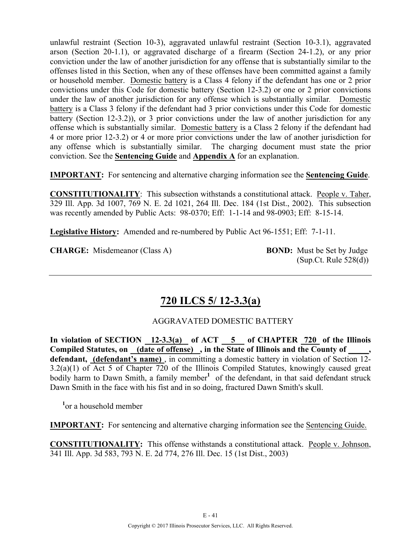unlawful restraint (Section 10-3), aggravated unlawful restraint (Section 10-3.1), aggravated arson (Section 20-1.1), or aggravated discharge of a firearm (Section 24-1.2), or any prior conviction under the law of another jurisdiction for any offense that is substantially similar to the offenses listed in this Section, when any of these offenses have been committed against a family or household member. Domestic battery is a Class 4 felony if the defendant has one or 2 prior convictions under this Code for domestic battery (Section 12-3.2) or one or 2 prior convictions under the law of another jurisdiction for any offense which is substantially similar*.* Domestic battery is a Class 3 felony if the defendant had 3 prior convictions under this Code for domestic battery (Section 12-3.2)), or 3 prior convictions under the law of another jurisdiction for any offense which is substantially similar. Domestic battery is a Class 2 felony if the defendant had 4 or more prior 12-3.2) or 4 or more prior convictions under the law of another jurisdiction for any offense which is substantially similar. The charging document must state the prior conviction. See the **Sentencing Guide** and **Appendix A** for an explanation.

**IMPORTANT:** For sentencing and alternative charging information see the **Sentencing Guide**.

**CONSTITUTIONALITY**: This subsection withstands a constitutional attack. People v. Taher, 329 Ill. App. 3d 1007, 769 N. E. 2d 1021, 264 Ill. Dec. 184 (1st Dist., 2002). This subsection was recently amended by Public Acts: 98-0370; Eff: 1-1-14 and 98-0903; Eff: 8-15-14.

**Legislative History:** Amended and re-numbered by Public Act 96-1551; Eff: 7-1-11.

**CHARGE:** Misdemeanor (Class A) **BOND:** Must be Set by Judge

(Sup.Ct. Rule 528(d))

## **720 ILCS 5/ 12-3.3(a)**

### AGGRAVATED DOMESTIC BATTERY

In violation of SECTION 12-3.3(a) of ACT 5 of CHAPTER 720 of the Illinois **Compiled Statutes, on (date of offense) , in the State of Illinois and the County of \_\_\_\_\_, defendant, (defendant's name)** , in committing a domestic battery in violation of Section 12- 3.2(a)(1) of Act 5 of Chapter 720 of the Illinois Compiled Statutes, knowingly caused great bodily harm to Dawn Smith, a family member<sup>1</sup> of the defendant, in that said defendant struck Dawn Smith in the face with his fist and in so doing, fractured Dawn Smith's skull.

**1** or a household member

**IMPORTANT:** For sentencing and alternative charging information see the Sentencing Guide.

**CONSTITUTIONALITY:** This offense withstands a constitutional attack. People v. Johnson, 341 Ill. App. 3d 583, 793 N. E. 2d 774, 276 Ill. Dec. 15 (1st Dist., 2003)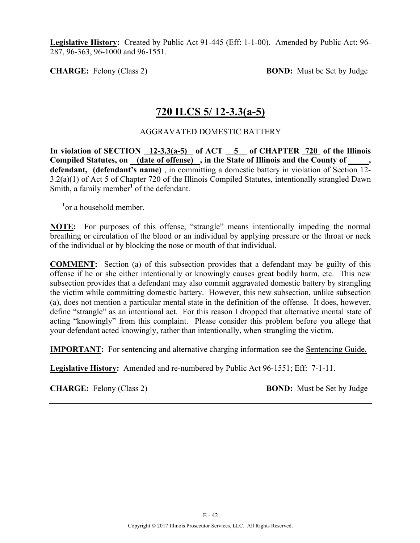**Legislative History:** Created by Public Act 91-445 (Eff: 1-1-00). Amended by Public Act: 96- 287, 96-363, 96-1000 and 96-1551.

**CHARGE:** Felony (Class 2) **BOND:** Must be Set by Judge

### **720 ILCS 5/ 12-3.3(a-5)**

#### AGGRAVATED DOMESTIC BATTERY

In violation of SECTION 12-3.3(a-5) of ACT 5 of CHAPTER 720 of the Illinois **Compiled Statutes, on (date of offense) , in the State of Illinois and the County of \_\_\_\_\_, defendant, (defendant's name)** , in committing a domestic battery in violation of Section 12- 3.2(a)(1) of Act 5 of Chapter 720 of the Illinois Compiled Statutes, intentionally strangled Dawn Smith, a family member**<sup>1</sup>** of the defendant.

**1** or a household member.

**NOTE:** For purposes of this offense, "strangle" means intentionally impeding the normal breathing or circulation of the blood or an individual by applying pressure or the throat or neck of the individual or by blocking the nose or mouth of that individual.

**COMMENT:** Section (a) of this subsection provides that a defendant may be guilty of this offense if he or she either intentionally or knowingly causes great bodily harm, etc. This new subsection provides that a defendant may also commit aggravated domestic battery by strangling the victim while committing domestic battery. However, this new subsection, unlike subsection (a), does not mention a particular mental state in the definition of the offense. It does, however, define "strangle" as an intentional act. For this reason I dropped that alternative mental state of acting "knowingly" from this complaint. Please consider this problem before you allege that your defendant acted knowingly, rather than intentionally, when strangling the victim.

**IMPORTANT:** For sentencing and alternative charging information see the Sentencing Guide.

**Legislative History:** Amended and re-numbered by Public Act 96-1551; Eff: 7-1-11.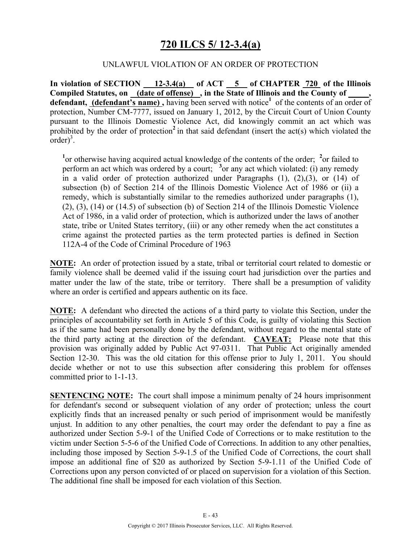## **720 ILCS 5/ 12-3.4(a)**

#### UNLAWFUL VIOLATION OF AN ORDER OF PROTECTION

**In violation of SECTION 12-3.4(a) of ACT 5 of CHAPTER 720 of the Illinois Compiled Statutes, on (date of offense) , in the State of Illinois and the County of \_\_\_\_\_, defendant, (defendant's name),** having been served with notice<sup>1</sup> of the contents of an order of protection, Number CM-7777, issued on January 1, 2012, by the Circuit Court of Union County pursuant to the Illinois Domestic Violence Act, did knowingly commit an act which was prohibited by the order of protection<sup>2</sup> in that said defendant (insert the act(s) which violated the  $\text{order}$ )<sup>3</sup>.

<sup>1</sup> or otherwise having acquired actual knowledge of the contents of the order; <sup>2</sup> or failed to perform an act which was ordered by a court;  $\frac{3}{2}$  or any act which violated: (i) any remedy in a valid order of protection authorized under Paragraphs (1), (2),(3), or (14) of subsection (b) of Section 214 of the Illinois Domestic Violence Act of 1986 or (ii) a remedy, which is substantially similar to the remedies authorized under paragraphs (1), (2), (3), (14) or (14.5) of subsection (b) of Section 214 of the Illinois Domestic Violence Act of 1986, in a valid order of protection, which is authorized under the laws of another state, tribe or United States territory, (iii) or any other remedy when the act constitutes a crime against the protected parties as the term protected parties is defined in Section 112A-4 of the Code of Criminal Procedure of 1963

**NOTE:** An order of protection issued by a state, tribal or territorial court related to domestic or family violence shall be deemed valid if the issuing court had jurisdiction over the parties and matter under the law of the state, tribe or territory. There shall be a presumption of validity where an order is certified and appears authentic on its face.

**NOTE:** A defendant who directed the actions of a third party to violate this Section, under the principles of accountability set forth in Article 5 of this Code, is guilty of violating this Section as if the same had been personally done by the defendant, without regard to the mental state of the third party acting at the direction of the defendant. **CAVEAT:** Please note that this provision was originally added by Public Act 97-0311. That Public Act originally amended Section 12-30. This was the old citation for this offense prior to July 1, 2011. You should decide whether or not to use this subsection after considering this problem for offenses committed prior to 1-1-13.

**SENTENCING NOTE:** The court shall impose a minimum penalty of 24 hours imprisonment for defendant's second or subsequent violation of any order of protection; unless the court explicitly finds that an increased penalty or such period of imprisonment would be manifestly unjust. In addition to any other penalties, the court may order the defendant to pay a fine as authorized under Section 5-9-1 of the Unified Code of Corrections or to make restitution to the victim under Section 5-5-6 of the Unified Code of Corrections. In addition to any other penalties, including those imposed by Section 5-9-1.5 of the Unified Code of Corrections, the court shall impose an additional fine of \$20 as authorized by Section 5-9-1.11 of the Unified Code of Corrections upon any person convicted of or placed on supervision for a violation of this Section. The additional fine shall be imposed for each violation of this Section.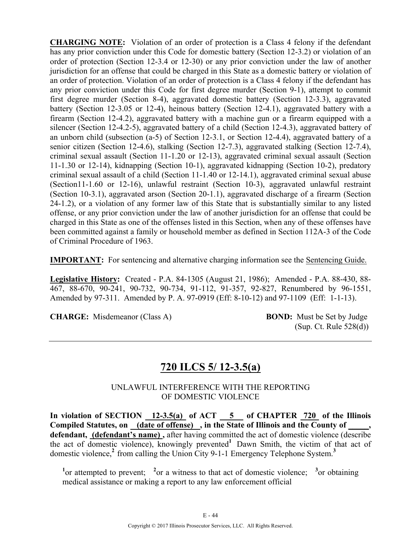**CHARGING NOTE:** Violation of an order of protection is a Class 4 felony if the defendant has any prior conviction under this Code for domestic battery (Section 12-3.2) or violation of an order of protection (Section 12-3.4 or 12-30) or any prior conviction under the law of another jurisdiction for an offense that could be charged in this State as a domestic battery or violation of an order of protection. Violation of an order of protection is a Class 4 felony if the defendant has any prior conviction under this Code for first degree murder (Section 9-1), attempt to commit first degree murder (Section 8-4), aggravated domestic battery (Section 12-3.3), aggravated battery (Section 12-3.05 or 12-4), heinous battery (Section 12-4.1), aggravated battery with a firearm (Section 12-4.2), aggravated battery with a machine gun or a firearm equipped with a silencer (Section 12-4.2-5), aggravated battery of a child (Section 12-4.3), aggravated battery of an unborn child (subsection (a-5) of Section 12-3.1, or Section 12-4.4), aggravated battery of a senior citizen (Section 12-4.6), stalking (Section 12-7.3), aggravated stalking (Section 12-7.4), criminal sexual assault (Section 11-1.20 or 12-13), aggravated criminal sexual assault (Section 11-1.30 or 12-14), kidnapping (Section 10-1), aggravated kidnapping (Section 10-2), predatory criminal sexual assault of a child (Section 11-1.40 or 12-14.1), aggravated criminal sexual abuse (Section11-1.60 or 12-16), unlawful restraint (Section 10-3), aggravated unlawful restraint (Section 10-3.1), aggravated arson (Section 20-1.1), aggravated discharge of a firearm (Section 24-1.2), or a violation of any former law of this State that is substantially similar to any listed offense, or any prior conviction under the law of another jurisdiction for an offense that could be charged in this State as one of the offenses listed in this Section, when any of these offenses have been committed against a family or household member as defined in Section 112A-3 of the Code of Criminal Procedure of 1963.

**IMPORTANT:** For sentencing and alternative charging information see the Sentencing Guide.

**Legislative History:** Created - P.A. 84-1305 (August 21, 1986); Amended - P.A. 88-430, 88- 467, 88-670, 90-241, 90-732, 90-734, 91-112, 91-357, 92-827, Renumbered by 96-1551, Amended by 97-311. Amended by P. A. 97-0919 (Eff: 8-10-12) and 97-1109 (Eff: 1-1-13).

**CHARGE:** Misdemeanor (Class A) **BOND:** Must be Set by Judge

(Sup. Ct. Rule 528(d))

### **720 ILCS 5/ 12-3.5(a)**

UNLAWFUL INTERFERENCE WITH THE REPORTING OF DOMESTIC VIOLENCE

In violation of SECTION 12-3.5(a) of ACT 5 of CHAPTER 720 of the Illinois Compiled Statutes, on <u>(date of offense)</u>, in the State of Illinois and the County of **defendant, (defendant's name) ,** after having committed the act of domestic violence (describe the act of domestic violence), knowingly prevented**<sup>1</sup>** Dawn Smith, the victim of that act of domestic violence,**<sup>2</sup>** from calling the Union City 9-1-1 Emergency Telephone System.**<sup>3</sup>**

<sup>1</sup> or attempted to prevent; <sup>2</sup> or a witness to that act of domestic violence; <sup>3</sup> or obtaining medical assistance or making a report to any law enforcement official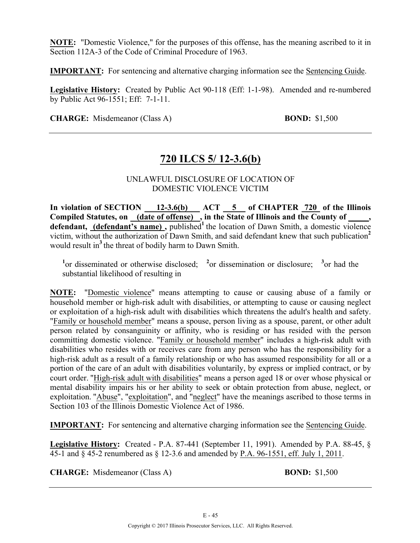**NOTE:** "Domestic Violence," for the purposes of this offense, has the meaning ascribed to it in Section 112A-3 of the Code of Criminal Procedure of 1963.

**IMPORTANT:** For sentencing and alternative charging information see the Sentencing Guide.

**Legislative History:** Created by Public Act 90-118 (Eff: 1-1-98). Amended and re-numbered by Public Act 96-1551; Eff: 7-1-11.

**CHARGE:** Misdemeanor (Class A) **BOND:** \$1,500

### **720 ILCS 5/ 12-3.6(b)**

#### UNLAWFUL DISCLOSURE OF LOCATION OF DOMESTIC VIOLENCE VICTIM

**In violation of SECTION 12-3.6(b) ACT 5 of CHAPTER 720 of the Illinois**  Compiled Statutes, on (date of offense), in the State of Illinois and the County of \_\_\_\_, defendant, (defendant's name), published<sup>1</sup> the location of Dawn Smith, a domestic violence victim, without the authorization of Dawn Smith, and said defendant knew that such publication**<sup>2</sup>** would result in<sup>3</sup> the threat of bodily harm to Dawn Smith.

<sup>1</sup><sup>or</sup> disseminated or otherwise disclosed; <sup>2</sup><sup>or</sup> dissemination or disclosure; <sup>3</sup><sup>or</sup> had the substantial likelihood of resulting in

**NOTE:** "Domestic violence" means attempting to cause or causing abuse of a family or household member or high-risk adult with disabilities, or attempting to cause or causing neglect or exploitation of a high-risk adult with disabilities which threatens the adult's health and safety. "Family or household member" means a spouse, person living as a spouse, parent, or other adult person related by consanguinity or affinity, who is residing or has resided with the person committing domestic violence. "Family or household member" includes a high-risk adult with disabilities who resides with or receives care from any person who has the responsibility for a high-risk adult as a result of a family relationship or who has assumed responsibility for all or a portion of the care of an adult with disabilities voluntarily, by express or implied contract, or by court order. "High-risk adult with disabilities" means a person aged 18 or over whose physical or mental disability impairs his or her ability to seek or obtain protection from abuse, neglect, or exploitation. "Abuse", "exploitation", and "neglect" have the meanings ascribed to those terms in Section 103 of the Illinois Domestic Violence Act of 1986.

**IMPORTANT:** For sentencing and alternative charging information see the Sentencing Guide.

**Legislative History:** Created - P.A. 87-441 (September 11, 1991). Amended by P.A. 88-45, § 45-1 and § 45-2 renumbered as § 12-3.6 and amended by P.A. 96-1551, eff. July 1, 2011.

**CHARGE:** Misdemeanor (Class A) **BOND:** \$1,500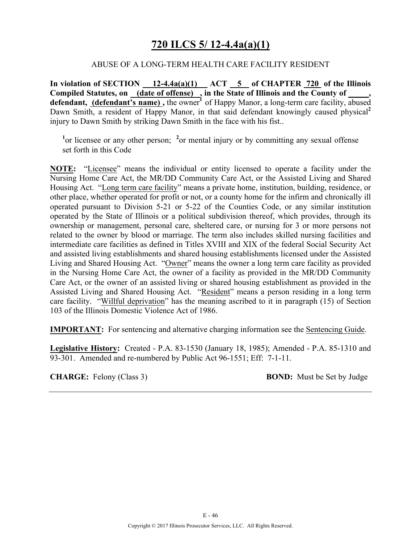### **720 ILCS 5/ 12-4.4a(a)(1)**

#### ABUSE OF A LONG-TERM HEALTH CARE FACILITY RESIDENT

**In violation of SECTION 12-4.4a(a)(1) ACT 5 of CHAPTER 720 of the Illinois**  Compiled Statutes, on **(date of offense)**, in the State of Illinois and the County of defendant, (defendant's name), the owner<sup>1</sup> of Happy Manor, a long-term care facility, abused Dawn Smith, a resident of Happy Manor, in that said defendant knowingly caused physical<sup>2</sup> injury to Dawn Smith by striking Dawn Smith in the face with his fist..

<sup>1</sup> or licensee or any other person; <sup>2</sup> or mental injury or by committing any sexual offense set forth in this Code

**NOTE:** "Licensee" means the individual or entity licensed to operate a facility under the Nursing Home Care Act, the MR/DD Community Care Act, or the Assisted Living and Shared Housing Act. "Long term care facility" means a private home, institution, building, residence, or other place, whether operated for profit or not, or a county home for the infirm and chronically ill operated pursuant to Division 5-21 or 5-22 of the Counties Code, or any similar institution operated by the State of Illinois or a political subdivision thereof, which provides, through its ownership or management, personal care, sheltered care, or nursing for 3 or more persons not related to the owner by blood or marriage. The term also includes skilled nursing facilities and intermediate care facilities as defined in Titles XVIII and XIX of the federal Social Security Act and assisted living establishments and shared housing establishments licensed under the Assisted Living and Shared Housing Act. "Owner" means the owner a long term care facility as provided in the Nursing Home Care Act, the owner of a facility as provided in the MR/DD Community Care Act, or the owner of an assisted living or shared housing establishment as provided in the Assisted Living and Shared Housing Act. "Resident" means a person residing in a long term care facility. "Willful deprivation" has the meaning ascribed to it in paragraph (15) of Section 103 of the Illinois Domestic Violence Act of 1986.

**IMPORTANT:** For sentencing and alternative charging information see the Sentencing Guide.

**Legislative History:** Created - P.A. 83-1530 (January 18, 1985); Amended - P.A. 85-1310 and 93-301. Amended and re-numbered by Public Act 96-1551; Eff: 7-1-11.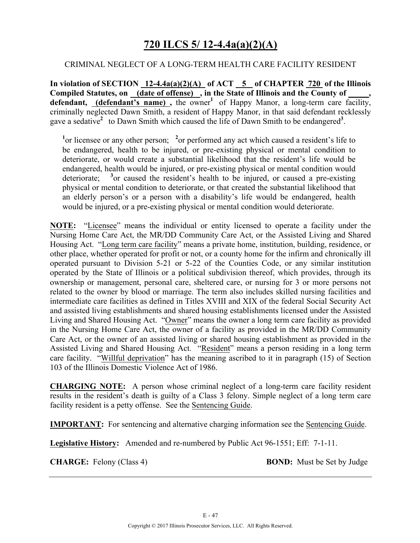## **720 ILCS 5/ 12-4.4a(a)(2)(A)**

#### CRIMINAL NEGLECT OF A LONG-TERM HEALTH CARE FACILITY RESIDENT

**In violation of SECTION 12-4.4a(a)(2)(A) of ACT 5 of CHAPTER 720 of the Illinois**  Compiled Statutes, on **(date of offense)**, in the State of Illinois and the County of defendant, (defendant's name), the owner<sup>1</sup> of Happy Manor, a long-term care facility, criminally neglected Dawn Smith, a resident of Happy Manor, in that said defendant recklessly gave a sedative<sup>2</sup> to Dawn Smith which caused the life of Dawn Smith to be endangered<sup>3</sup>.

<sup>1</sup> or licensee or any other person; <sup>2</sup> or performed any act which caused a resident's life to be endangered, health to be injured, or pre-existing physical or mental condition to deteriorate, or would create a substantial likelihood that the resident's life would be endangered, health would be injured, or pre-existing physical or mental condition would deteriorate; **<sup>3</sup>** <sup>3</sup> or caused the resident's health to be injured, or caused a pre-existing physical or mental condition to deteriorate, or that created the substantial likelihood that an elderly person's or a person with a disability's life would be endangered, health would be injured, or a pre-existing physical or mental condition would deteriorate.

**NOTE:** "Licensee" means the individual or entity licensed to operate a facility under the Nursing Home Care Act, the MR/DD Community Care Act, or the Assisted Living and Shared Housing Act. "Long term care facility" means a private home, institution, building, residence, or other place, whether operated for profit or not, or a county home for the infirm and chronically ill operated pursuant to Division 5-21 or 5-22 of the Counties Code, or any similar institution operated by the State of Illinois or a political subdivision thereof, which provides, through its ownership or management, personal care, sheltered care, or nursing for 3 or more persons not related to the owner by blood or marriage. The term also includes skilled nursing facilities and intermediate care facilities as defined in Titles XVIII and XIX of the federal Social Security Act and assisted living establishments and shared housing establishments licensed under the Assisted Living and Shared Housing Act. "Owner" means the owner a long term care facility as provided in the Nursing Home Care Act, the owner of a facility as provided in the MR/DD Community Care Act, or the owner of an assisted living or shared housing establishment as provided in the Assisted Living and Shared Housing Act. "Resident" means a person residing in a long term care facility. "Willful deprivation" has the meaning ascribed to it in paragraph (15) of Section 103 of the Illinois Domestic Violence Act of 1986.

**CHARGING NOTE:** A person whose criminal neglect of a long-term care facility resident results in the resident's death is guilty of a Class 3 felony. Simple neglect of a long term care facility resident is a petty offense. See the Sentencing Guide.

**IMPORTANT:** For sentencing and alternative charging information see the Sentencing Guide.

**Legislative History:** Amended and re-numbered by Public Act 96-1551; Eff: 7-1-11.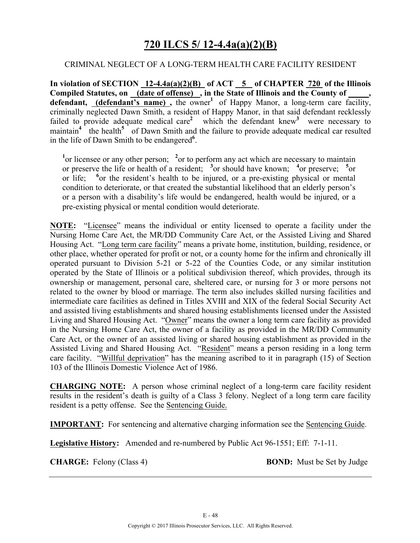### **720 ILCS 5/ 12-4.4a(a)(2)(B)**

#### CRIMINAL NEGLECT OF A LONG-TERM HEALTH CARE FACILITY RESIDENT

**In violation of SECTION 12-4.4a(a)(2)(B) of ACT 5 of CHAPTER 720 of the Illinois**  Compiled Statutes, on (date of offense), in the State of Illinois and the County of **defendant, (defendant's name),** the owner<sup>1</sup> of Happy Manor, a long-term care facility, criminally neglected Dawn Smith, a resident of Happy Manor, in that said defendant recklessly failed to provide adequate medical care<sup>2</sup> which the defendant knew<sup>3</sup> were necessary to maintain<sup>4</sup> the health<sup>5</sup> of Dawn Smith and the failure to provide adequate medical car resulted in the life of Dawn Smith to be endangered**<sup>6</sup>** .

<sup>1</sup> or licensee or any other person; <sup>2</sup> or to perform any act which are necessary to maintain or preserve the life or health of a resident;  $\frac{3}{2}$  or should have known;  $\frac{4}{2}$  or preserve;  $\frac{5}{2}$  or or life;  $\delta$  or the resident's health to be injured, or a pre-existing physical or mental condition to deteriorate, or that created the substantial likelihood that an elderly person's or a person with a disability's life would be endangered, health would be injured, or a pre-existing physical or mental condition would deteriorate.

**NOTE:** "Licensee" means the individual or entity licensed to operate a facility under the Nursing Home Care Act, the MR/DD Community Care Act, or the Assisted Living and Shared Housing Act. "Long term care facility" means a private home, institution, building, residence, or other place, whether operated for profit or not, or a county home for the infirm and chronically ill operated pursuant to Division 5-21 or 5-22 of the Counties Code, or any similar institution operated by the State of Illinois or a political subdivision thereof, which provides, through its ownership or management, personal care, sheltered care, or nursing for 3 or more persons not related to the owner by blood or marriage. The term also includes skilled nursing facilities and intermediate care facilities as defined in Titles XVIII and XIX of the federal Social Security Act and assisted living establishments and shared housing establishments licensed under the Assisted Living and Shared Housing Act. "Owner" means the owner a long term care facility as provided in the Nursing Home Care Act, the owner of a facility as provided in the MR/DD Community Care Act, or the owner of an assisted living or shared housing establishment as provided in the Assisted Living and Shared Housing Act. "Resident" means a person residing in a long term care facility. "Willful deprivation" has the meaning ascribed to it in paragraph (15) of Section 103 of the Illinois Domestic Violence Act of 1986.

**CHARGING NOTE:** A person whose criminal neglect of a long-term care facility resident results in the resident's death is guilty of a Class 3 felony. Neglect of a long term care facility resident is a petty offense. See the Sentencing Guide.

**IMPORTANT:** For sentencing and alternative charging information see the Sentencing Guide.

**Legislative History:** Amended and re-numbered by Public Act 96-1551; Eff: 7-1-11.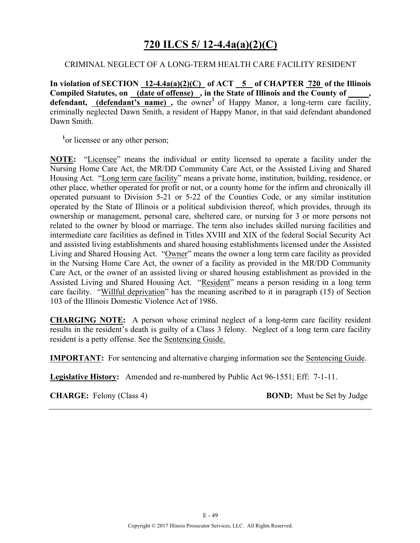### **720 ILCS 5/ 12-4.4a(a)(2)(C)**

#### CRIMINAL NEGLECT OF A LONG-TERM HEALTH CARE FACILITY RESIDENT

**In violation of SECTION 12-4.4a(a)(2)(C) of ACT 5 of CHAPTER 720 of the Illinois**  Compiled Statutes, on (date of offense), in the State of Illinois and the County of defendant, (defendant's name), the owner<sup>1</sup> of Happy Manor, a long-term care facility, criminally neglected Dawn Smith, a resident of Happy Manor, in that said defendant abandoned Dawn Smith.

<sup>1</sup> or licensee or any other person;

**NOTE:** "Licensee" means the individual or entity licensed to operate a facility under the Nursing Home Care Act, the MR/DD Community Care Act, or the Assisted Living and Shared Housing Act. "Long term care facility" means a private home, institution, building, residence, or other place, whether operated for profit or not, or a county home for the infirm and chronically ill operated pursuant to Division 5-21 or 5-22 of the Counties Code, or any similar institution operated by the State of Illinois or a political subdivision thereof, which provides, through its ownership or management, personal care, sheltered care, or nursing for 3 or more persons not related to the owner by blood or marriage. The term also includes skilled nursing facilities and intermediate care facilities as defined in Titles XVIII and XIX of the federal Social Security Act and assisted living establishments and shared housing establishments licensed under the Assisted Living and Shared Housing Act. "Owner" means the owner a long term care facility as provided in the Nursing Home Care Act, the owner of a facility as provided in the MR/DD Community Care Act, or the owner of an assisted living or shared housing establishment as provided in the Assisted Living and Shared Housing Act. "Resident" means a person residing in a long term care facility. "Willful deprivation" has the meaning ascribed to it in paragraph (15) of Section 103 of the Illinois Domestic Violence Act of 1986.

**CHARGING NOTE:** A person whose criminal neglect of a long-term care facility resident results in the resident's death is guilty of a Class 3 felony. Neglect of a long term care facility resident is a petty offense. See the Sentencing Guide.

**IMPORTANT:** For sentencing and alternative charging information see the Sentencing Guide.

**Legislative History:** Amended and re-numbered by Public Act 96-1551; Eff: 7-1-11.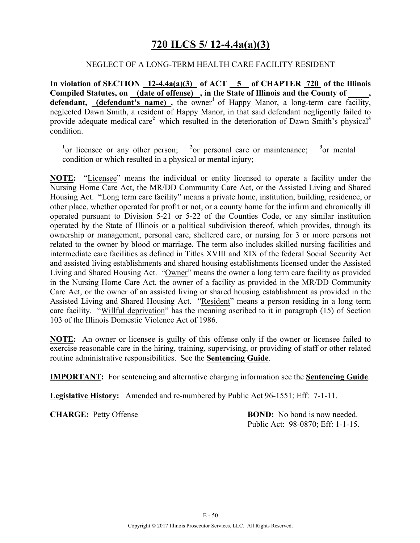## **720 ILCS 5/ 12-4.4a(a)(3)**

#### NEGLECT OF A LONG-TERM HEALTH CARE FACILITY RESIDENT

**In violation of SECTION 12-4.4a(a)(3) of ACT 5 of CHAPTER 720 of the Illinois**  Compiled Statutes, on **(date of offense)**, in the State of Illinois and the County of defendant, (defendant's name), the owner<sup>1</sup> of Happy Manor, a long-term care facility, neglected Dawn Smith, a resident of Happy Manor, in that said defendant negligently failed to provide adequate medical care<sup>2</sup> which resulted in the deterioration of Dawn Smith's physical<sup>3</sup> condition.

<sup>1</sup><sub>or</sub> licensee or any other person; <sup>2</sup> <sup>2</sup> or personal care or maintenance;  $3$ <sub>or</sub> mental condition or which resulted in a physical or mental injury;

**NOTE:** "Licensee" means the individual or entity licensed to operate a facility under the Nursing Home Care Act, the MR/DD Community Care Act, or the Assisted Living and Shared Housing Act. "Long term care facility" means a private home, institution, building, residence, or other place, whether operated for profit or not, or a county home for the infirm and chronically ill operated pursuant to Division 5-21 or 5-22 of the Counties Code, or any similar institution operated by the State of Illinois or a political subdivision thereof, which provides, through its ownership or management, personal care, sheltered care, or nursing for 3 or more persons not related to the owner by blood or marriage. The term also includes skilled nursing facilities and intermediate care facilities as defined in Titles XVIII and XIX of the federal Social Security Act and assisted living establishments and shared housing establishments licensed under the Assisted Living and Shared Housing Act. "Owner" means the owner a long term care facility as provided in the Nursing Home Care Act, the owner of a facility as provided in the MR/DD Community Care Act, or the owner of an assisted living or shared housing establishment as provided in the Assisted Living and Shared Housing Act. "Resident" means a person residing in a long term care facility. "Willful deprivation" has the meaning ascribed to it in paragraph (15) of Section 103 of the Illinois Domestic Violence Act of 1986.

**NOTE:** An owner or licensee is guilty of this offense only if the owner or licensee failed to exercise reasonable care in the hiring, training, supervising, or providing of staff or other related routine administrative responsibilities. See the **Sentencing Guide**.

**IMPORTANT:** For sentencing and alternative charging information see the **Sentencing Guide**.

**Legislative History:** Amended and re-numbered by Public Act 96-1551; Eff: 7-1-11.

**CHARGE:** Petty Offense **BOND:** No bond is now needed. Public Act: 98-0870; Eff: 1-1-15.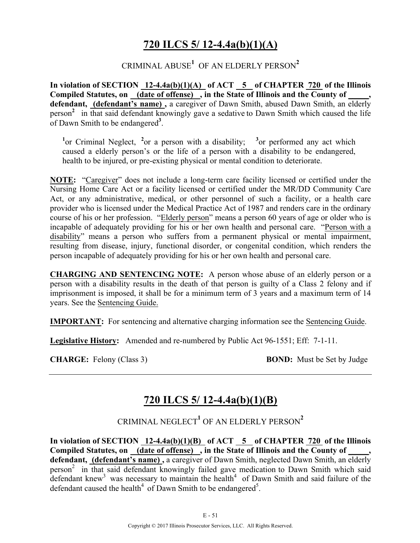## **720 ILCS 5/ 12-4.4a(b)(1)(A)**

### $\text{CRIMINAL ABUSE}^1\text{ OF AN ELDERLY PERSON}^2$

In violation of SECTION 12-4.4a(b)(1)(A) of ACT 5 of CHAPTER 720 of the Illinois Compiled Statutes, on (date of offense), in the State of Illinois and the County of **defendant, (defendant's name) ,** a caregiver of Dawn Smith, abused Dawn Smith, an elderly person**<sup>2</sup>** in that said defendant knowingly gave a sedative to Dawn Smith which caused the life of Dawn Smith to be endangered**<sup>3</sup>** .

<sup>1</sup><sup>or</sup> Criminal Neglect, <sup>2</sup><sup>or</sup> a person with a disability; <sup>3</sup><sup>or</sup> performed any act which caused a elderly person's or the life of a person with a disability to be endangered, health to be injured, or pre-existing physical or mental condition to deteriorate.

**NOTE:** "Caregiver" does not include a long-term care facility licensed or certified under the Nursing Home Care Act or a facility licensed or certified under the MR/DD Community Care Act, or any administrative, medical, or other personnel of such a facility, or a health care provider who is licensed under the Medical Practice Act of 1987 and renders care in the ordinary course of his or her profession. "Elderly person" means a person 60 years of age or older who is incapable of adequately providing for his or her own health and personal care. "Person with a disability" means a person who suffers from a permanent physical or mental impairment, resulting from disease, injury, functional disorder, or congenital condition, which renders the person incapable of adequately providing for his or her own health and personal care.

**CHARGING AND SENTENCING NOTE:** A person whose abuse of an elderly person or a person with a disability results in the death of that person is guilty of a Class 2 felony and if imprisonment is imposed, it shall be for a minimum term of 3 years and a maximum term of 14 years. See the Sentencing Guide.

**IMPORTANT:** For sentencing and alternative charging information see the Sentencing Guide.

**Legislative History:** Amended and re-numbered by Public Act 96-1551; Eff: 7-1-11.

**CHARGE:** Felony (Class 3) **BOND:** Must be Set by Judge

# **720 ILCS 5/ 12-4.4a(b)(1)(B)**

CRIMINAL NEGLECT**<sup>1</sup>** OF AN ELDERLY PERSON**<sup>2</sup>**

**In violation of SECTION 12-4.4a(b)(1)(B) of ACT 5 of CHAPTER 720 of the Illinois Compiled Statutes, on (date of offense) , in the State of Illinois and the County of \_\_\_\_\_, defendant, (defendant's name) ,** a caregiver of Dawn Smith, neglected Dawn Smith, an elderly person<sup>2</sup> in that said defendant knowingly failed gave medication to Dawn Smith which said defendant knew<sup>3</sup> was necessary to maintain the health<sup>4</sup> of Dawn Smith and said failure of the defendant caused the health<sup>4</sup> of Dawn Smith to be endangered<sup>5</sup>.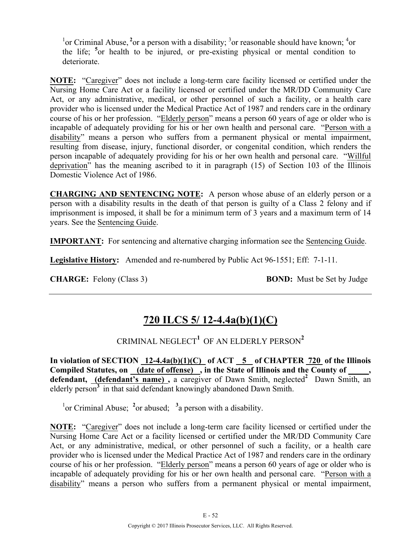<sup>1</sup> or Criminal Abuse, <sup>2</sup> or a person with a disability; <sup>3</sup> or reasonable should have known; <sup>4</sup> or the life; **<sup>5</sup>** or health to be injured, or pre-existing physical or mental condition to deteriorate.

**NOTE:** "Caregiver" does not include a long-term care facility licensed or certified under the Nursing Home Care Act or a facility licensed or certified under the MR/DD Community Care Act, or any administrative, medical, or other personnel of such a facility, or a health care provider who is licensed under the Medical Practice Act of 1987 and renders care in the ordinary course of his or her profession. "Elderly person" means a person 60 years of age or older who is incapable of adequately providing for his or her own health and personal care. "Person with a disability" means a person who suffers from a permanent physical or mental impairment, resulting from disease, injury, functional disorder, or congenital condition, which renders the person incapable of adequately providing for his or her own health and personal care. "Willful deprivation" has the meaning ascribed to it in paragraph (15) of Section 103 of the Illinois Domestic Violence Act of 1986.

**CHARGING AND SENTENCING NOTE:** A person whose abuse of an elderly person or a person with a disability results in the death of that person is guilty of a Class 2 felony and if imprisonment is imposed, it shall be for a minimum term of 3 years and a maximum term of 14 years. See the Sentencing Guide.

**IMPORTANT:** For sentencing and alternative charging information see the Sentencing Guide.

**Legislative History:** Amended and re-numbered by Public Act 96-1551; Eff: 7-1-11.

**CHARGE:** Felony (Class 3) **BOND:** Must be Set by Judge

# **720 ILCS 5/ 12-4.4a(b)(1)(C)**

CRIMINAL NEGLECT**<sup>1</sup>** OF AN ELDERLY PERSON**<sup>2</sup>**

In violation of SECTION 12-4.4a(b)(1)(C) of ACT 5 of CHAPTER 720 of the Illinois Compiled Statutes, on (date of offense), in the State of Illinois and the County of defendant, *(defendant's name)*, a caregiver of Dawn Smith, neglected<sup>2</sup> Dawn Smith, an elderly person**<sup>3</sup>** in that said defendant knowingly abandoned Dawn Smith.

<sup>1</sup><sub>or</sub> Criminal Abuse; <sup>2</sup><sub>or</sub> abused; <sup>3</sup><sub>a</sub> person with a disability.

**NOTE:** "Caregiver" does not include a long-term care facility licensed or certified under the Nursing Home Care Act or a facility licensed or certified under the MR/DD Community Care Act, or any administrative, medical, or other personnel of such a facility, or a health care provider who is licensed under the Medical Practice Act of 1987 and renders care in the ordinary course of his or her profession. "Elderly person" means a person 60 years of age or older who is incapable of adequately providing for his or her own health and personal care. "Person with a disability" means a person who suffers from a permanent physical or mental impairment,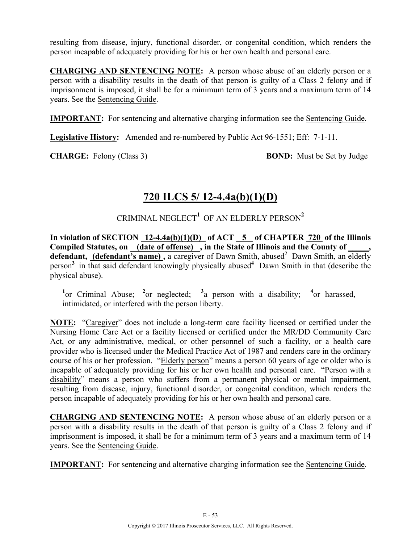resulting from disease, injury, functional disorder, or congenital condition, which renders the person incapable of adequately providing for his or her own health and personal care.

**CHARGING AND SENTENCING NOTE:** A person whose abuse of an elderly person or a person with a disability results in the death of that person is guilty of a Class 2 felony and if imprisonment is imposed, it shall be for a minimum term of 3 years and a maximum term of 14 years. See the Sentencing Guide.

**IMPORTANT:** For sentencing and alternative charging information see the Sentencing Guide.

**Legislative History:** Amended and re-numbered by Public Act 96-1551; Eff: 7-1-11.

**CHARGE:** Felony (Class 3) **BOND:** Must be Set by Judge

# **720 ILCS 5/ 12-4.4a(b)(1)(D)**

CRIMINAL NEGLECT $^1$  OF AN ELDERLY PERSON $^2$ 

In violation of SECTION 12-4.4a(b)(1)(D) of ACT 5 of CHAPTER 720 of the Illinois Compiled Statutes, on (date of offense), in the State of Illinois and the County of defendant, *(defendant's name)*, a caregiver of Dawn Smith, abused<sup>2</sup> Dawn Smith, an elderly person**<sup>3</sup>** in that said defendant knowingly physically abused**<sup>4</sup>** Dawn Smith in that (describe the physical abuse).

<sup>1</sup><sup>or</sup> Criminal Abuse; <sup>2</sup><sup>or</sup> neglected; <sup>3</sup><sup>a</sup> person with a disability; <sup>4</sup><sup>or</sup> harassed, intimidated, or interfered with the person liberty.

**NOTE:** "Caregiver" does not include a long-term care facility licensed or certified under the Nursing Home Care Act or a facility licensed or certified under the MR/DD Community Care Act, or any administrative, medical, or other personnel of such a facility, or a health care provider who is licensed under the Medical Practice Act of 1987 and renders care in the ordinary course of his or her profession. "Elderly person" means a person 60 years of age or older who is incapable of adequately providing for his or her own health and personal care. "Person with a disability" means a person who suffers from a permanent physical or mental impairment, resulting from disease, injury, functional disorder, or congenital condition, which renders the person incapable of adequately providing for his or her own health and personal care.

**CHARGING AND SENTENCING NOTE:** A person whose abuse of an elderly person or a person with a disability results in the death of that person is guilty of a Class 2 felony and if imprisonment is imposed, it shall be for a minimum term of 3 years and a maximum term of 14 years. See the Sentencing Guide.

**IMPORTANT:** For sentencing and alternative charging information see the Sentencing Guide.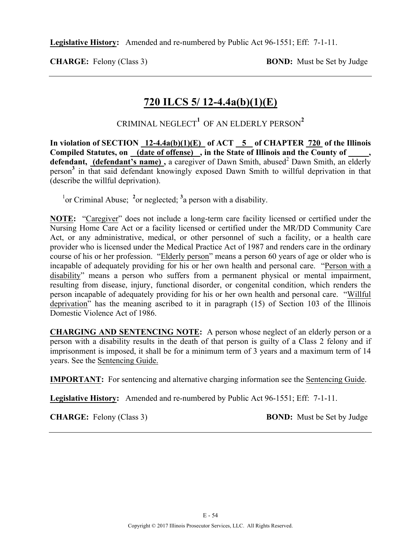**CHARGE:** Felony (Class 3) **BOND:** Must be Set by Judge

### **720 ILCS 5/ 12-4.4a(b)(1)(E)**

CRIMINAL NEGLECT**<sup>1</sup>** OF AN ELDERLY PERSON**<sup>2</sup>**

In violation of SECTION 12-4.4a(b)(1)(E) of ACT 5 of CHAPTER 720 of the Illinois Compiled Statutes, on (date of offense), in the State of Illinois and the County of defendant, (defendant's name), a caregiver of Dawn Smith, abused<sup>2</sup> Dawn Smith, an elderly person**<sup>3</sup>** in that said defendant knowingly exposed Dawn Smith to willful deprivation in that (describe the willful deprivation).

<sup>1</sup><sup>or</sup> Criminal Abuse; <sup>2</sup><sup>or</sup> neglected; <sup>3</sup><sub>a</sub> person with a disability.

**NOTE:** "Caregiver" does not include a long-term care facility licensed or certified under the Nursing Home Care Act or a facility licensed or certified under the MR/DD Community Care Act, or any administrative, medical, or other personnel of such a facility, or a health care provider who is licensed under the Medical Practice Act of 1987 and renders care in the ordinary course of his or her profession. "Elderly person" means a person 60 years of age or older who is incapable of adequately providing for his or her own health and personal care. "Person with a disability" means a person who suffers from a permanent physical or mental impairment, resulting from disease, injury, functional disorder, or congenital condition, which renders the person incapable of adequately providing for his or her own health and personal care. "Willful deprivation" has the meaning ascribed to it in paragraph (15) of Section 103 of the Illinois Domestic Violence Act of 1986.

**CHARGING AND SENTENCING NOTE:** A person whose neglect of an elderly person or a person with a disability results in the death of that person is guilty of a Class 2 felony and if imprisonment is imposed, it shall be for a minimum term of 3 years and a maximum term of 14 years. See the Sentencing Guide.

**IMPORTANT:** For sentencing and alternative charging information see the Sentencing Guide.

**Legislative History:** Amended and re-numbered by Public Act 96-1551; Eff: 7-1-11.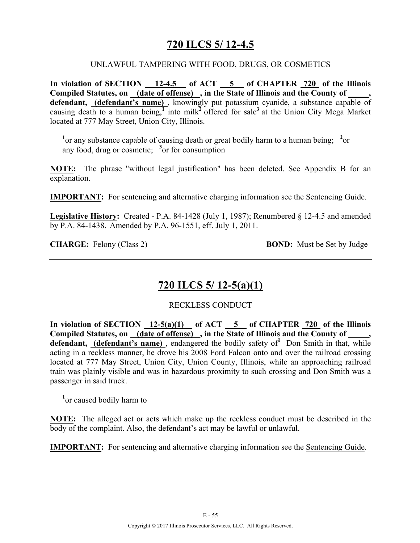## **720 ILCS 5/ 12-4.5**

#### UNLAWFUL TAMPERING WITH FOOD, DRUGS, OR COSMETICS

**In violation of SECTION 12-4.5 of ACT 5 of CHAPTER 720 of the Illinois Compiled Statutes, on (date of offense) , in the State of Illinois and the County of \_\_\_\_\_,**  defendant, (defendant's name), knowingly put potassium cyanide, a substance capable of causing death to a human being,<sup>1</sup> into milk<sup>2</sup> offered for sale<sup>3</sup> at the Union City Mega Market located at 777 May Street, Union City, Illinois.

<sup>1</sup> or any substance capable of causing death or great bodily harm to a human being; <sup>2</sup> or any food, drug or cosmetic; **<sup>3</sup>** or for consumption

**NOTE:** The phrase "without legal justification" has been deleted. See Appendix B for an explanation.

**IMPORTANT:** For sentencing and alternative charging information see the Sentencing Guide.

**Legislative History:** Created - P.A. 84-1428 (July 1, 1987); Renumbered § 12-4.5 and amended by P.A. 84-1438. Amended by P.A. 96-1551, eff. July 1, 2011.

**CHARGE:** Felony (Class 2) **BOND:** Must be Set by Judge

### **720 ILCS 5/ 12-5(a)(1)**

RECKLESS CONDUCT

In violation of SECTION  $12-5(a)(1)$  of ACT  $5$  of CHAPTER  $720$  of the Illinois Compiled Statutes, on (date of offense), in the State of Illinois and the County of, defendant, (defendant's name), endangered the bodily safety of<sup>1</sup> Don Smith in that, while acting in a reckless manner, he drove his 2008 Ford Falcon onto and over the railroad crossing located at 777 May Street, Union City, Union County, Illinois, while an approaching railroad train was plainly visible and was in hazardous proximity to such crossing and Don Smith was a passenger in said truck.

**1** or caused bodily harm to

**NOTE:** The alleged act or acts which make up the reckless conduct must be described in the body of the complaint. Also, the defendant's act may be lawful or unlawful.

**IMPORTANT:** For sentencing and alternative charging information see the Sentencing Guide.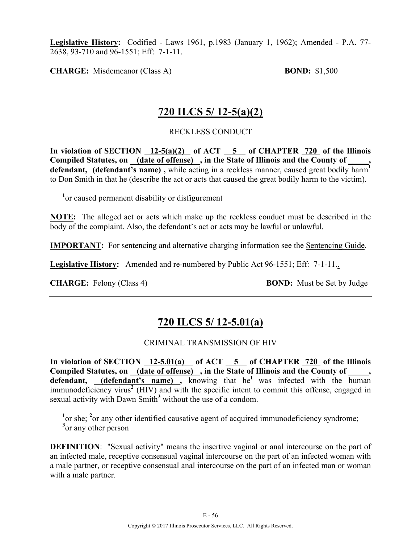**Legislative History:** Codified - Laws 1961, p.1983 (January 1, 1962); Amended - P.A. 77- 2638, 93-710 and 96-1551; Eff: 7-1-11.

**CHARGE:** Misdemeanor (Class A) **BOND:** \$1,500

### **720 ILCS 5/ 12-5(a)(2)**

#### RECKLESS CONDUCT

In violation of SECTION  $\frac{12-5(a)(2)}{2}$  of ACT  $\frac{5}{2}$  of CHAPTER  $\frac{720}{2}$  of the Illinois **Compiled Statutes, on (date of offense) , in the State of Illinois and the County of \_\_\_\_\_,**  defendant, **(defendant's name)**, while acting in a reckless manner, caused great bodily harm<sup>1</sup> to Don Smith in that he (describe the act or acts that caused the great bodily harm to the victim).

<sup>1</sup> or caused permanent disability or disfigurement

**NOTE:** The alleged act or acts which make up the reckless conduct must be described in the body of the complaint. Also, the defendant's act or acts may be lawful or unlawful.

**IMPORTANT:** For sentencing and alternative charging information see the Sentencing Guide.

**Legislative History:** Amended and re-numbered by Public Act 96-1551; Eff: 7-1-11..

**CHARGE:** Felony (Class 4) **BOND:** Must be Set by Judge

### **720 ILCS 5/ 12-5.01(a)**

CRIMINAL TRANSMISSION OF HIV

In violation of SECTION 12-5.01(a) of ACT 5 of CHAPTER 720 of the Illinois Compiled Statutes, on (date of offense), in the State of Illinois and the County of defendant, (defendant's name), knowing that he<sup>1</sup> was infected with the human immunodeficiency virus**<sup>2</sup>** (HIV) and with the specific intent to commit this offense, engaged in sexual activity with Dawn Smith<sup>3</sup> without the use of a condom.

<sup>1</sup> or she; <sup>2</sup> or any other identified causative agent of acquired immunodeficiency syndrome; <sup>3</sup> or any other person

**DEFINITION:** "Sexual activity" means the insertive vaginal or anal intercourse on the part of an infected male, receptive consensual vaginal intercourse on the part of an infected woman with a male partner, or receptive consensual anal intercourse on the part of an infected man or woman with a male partner.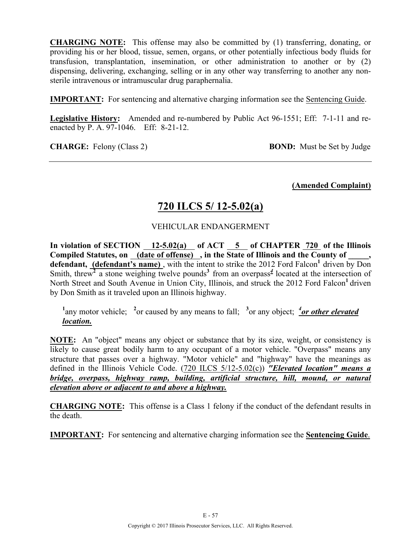**CHARGING NOTE:** This offense may also be committed by (1) transferring, donating, or providing his or her blood, tissue, semen, organs, or other potentially infectious body fluids for transfusion, transplantation, insemination, or other administration to another or by (2) dispensing, delivering, exchanging, selling or in any other way transferring to another any nonsterile intravenous or intramuscular drug paraphernalia.

**IMPORTANT:** For sentencing and alternative charging information see the Sentencing Guide.

**Legislative History:** Amended and re-numbered by Public Act 96-1551; Eff: 7-1-11 and reenacted by P. A. 97-1046. Eff: 8-21-12.

**CHARGE:** Felony (Class 2) **BOND:** Must be Set by Judge

**(Amended Complaint)**

## **720 ILCS 5/ 12-5.02(a)**

#### VEHICULAR ENDANGERMENT

In violation of SECTION  $\frac{12-5.02(a)}{12-5.02(a)}$  of ACT  $\frac{5}{5}$  of CHAPTER  $\frac{720}{720}$  of the Illinois **Compiled Statutes, on (date of offense) , in the State of Illinois and the County of \_\_\_\_\_, defendant, (defendant's name)**, with the intent to strike the 2012 Ford Falcon<sup>1</sup> driven by Don Smith, threw<sup>2</sup> a stone weighing twelve pounds<sup>3</sup> from an overpass<sup>4</sup> located at the intersection of North Street and South Avenue in Union City, Illinois, and struck the 2012 Ford Falcon<sup>1</sup> driven by Don Smith as it traveled upon an Illinois highway.

<sup>1</sup>any motor vehicle; <sup>2</sup>or caused by any means to fall; <sup>3</sup>or any object; <sup>4</sup>or other elevated *location.*

**NOTE:** An "object" means any object or substance that by its size, weight, or consistency is likely to cause great bodily harm to any occupant of a motor vehicle. "Overpass" means any structure that passes over a highway. "Motor vehicle" and "highway" have the meanings as defined in the Illinois Vehicle Code. (720 ILCS 5/12-5.02(c)) *"Elevated location" means a bridge, overpass, highway ramp, building, artificial structure, hill, mound, or natural elevation above or adjacent to and above a highway.*

**CHARGING NOTE:** This offense is a Class 1 felony if the conduct of the defendant results in the death.

**IMPORTANT:** For sentencing and alternative charging information see the **Sentencing Guide**.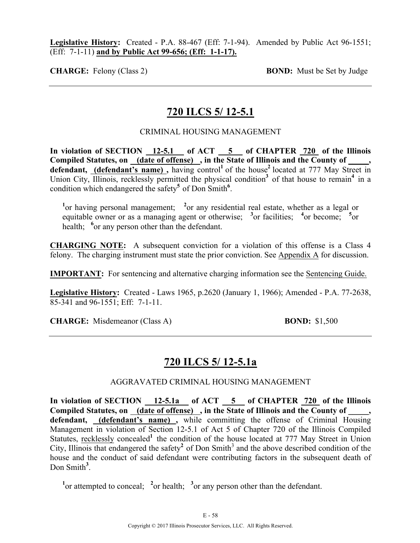**Legislative History:** Created - P.A. 88-467 (Eff: 7-1-94). Amended by Public Act 96-1551; (Eff: 7-1-11) **and by Public Act 99-656; (Eff: 1-1-17).**

**CHARGE:** Felony (Class 2) **BOND:** Must be Set by Judge

### **720 ILCS 5/ 12-5.1**

#### CRIMINAL HOUSING MANAGEMENT

**In violation of SECTION 12-5.1 of ACT 5 of CHAPTER 720 of the Illinois Compiled Statutes, on (date of offense) , in the State of Illinois and the County of \_\_\_\_\_, defendant, (defendant's name),** having control<sup>1</sup> of the house<sup>2</sup> located at 777 May Street in Union City, Illinois, recklessly permitted the physical condition<sup>3</sup> of that house to remain<sup>4</sup> in a condition which endangered the safety**<sup>5</sup>** of Don Smith**<sup>6</sup>** .

<sup>1</sup> or having personal management; <sup>2</sup> or any residential real estate, whether as a legal or equitable owner or as a managing agent or otherwise; <sup>3</sup> or facilities; <sup>4</sup> or become; <sup>5</sup> or health; <sup>6</sup> or any person other than the defendant.

**CHARGING NOTE:** A subsequent conviction for a violation of this offense is a Class 4 felony. The charging instrument must state the prior conviction. See Appendix A for discussion.

**IMPORTANT:** For sentencing and alternative charging information see the Sentencing Guide.

**Legislative History:** Created - Laws 1965, p.2620 (January 1, 1966); Amended - P.A. 77-2638, 85-341 and 96-1551; Eff: 7-1-11.

**CHARGE:** Misdemeanor (Class A) **BOND:** \$1,500

### **720 ILCS 5/ 12-5.1a**

AGGRAVATED CRIMINAL HOUSING MANAGEMENT

In violation of SECTION 12-5.1a of ACT 5 of CHAPTER 720 of the Illinois Compiled Statutes, on (date of offense), in the State of Illinois and the County of **defendant, (defendant's name) ,** while committing the offense of Criminal Housing Management in violation of Section 12-5.1 of Act 5 of Chapter 720 of the Illinois Compiled Statutes, recklessly concealed<sup>1</sup> the condition of the house located at 777 May Street in Union City, Illinois that endangered the safety<sup>2</sup> of Don Smith<sup>3</sup> and the above described condition of the house and the conduct of said defendant were contributing factors in the subsequent death of Don Smith<sup>3</sup>.

<sup>1</sup> or attempted to conceal; <sup>2</sup> or health; <sup>3</sup> or any person other than the defendant.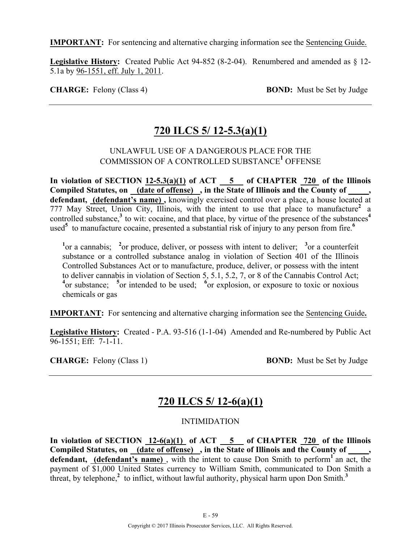**IMPORTANT:** For sentencing and alternative charging information see the Sentencing Guide.

**Legislative History:** Created Public Act 94-852 (8-2-04). Renumbered and amended as § 12- 5.1a by 96-1551, eff. July 1, 2011.

**CHARGE:** Felony (Class 4) **BOND:** Must be Set by Judge

## **720 ILCS 5/ 12-5.3(a)(1)**

#### UNLAWFUL USE OF A DANGEROUS PLACE FOR THE COMMISSION OF A CONTROLLED SUBSTANCE**<sup>1</sup>** OFFENSE

In violation of SECTION  $12-5.3(a)(1)$  of ACT  $-5$  of CHAPTER  $720$  of the Illinois Compiled Statutes, on (date of offense), in the State of Illinois and the County of, **defendant, (defendant's name) ,** knowingly exercised control over a place, a house located at 777 May Street, Union City, Illinois, with the intent to use that place to manufacture**<sup>2</sup>** a controlled substance,<sup>3</sup> to wit: cocaine, and that place, by virtue of the presence of the substances<sup>4</sup> used**<sup>5</sup>** to manufacture cocaine, presented a substantial risk of injury to any person from fire.**<sup>6</sup>**

<sup>1</sup><sup>or</sup> a cannabis; <sup>2</sup><sup>or</sup> produce, deliver, or possess with intent to deliver; <sup>3</sup><sup>or</sup> a counterfeit substance or a controlled substance analog in violation of Section 401 of the Illinois Controlled Substances Act or to manufacture, produce, deliver, or possess with the intent to deliver cannabis in violation of Section 5, 5.1, 5.2, 7, or 8 of the Cannabis Control Act; <sup>4</sup> or substance; <sup>5</sup> or intended to be used; <sup>6</sup> or explosion, or exposure to toxic or noxious chemicals or gas

**IMPORTANT:** For sentencing and alternative charging information see the Sentencing Guide**.**

**Legislative History:** Created - P.A. 93-516 (1-1-04) Amended and Re-numbered by Public Act 96-1551; Eff: 7-1-11.

**CHARGE:** Felony (Class 1) **BOND:** Must be Set by Judge

## **720 ILCS 5/ 12-6(a)(1)**

#### INTIMIDATION

**In violation of SECTION 12-6(a)(1) of ACT 5 of CHAPTER 720 of the Illinois**  Compiled Statutes, on <u>(date of offense)</u>, in the State of Illinois and the County of defendant, (defendant's name), with the intent to cause Don Smith to perform<sup>1</sup> an act, the payment of \$1,000 United States currency to William Smith, communicated to Don Smith a threat, by telephone,<sup> $2$ </sup> to inflict, without lawful authority, physical harm upon Don Smith.<sup>3</sup>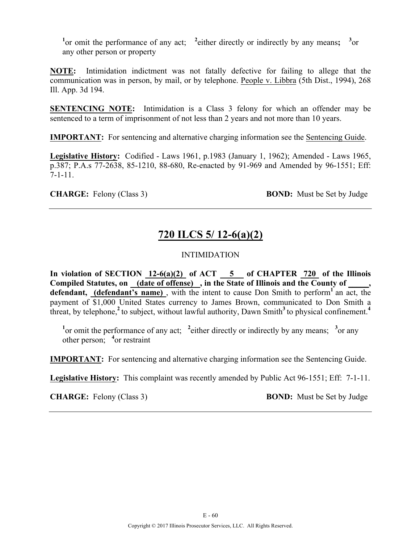<sup>1</sup><sup>or</sup> omit the performance of any act; <sup>2</sup> either directly or indirectly by any means; <sup>3</sup><sup>or</sup> any other person or property

**NOTE:** Intimidation indictment was not fatally defective for failing to allege that the communication was in person, by mail, or by telephone. People v. Libbra (5th Dist., 1994), 268 Ill. App. 3d 194.

**SENTENCING NOTE:** Intimidation is a Class 3 felony for which an offender may be sentenced to a term of imprisonment of not less than 2 years and not more than 10 years.

**IMPORTANT:** For sentencing and alternative charging information see the Sentencing Guide.

**Legislative History:** Codified - Laws 1961, p.1983 (January 1, 1962); Amended - Laws 1965, p.387; P.A.s 77-2638, 85-1210, 88-680, Re-enacted by 91-969 and Amended by 96-1551; Eff: 7-1-11.

**CHARGE:** Felony (Class 3) **BOND:** Must be Set by Judge

# **720 ILCS 5/ 12-6(a)(2)**

### INTIMIDATION

In violation of SECTION  $12-6(a)(2)$  of ACT  $-5$  of CHAPTER  $720$  of the Illinois **Compiled Statutes, on (date of offense) , in the State of Illinois and the County of \_\_\_\_\_,**  defendant, (defendant's name), with the intent to cause Don Smith to perform<sup>1</sup> an act, the payment of \$1,000 United States currency to James Brown, communicated to Don Smith a threat, by telephone,<sup>2</sup> to subject, without lawful authority, Dawn Smith<sup>3</sup> to physical confinement.<sup>4</sup>

<sup>1</sup> or omit the performance of any act; <sup>2</sup> either directly or indirectly by any means; <sup>3</sup> or any other person; **<sup>4</sup>** or restraint

**IMPORTANT:** For sentencing and alternative charging information see the Sentencing Guide.

**Legislative History:** This complaint was recently amended by Public Act 96-1551; Eff: 7-1-11.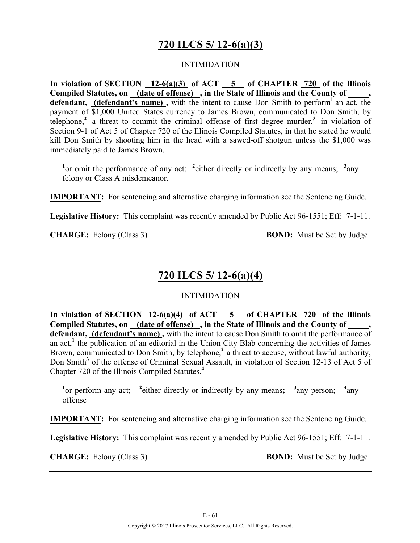## **720 ILCS 5/ 12-6(a)(3)**

#### INTIMIDATION

**In violation of SECTION 12-6(a)(3) of ACT 5 of CHAPTER 720 of the Illinois Compiled Statutes, on (date of offense) , in the State of Illinois and the County of \_\_\_\_\_, defendant, (defendant's name) ,** with the intent to cause Don Smith to perform**<sup>1</sup>** an act, the payment of \$1,000 United States currency to James Brown, communicated to Don Smith, by telephone,**<sup>2</sup>** a threat to commit the criminal offense of first degree murder,**3** in violation of Section 9-1 of Act 5 of Chapter 720 of the Illinois Compiled Statutes, in that he stated he would kill Don Smith by shooting him in the head with a sawed-off shotgun unless the \$1,000 was immediately paid to James Brown.

<sup>1</sup><sup>or</sup> omit the performance of any act; <sup>2</sup> either directly or indirectly by any means; <sup>3</sup> any felony or Class A misdemeanor.

**IMPORTANT:** For sentencing and alternative charging information see the Sentencing Guide.

**Legislative History:** This complaint was recently amended by Public Act 96-1551; Eff: 7-1-11.

**CHARGE:** Felony (Class 3) **BOND:** Must be Set by Judge

## **720 ILCS 5/ 12-6(a)(4)**

#### INTIMIDATION

In violation of SECTION 12-6(a)(4) of ACT 5 of CHAPTER 720 of the Illinois Compiled Statutes, on (date of offense), in the State of Illinois and the County of, **defendant, (defendant's name) ,** with the intent to cause Don Smith to omit the performance of an  $act<sub>i</sub><sup>1</sup>$ , the publication of an editorial in the Union City Blab concerning the activities of James Brown, communicated to Don Smith, by telephone,<sup>2</sup> a threat to accuse, without lawful authority, Don Smith<sup>3</sup> of the offense of Criminal Sexual Assault, in violation of Section 12-13 of Act 5 of Chapter 720 of the Illinois Compiled Statutes.**<sup>4</sup>**

<sup>1</sup><sup>or</sup> perform any act; <sup>2</sup> either directly or indirectly by any means; <sup>3</sup> any person; <sup>4</sup>  $4<sub>any</sub>$ offense

**IMPORTANT:** For sentencing and alternative charging information see the Sentencing Guide.

**Legislative History:** This complaint was recently amended by Public Act 96-1551; Eff: 7-1-11.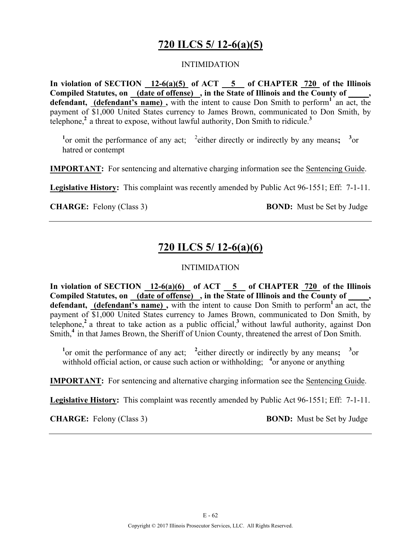## **720 ILCS 5/ 12-6(a)(5)**

#### INTIMIDATION

**In violation of SECTION 12-6(a)(5) of ACT 5 of CHAPTER 720 of the Illinois Compiled Statutes, on (date of offense) , in the State of Illinois and the County of \_\_\_\_\_,**  defendant, (defendant's name), with the intent to cause Don Smith to perform<sup>1</sup> an act, the payment of \$1,000 United States currency to James Brown, communicated to Don Smith, by telephone,**<sup>2</sup>** a threat to expose, without lawful authority, Don Smith to ridicule.**<sup>3</sup>**

<sup>1</sup> $\alpha$  or omit the performance of any act; <sup>2</sup> either directly or indirectly by any means; <sup>3</sup> $\alpha$ hatred or contempt

**IMPORTANT:** For sentencing and alternative charging information see the Sentencing Guide.

**Legislative History:** This complaint was recently amended by Public Act 96-1551; Eff: 7-1-11.

**CHARGE:** Felony (Class 3) **BOND:** Must be Set by Judge

## **720 ILCS 5/ 12-6(a)(6)**

#### INTIMIDATION

**In violation of SECTION 12-6(a)(6) of ACT 5 of CHAPTER 720 of the Illinois**  Compiled Statutes, on (date of offense), in the State of Illinois and the County of, defendant, (defendant's name), with the intent to cause Don Smith to perform<sup>1</sup> an act, the payment of \$1,000 United States currency to James Brown, communicated to Don Smith, by telephone,**<sup>2</sup>** a threat to take action as a public official,**<sup>3</sup>** without lawful authority, against Don Smith,<sup>4</sup> in that James Brown, the Sheriff of Union County, threatened the arrest of Don Smith.

<sup>1</sup> $\alpha$  or omit the performance of any act; <sup>2</sup> either directly or indirectly by any means; <sup>3</sup> $\alpha$ withhold official action, or cause such action or withholding; <sup>4</sup> or anyone or anything

**IMPORTANT:** For sentencing and alternative charging information see the Sentencing Guide.

**Legislative History:** This complaint was recently amended by Public Act 96-1551; Eff: 7-1-11.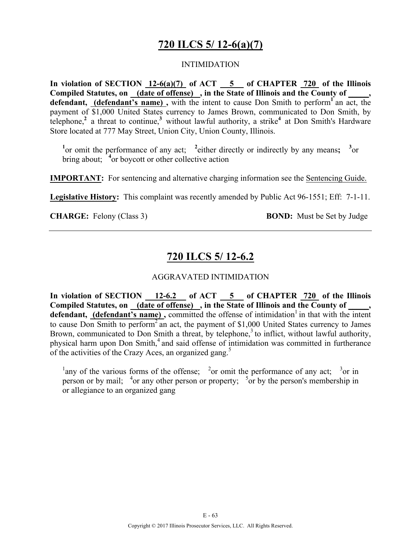## **720 ILCS 5/ 12-6(a)(7)**

#### INTIMIDATION

**In violation of SECTION 12-6(a)(7) of ACT 5 of CHAPTER 720 of the Illinois Compiled Statutes, on (date of offense) , in the State of Illinois and the County of \_\_\_\_\_, defendant, (defendant's name) ,** with the intent to cause Don Smith to perform**<sup>1</sup>** an act, the payment of \$1,000 United States currency to James Brown, communicated to Don Smith, by telephone,**<sup>2</sup>**a threat to continue,**<sup>3</sup>**without lawful authority, a strike**<sup>4</sup>** at Don Smith's Hardware Store located at 777 May Street, Union City, Union County, Illinois.

<sup>1</sup><sup>or</sup> omit the performance of any act; <sup>2</sup> either directly or indirectly by any means; <sup>3</sup><sup>or</sup> bring about; <sup>4</sup> or boycott or other collective action

**IMPORTANT:** For sentencing and alternative charging information see the Sentencing Guide.

**Legislative History:** This complaint was recently amended by Public Act 96-1551; Eff: 7-1-11.

**CHARGE:** Felony (Class 3) **BOND:** Must be Set by Judge

### **720 ILCS 5/ 12-6.2**

#### AGGRAVATED INTIMIDATION

**In violation of SECTION 12-6.2 of ACT 5 of CHAPTER 720 of the Illinois Compiled Statutes, on (date of offense) , in the State of Illinois and the County of \_\_\_\_\_, defendant, (defendant's name),** committed the offense of intimidation<sup>1</sup> in that with the intent to cause Don Smith to perform<sup>2</sup> an act, the payment of \$1,000 United States currency to James Brown, communicated to Don Smith a threat, by telephone,  $3$  to inflict, without lawful authority, physical harm upon Don Smith, $4$  and said offense of intimidation was committed in furtherance of the activities of the Crazy Aces, an organized gang.<sup>5</sup>

<sup>1</sup> any of the various forms of the offense; <sup>2</sup> or omit the performance of any act; <sup>3</sup> or in person or by mail;  $4$ or any other person or property;  $5$ or by the person's membership in or allegiance to an organized gang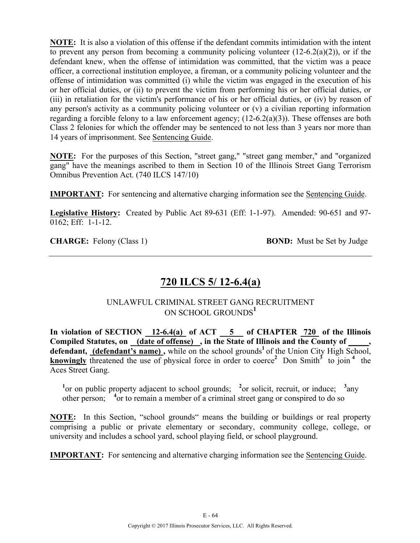**NOTE:** It is also a violation of this offense if the defendant commits intimidation with the intent to prevent any person from becoming a community policing volunteer  $(12-6.2(a)(2))$ , or if the defendant knew, when the offense of intimidation was committed, that the victim was a peace officer, a correctional institution employee, a fireman, or a community policing volunteer and the offense of intimidation was committed (i) while the victim was engaged in the execution of his or her official duties, or (ii) to prevent the victim from performing his or her official duties, or (iii) in retaliation for the victim's performance of his or her official duties, or (iv) by reason of any person's activity as a community policing volunteer or (v) a civilian reporting information regarding a forcible felony to a law enforcement agency; (12-6.2(a)(3)). These offenses are both Class 2 felonies for which the offender may be sentenced to not less than 3 years nor more than 14 years of imprisonment. See Sentencing Guide.

**NOTE:** For the purposes of this Section, "street gang," "street gang member," and "organized gang" have the meanings ascribed to them in Section 10 of the Illinois Street Gang Terrorism Omnibus Prevention Act. (740 ILCS 147/10)

**IMPORTANT:** For sentencing and alternative charging information see the Sentencing Guide.

**Legislative History:** Created by Public Act 89-631 (Eff: 1-1-97). Amended: 90-651 and 97- 0162; Eff: 1-1-12.

**CHARGE:** Felony (Class 1) **BOND:** Must be Set by Judge

## **720 ILCS 5/ 12-6.4(a)**

### UNLAWFUL CRIMINAL STREET GANG RECRUITMENT ON SCHOOL GROUNDS**<sup>1</sup>**

**In violation of SECTION 12-6.4(a) of ACT 5 of CHAPTER 720 of the Illinois**  Compiled Statutes, on (date of offense), in the State of Illinois and the County of defendant, (defendant's name), while on the school grounds<sup>1</sup> of the Union City High School, **knowingly** threatened the use of physical force in order to coerce<sup>2</sup> Don Smith<sup>3</sup> to join<sup>4</sup> the Aces Street Gang.

<sup>1</sup><sup>or</sup> on public property adjacent to school grounds; <sup>2</sup>or solicit, recruit, or induce; <sup>3</sup> any other person; <sup>4</sup> or to remain a member of a criminal street gang or conspired to do so

**NOTE:** In this Section, "school grounds" means the building or buildings or real property comprising a public or private elementary or secondary, community college, college, or university and includes a school yard, school playing field, or school playground.

**IMPORTANT:** For sentencing and alternative charging information see the Sentencing Guide.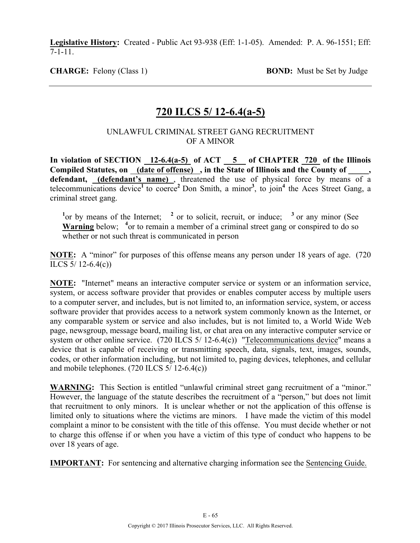**Legislative History:** Created - Public Act 93-938 (Eff: 1-1-05). Amended: P. A. 96-1551; Eff: 7-1-11.

**CHARGE:** Felony (Class 1) **BOND:** Must be Set by Judge

### **720 ILCS 5/ 12-6.4(a-5)**

#### UNLAWFUL CRIMINAL STREET GANG RECRUITMENT OF A MINOR

**In violation of SECTION 12-6.4(a-5) of ACT 5 of CHAPTER 720 of the Illinois**  Compiled Statutes, on (date of offense), in the State of Illinois and the County of, **defendant, (defendant's name)** , threatened the use of physical force by means of a telecommunications device<sup>1</sup> to coerce<sup>2</sup> Don Smith, a minor<sup>3</sup>, to join<sup>4</sup> the Aces Street Gang, a criminal street gang.

<sup>1</sup> or by means of the Internet; <sup>2</sup> or to solicit, recruit, or induce; <sup>3</sup> or any minor (See Warning below; <sup>4</sup> or to remain a member of a criminal street gang or conspired to do so whether or not such threat is communicated in person

**NOTE:** A "minor" for purposes of this offense means any person under 18 years of age. (720 ILCS 5/ 12-6.4(c))

**NOTE:** "Internet" means an interactive computer service or system or an information service, system, or access software provider that provides or enables computer access by multiple users to a computer server, and includes, but is not limited to, an information service, system, or access software provider that provides access to a network system commonly known as the Internet, or any comparable system or service and also includes, but is not limited to, a World Wide Web page, newsgroup, message board, mailing list, or chat area on any interactive computer service or system or other online service. (720 ILCS 5/ 12-6.4(c)) "Telecommunications device" means a device that is capable of receiving or transmitting speech, data, signals, text, images, sounds, codes, or other information including, but not limited to, paging devices, telephones, and cellular and mobile telephones. (720 ILCS 5/ 12-6.4(c))

**WARNING:** This Section is entitled "unlawful criminal street gang recruitment of a "minor." However, the language of the statute describes the recruitment of a "person," but does not limit that recruitment to only minors. It is unclear whether or not the application of this offense is limited only to situations where the victims are minors. I have made the victim of this model complaint a minor to be consistent with the title of this offense. You must decide whether or not to charge this offense if or when you have a victim of this type of conduct who happens to be over 18 years of age.

**IMPORTANT:** For sentencing and alternative charging information see the Sentencing Guide.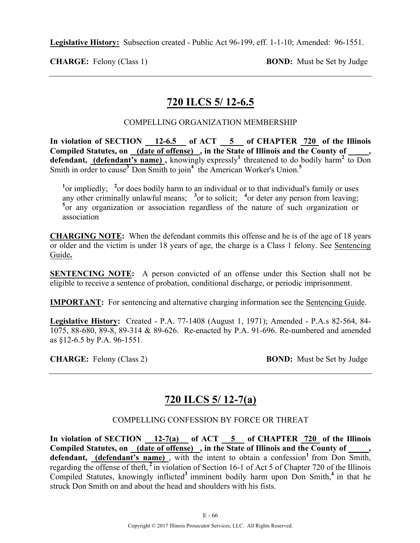**Legislative History:** Subsection created - Public Act 96-199, eff. 1-1-10; Amended: 96-1551.

**CHARGE:** Felony (Class 1) **BOND:** Must be Set by Judge

## **720 ILCS 5/ 12-6.5**

#### COMPELLING ORGANIZATION MEMBERSHIP

**In violation of SECTION 12-6.5 of ACT 5 of CHAPTER 720 of the Illinois Compiled Statutes, on (date of offense) , in the State of Illinois and the County of \_\_\_\_\_,**  defendant, (defendant's name), knowingly expressly<sup>1</sup> threatened to do bodily harm<sup>2</sup> to Don Smith in order to cause<sup>3</sup> Don Smith to join<sup>4</sup> the American Worker's Union.<sup>5</sup>

<sup>1</sup> or impliedly; <sup>2</sup> or does bodily harm to an individual or to that individual's family or uses any other criminally unlawful means;  $3$  or to solicit;  $4$  or deter any person from leaving; <sup>5</sup><sub>or</sub> any organization or association regardless of the nature of such organization or association

**CHARGING NOTE:** When the defendant commits this offense and he is of the age of 18 years or older and the victim is under 18 years of age, the charge is a Class 1 felony. See Sentencing Guide**.**

**SENTENCING NOTE:** A person convicted of an offense under this Section shall not be eligible to receive a sentence of probation, conditional discharge, or periodic imprisonment.

**IMPORTANT:** For sentencing and alternative charging information see the Sentencing Guide.

**Legislative History:** Created - P.A. 77-1408 (August 1, 1971); Amended - P.A.s 82-564, 84- 1075, 88-680, 89-8, 89-314 & 89-626. Re-enacted by P.A. 91-696. Re-numbered and amended as §12-6.5 by P.A. 96-1551.

**CHARGE:** Felony (Class 2) **BOND:** Must be Set by Judge

### **720 ILCS 5/ 12-7(a)**

#### COMPELLING CONFESSION BY FORCE OR THREAT

**In violation of SECTION 12-7(a) of ACT 5 of CHAPTER 720 of the Illinois Compiled Statutes, on (date of offense) , in the State of Illinois and the County of \_\_\_\_\_, defendant, (defendant's name)**, with the intent to obtain a confession<sup>1</sup> from Don  $\overline{\text{Smith}}$ , regarding the offense of theft, **<sup>2</sup>**in violation of Section 16-1 of Act 5 of Chapter 720 of the Illinois Compiled Statutes, knowingly inflicted<sup>3</sup> imminent bodily harm upon Don Smith,<sup>4</sup> in that he struck Don Smith on and about the head and shoulders with his fists.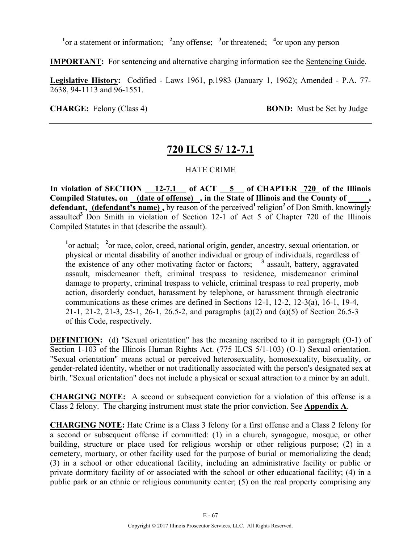<sup>1</sup><sup>or</sup> a statement or information; <sup>2</sup> any offense; <sup>3</sup> or threatened; <sup>4</sup> or upon any person

**IMPORTANT:** For sentencing and alternative charging information see the Sentencing Guide.

**Legislative History:** Codified - Laws 1961, p.1983 (January 1, 1962); Amended - P.A. 77- 2638, 94-1113 and 96-1551.

**CHARGE:** Felony (Class 4) **BOND:** Must be Set by Judge

## **720 ILCS 5/ 12-7.1**

### HATE CRIME

**In violation of SECTION 12-7.1 of ACT 5 of CHAPTER 720 of the Illinois Compiled Statutes, on (date of offense) , in the State of Illinois and the County of \_\_\_\_\_,**  defendant, (defendant's name), by reason of the perceived<sup>1</sup> religion<sup>2</sup> of Don Smith, knowingly assaulted**<sup>3</sup>**Don Smith in violation of Section 12-1 of Act 5 of Chapter 720 of the Illinois Compiled Statutes in that (describe the assault).

<sup>1</sup><sup>or</sup> actual; <sup>2</sup><sup>or</sup> race, color, creed, national origin, gender, ancestry, sexual orientation, or physical or mental disability of another individual or group of individuals, regardless of the existence of any other motivating factor or factors; **<sup>3</sup>** assault, battery, aggravated assault, misdemeanor theft, criminal trespass to residence, misdemeanor criminal damage to property, criminal trespass to vehicle, criminal trespass to real property, mob action, disorderly conduct, harassment by telephone, or harassment through electronic communications as these crimes are defined in Sections 12-1, 12-2, 12-3(a), 16-1, 19-4, 21-1, 21-2, 21-3, 25-1, 26-1, 26.5-2, and paragraphs (a)(2) and (a)(5) of Section 26.5-3 of this Code, respectively.

**DEFINITION:** (d) "Sexual orientation" has the meaning ascribed to it in paragraph (O-1) of Section 1-103 of the Illinois Human Rights Act. (775 ILCS 5/1-103) (O-1) Sexual orientation. "Sexual orientation" means actual or perceived heterosexuality, homosexuality, bisexuality, or gender-related identity, whether or not traditionally associated with the person's designated sex at birth. "Sexual orientation" does not include a physical or sexual attraction to a minor by an adult.

**CHARGING NOTE:** A second or subsequent conviction for a violation of this offense is a Class 2 felony. The charging instrument must state the prior conviction. See **Appendix A**.

**CHARGING NOTE:** Hate Crime is a Class 3 felony for a first offense and a Class 2 felony for a second or subsequent offense if committed: (1) in a church, synagogue, mosque, or other building, structure or place used for religious worship or other religious purpose; (2) in a cemetery, mortuary, or other facility used for the purpose of burial or memorializing the dead; (3) in a school or other educational facility, including an administrative facility or public or private dormitory facility of or associated with the school or other educational facility; (4) in a public park or an ethnic or religious community center; (5) on the real property comprising any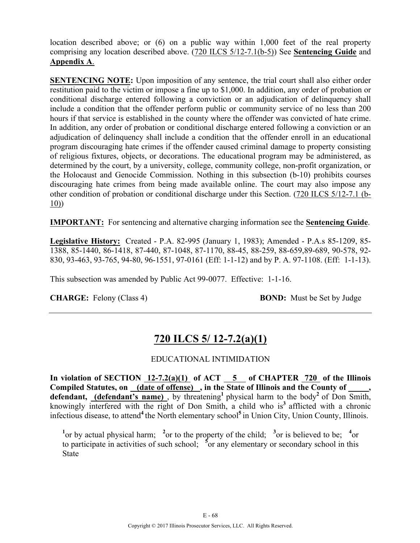location described above; or (6) on a public way within 1,000 feet of the real property comprising any location described above. (720 ILCS 5/12-7.1(b-5)) See **Sentencing Guide** and **Appendix A**.

**SENTENCING NOTE:** Upon imposition of any sentence, the trial court shall also either order restitution paid to the victim or impose a fine up to \$1,000. In addition, any order of probation or conditional discharge entered following a conviction or an adjudication of delinquency shall include a condition that the offender perform public or community service of no less than 200 hours if that service is established in the county where the offender was convicted of hate crime. In addition, any order of probation or conditional discharge entered following a conviction or an adjudication of delinquency shall include a condition that the offender enroll in an educational program discouraging hate crimes if the offender caused criminal damage to property consisting of religious fixtures, objects, or decorations. The educational program may be administered, as determined by the court, by a university, college, community college, non-profit organization, or the Holocaust and Genocide Commission. Nothing in this subsection (b-10) prohibits courses discouraging hate crimes from being made available online. The court may also impose any other condition of probation or conditional discharge under this Section. (720 ILCS 5/12-7.1 (b- $10)$ 

**IMPORTANT:** For sentencing and alternative charging information see the **Sentencing Guide**.

**Legislative History:** Created - P.A. 82-995 (January 1, 1983); Amended - P.A.s 85-1209, 85- 1388, 85-1440, 86-1418, 87-440, 87-1048, 87-1170, 88-45, 88-259, 88-659,89-689, 90-578, 92- 830, 93-463, 93-765, 94-80, 96-1551, 97-0161 (Eff: 1-1-12) and by P. A. 97-1108. (Eff: 1-1-13).

This subsection was amended by Public Act 99-0077. Effective: 1-1-16.

**CHARGE:** Felony (Class 4) **BOND:** Must be Set by Judge

# **720 ILCS 5/ 12-7.2(a)(1)**

### EDUCATIONAL INTIMIDATION

**In violation of SECTION 12-7.2(a)(1) of ACT 5 of CHAPTER 720 of the Illinois**  Compiled Statutes, on (date of offense), in the State of Illinois and the County of defendant, **(defendant's name)**, by threatening<sup>1</sup> physical harm to the body<sup>2</sup> of Don Smith, knowingly interfered with the right of Don Smith, a child who is**<sup>3</sup>**afflicted with a chronic infectious disease, to attend<sup>4</sup> the North elementary school<sup>5</sup> in Union City, Union County, Illinois.

<sup>1</sup><sup>or</sup> by actual physical harm; <sup>2</sup><sup>or</sup> to the property of the child; <sup>3</sup><sup>or</sup> is believed to be; <sup>4</sup><sup>or</sup> to participate in activities of such school; <sup>5</sup> or any elementary or secondary school in this State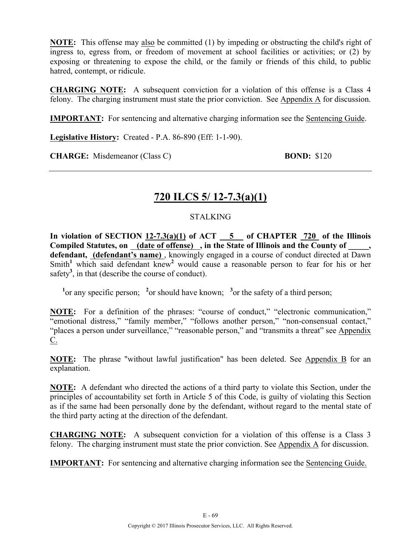**NOTE:** This offense may also be committed (1) by impeding or obstructing the child's right of ingress to, egress from, or freedom of movement at school facilities or activities; or (2) by exposing or threatening to expose the child, or the family or friends of this child, to public hatred, contempt, or ridicule.

**CHARGING NOTE:** A subsequent conviction for a violation of this offense is a Class 4 felony. The charging instrument must state the prior conviction. See Appendix A for discussion.

**IMPORTANT:** For sentencing and alternative charging information see the Sentencing Guide.

**Legislative History:** Created - P.A. 86-890 (Eff: 1-1-90).

**CHARGE:** Misdemeanor (Class C) **BOND:** \$120

### **720 ILCS 5/ 12-7.3(a)(1)**

#### STALKING

**In violation of SECTION 12-7.3(a)(1) of ACT 5 of CHAPTER 720 of the Illinois Compiled Statutes, on (date of offense) , in the State of Illinois and the County of \_\_\_\_\_, defendant, (defendant's name)** , knowingly engaged in a course of conduct directed at Dawn Smith<sup>1</sup> which said defendant knew<sup>2</sup> would cause a reasonable person to fear for his or her safety<sup>3</sup>, in that (describe the course of conduct).

<sup>1</sup><sup>or</sup> any specific person; <sup>2</sup><sup>or</sup> should have known; <sup>3</sup><sup>or</sup> the safety of a third person;

**NOTE:** For a definition of the phrases: "course of conduct," "electronic communication," "emotional distress," "family member," "follows another person," "non-consensual contact," "places a person under surveillance," "reasonable person," and "transmits a threat" see Appendix  $C_{\cdot}$ 

**NOTE:** The phrase "without lawful justification" has been deleted. See Appendix B for an explanation.

**NOTE:** A defendant who directed the actions of a third party to violate this Section, under the principles of accountability set forth in Article 5 of this Code, is guilty of violating this Section as if the same had been personally done by the defendant, without regard to the mental state of the third party acting at the direction of the defendant.

**CHARGING NOTE:** A subsequent conviction for a violation of this offense is a Class 3 felony. The charging instrument must state the prior conviction. See Appendix A for discussion.

**IMPORTANT:** For sentencing and alternative charging information see the Sentencing Guide.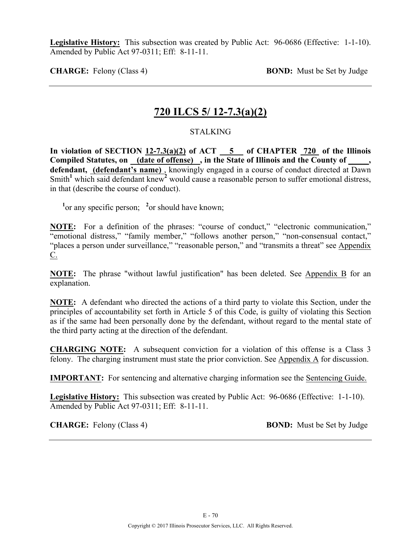**Legislative History:** This subsection was created by Public Act: 96-0686 (Effective: 1-1-10). Amended by Public Act 97-0311; Eff: 8-11-11.

**CHARGE:** Felony (Class 4) **BOND:** Must be Set by Judge

### **720 ILCS 5/ 12-7.3(a)(2)**

#### STALKING

In violation of SECTION  $12-7.3(a)(2)$  of ACT  $\overline{\hspace{1cm}}$  5 of CHAPTER 720 of the Illinois **Compiled Statutes, on (date of offense) , in the State of Illinois and the County of \_\_\_\_\_,**  defendant, **(defendant's name)**, knowingly engaged in a course of conduct directed at Dawn Smith<sup>1</sup> which said defendant knew<sup>2</sup> would cause a reasonable person to suffer emotional distress, in that (describe the course of conduct).

<sup>1</sup> or any specific person; <sup>2</sup> or should have known;

**NOTE:** For a definition of the phrases: "course of conduct," "electronic communication," "emotional distress," "family member," "follows another person," "non-consensual contact," "places a person under surveillance," "reasonable person," and "transmits a threat" see Appendix C.

**NOTE:** The phrase "without lawful justification" has been deleted. See Appendix B for an explanation.

**NOTE:** A defendant who directed the actions of a third party to violate this Section, under the principles of accountability set forth in Article 5 of this Code, is guilty of violating this Section as if the same had been personally done by the defendant, without regard to the mental state of the third party acting at the direction of the defendant.

**CHARGING NOTE:** A subsequent conviction for a violation of this offense is a Class 3 felony. The charging instrument must state the prior conviction. See Appendix A for discussion.

**IMPORTANT:** For sentencing and alternative charging information see the Sentencing Guide.

**Legislative History:** This subsection was created by Public Act: 96-0686 (Effective: 1-1-10). Amended by Public Act 97-0311; Eff: 8-11-11.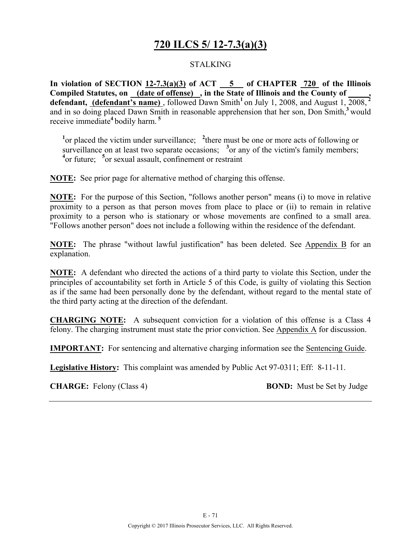## **720 ILCS 5/ 12-7.3(a)(3)**

#### STALKING

**In violation of SECTION 12-7.3(a)(3) of ACT 5 of CHAPTER 720 of the Illinois Compiled Statutes, on (date of offense) , in the State of Illinois and the County of \_\_\_\_\_, defendant, (defendant's name)** , followed Dawn Smith**<sup>1</sup>**on July 1, 2008, and August 1, 2008, **<sup>2</sup>** and in so doing placed Dawn Smith in reasonable apprehension that her son. Don Smith,<sup>3</sup> would receive immediate**<sup>4</sup>**bodily harm. **<sup>5</sup>**

<sup>1</sup> or placed the victim under surveillance; <sup>2</sup> there must be one or more acts of following or surveillance on at least two separate occasions; <sup>3</sup> or any of the victim's family members; <sup>4</sup> or future; <sup>5</sup> or sexual assault, confinement or restraint

**NOTE:** See prior page for alternative method of charging this offense.

**NOTE:** For the purpose of this Section, "follows another person" means (i) to move in relative proximity to a person as that person moves from place to place or (ii) to remain in relative proximity to a person who is stationary or whose movements are confined to a small area. "Follows another person" does not include a following within the residence of the defendant.

**NOTE:** The phrase "without lawful justification" has been deleted. See Appendix B for an explanation.

**NOTE:** A defendant who directed the actions of a third party to violate this Section, under the principles of accountability set forth in Article 5 of this Code, is guilty of violating this Section as if the same had been personally done by the defendant, without regard to the mental state of the third party acting at the direction of the defendant.

**CHARGING NOTE:** A subsequent conviction for a violation of this offense is a Class 4 felony. The charging instrument must state the prior conviction. See Appendix A for discussion.

**IMPORTANT:** For sentencing and alternative charging information see the Sentencing Guide.

**Legislative History:** This complaint was amended by Public Act 97-0311; Eff: 8-11-11.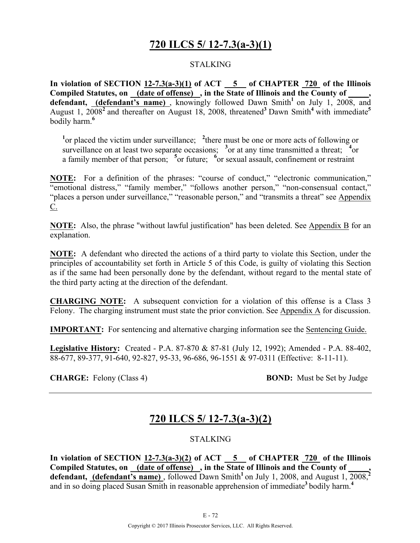## **720 ILCS 5/ 12-7.3(a-3)(1)**

#### STALKING

**In violation of SECTION 12-7.3(a-3)(1) of ACT 5 of CHAPTER 720 of the Illinois Compiled Statutes, on (date of offense) , in the State of Illinois and the County of \_\_\_\_\_,**  defendant, (defendant's name), knowingly followed Dawn Smith<sup>1</sup> on July 1, 2008, and August 1, 2008**<sup>2</sup>**and thereafter on August 18, 2008, threatened**<sup>3</sup>**Dawn Smith**<sup>4</sup>** with immediate**<sup>5</sup>** bodily harm.**<sup>6</sup>**

<sup>1</sup> or placed the victim under surveillance; <sup>2</sup> there must be one or more acts of following or surveillance on at least two separate occasions;  $3$  or at any time transmitted a threat;  $3$  or a family member of that person; <sup>5</sup> or future; <sup>6</sup> or sexual assault, confinement or restraint

**NOTE:** For a definition of the phrases: "course of conduct," "electronic communication," "emotional distress," "family member," "follows another person," "non-consensual contact," "places a person under surveillance," "reasonable person," and "transmits a threat" see Appendix  $\underline{C}$ .

**NOTE:** Also, the phrase "without lawful justification" has been deleted. See Appendix B for an explanation.

**NOTE:** A defendant who directed the actions of a third party to violate this Section, under the principles of accountability set forth in Article 5 of this Code, is guilty of violating this Section as if the same had been personally done by the defendant, without regard to the mental state of the third party acting at the direction of the defendant.

**CHARGING NOTE:** A subsequent conviction for a violation of this offense is a Class 3 Felony. The charging instrument must state the prior conviction. See Appendix A for discussion.

**IMPORTANT:** For sentencing and alternative charging information see the Sentencing Guide.

**Legislative History:** Created - P.A. 87-870 & 87-81 (July 12, 1992); Amended - P.A. 88-402, 88-677, 89-377, 91-640, 92-827, 95-33, 96-686, 96-1551 & 97-0311 (Effective: 8-11-11).

**CHARGE:** Felony (Class 4) **BOND:** Must be Set by Judge

## **720 ILCS 5/ 12-7.3(a-3)(2)**

#### **STALKING**

**In violation of SECTION 12-7.3(a-3)(2) of ACT 5 of CHAPTER 720 of the Illinois**  Compiled Statutes, on (date of offense), in the State of Illinois and the County of **defendant, (defendant's name)** , followed Dawn Smith**<sup>1</sup>**on July 1, 2008, and August 1, 2008,**<sup>2</sup>** and in so doing placed Susan Smith in reasonable apprehension of immediate<sup>3</sup> bodily harm.<sup>4</sup>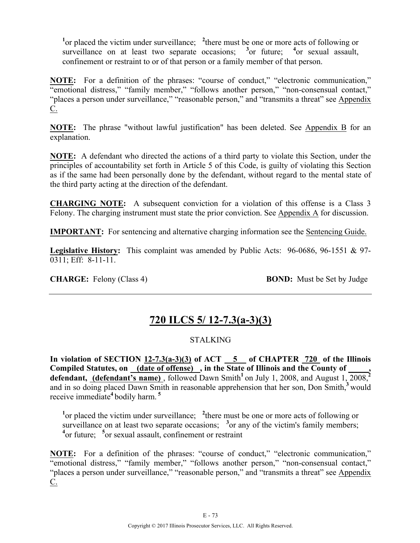<sup>1</sup> or placed the victim under surveillance; <sup>2</sup> there must be one or more acts of following or surveillance on at least two separate occasions;  $3$  or future;  $4$  or sexual assault, confinement or restraint to or of that person or a family member of that person.

**NOTE:** For a definition of the phrases: "course of conduct," "electronic communication," "emotional distress," "family member," "follows another person," "non-consensual contact," "places a person under surveillance," "reasonable person," and "transmits a threat" see Appendix  $C<sub>1</sub>$ 

**NOTE:** The phrase "without lawful justification" has been deleted. See Appendix B for an explanation.

**NOTE:** A defendant who directed the actions of a third party to violate this Section, under the principles of accountability set forth in Article 5 of this Code, is guilty of violating this Section as if the same had been personally done by the defendant, without regard to the mental state of the third party acting at the direction of the defendant.

**CHARGING NOTE:** A subsequent conviction for a violation of this offense is a Class 3 Felony. The charging instrument must state the prior conviction. See Appendix A for discussion.

**IMPORTANT:** For sentencing and alternative charging information see the Sentencing Guide.

**Legislative History:** This complaint was amended by Public Acts: 96-0686, 96-1551 & 97- 0311; Eff: 8-11-11.

**CHARGE:** Felony (Class 4) **BOND:** Must be Set by Judge

# **720 ILCS 5/ 12-7.3(a-3)(3)**

## STALKING

**In violation of SECTION 12-7.3(a-3)(3) of ACT 5 of CHAPTER 720 of the Illinois**  Compiled Statutes, on (date of offense), in the State of Illinois and the County of defendant, (defendant's name), followed Dawn Smith<sup>1</sup> on July 1, 2008, and August 1, 2008,<sup>2</sup> and in so doing placed Dawn Smith in reasonable apprehension that her son, Don Smith,<sup>3</sup> would receive immediate**<sup>4</sup>** bodily harm. **<sup>5</sup>**

<sup>1</sup> or placed the victim under surveillance; <sup>2</sup> there must be one or more acts of following or surveillance on at least two separate occasions;  $3$  or any of the victim's family members; **4** or future; **<sup>5</sup>** or sexual assault, confinement or restraint

**NOTE:** For a definition of the phrases: "course of conduct," "electronic communication," "emotional distress," "family member," "follows another person," "non-consensual contact," "places a person under surveillance," "reasonable person," and "transmits a threat" see Appendix  $C_{\cdot}$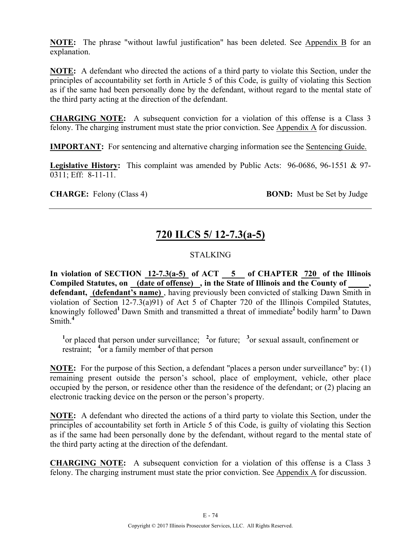**NOTE:** The phrase "without lawful justification" has been deleted. See Appendix B for an explanation.

**NOTE:** A defendant who directed the actions of a third party to violate this Section, under the principles of accountability set forth in Article 5 of this Code, is guilty of violating this Section as if the same had been personally done by the defendant, without regard to the mental state of the third party acting at the direction of the defendant.

**CHARGING NOTE:** A subsequent conviction for a violation of this offense is a Class 3 felony. The charging instrument must state the prior conviction. See Appendix A for discussion.

**IMPORTANT:** For sentencing and alternative charging information see the Sentencing Guide.

**Legislative History:** This complaint was amended by Public Acts: 96-0686, 96-1551 & 97- 0311; Eff: 8-11-11.

**CHARGE:** Felony (Class 4) **BOND:** Must be Set by Judge

# **720 ILCS 5/ 12-7.3(a-5)**

## STALKING

In violation of SECTION  $12-7.3(a-5)$  of ACT  $-5$  of CHAPTER  $720$  of the Illinois **Compiled Statutes, on (date of offense) , in the State of Illinois and the County of \_\_\_\_\_, defendant, (defendant's name)** , having previously been convicted of stalking Dawn Smith in violation of Section 12-7.3(a)91) of Act 5 of Chapter 720 of the Illinois Compiled Statutes, knowingly followed**<sup>1</sup>**Dawn Smith and transmitted a threat of immediate**<sup>2</sup>**bodily harm**<sup>3</sup>**to Dawn Smith.**<sup>4</sup>**

<sup>1</sup><sup>or</sup> placed that person under surveillance; <sup>2</sup><sup>or</sup> future; <sup>3</sup><sup>or</sup> sexual assault, confinement or restraint; **<sup>4</sup>** or a family member of that person

**NOTE:** For the purpose of this Section, a defendant "places a person under surveillance" by: (1) remaining present outside the person's school, place of employment, vehicle, other place occupied by the person, or residence other than the residence of the defendant; or (2) placing an electronic tracking device on the person or the person's property.

**NOTE:** A defendant who directed the actions of a third party to violate this Section, under the principles of accountability set forth in Article 5 of this Code, is guilty of violating this Section as if the same had been personally done by the defendant, without regard to the mental state of the third party acting at the direction of the defendant.

**CHARGING NOTE:** A subsequent conviction for a violation of this offense is a Class 3 felony. The charging instrument must state the prior conviction. See Appendix A for discussion.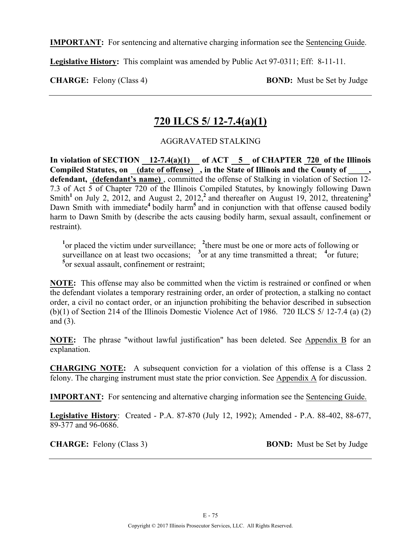**IMPORTANT:** For sentencing and alternative charging information see the Sentencing Guide.

**Legislative History:** This complaint was amended by Public Act 97-0311; Eff: 8-11-11.

**CHARGE:** Felony (Class 4) **BOND:** Must be Set by Judge

# **720 ILCS 5/ 12-7.4(a)(1)**

## AGGRAVATED STALKING

**In violation of SECTION 12-7.4(a)(1) of ACT 5 of CHAPTER 720 of the Illinois**  Compiled Statutes, on (date of offense), in the State of Illinois and the County of **defendant, (defendant's name)** , committed the offense of Stalking in violation of Section 12- 7.3 of Act 5 of Chapter 720 of the Illinois Compiled Statutes, by knowingly following Dawn Smith<sup>1</sup> on July 2, 2012, and August 2, 2012,<sup>2</sup> and thereafter on August 19, 2012, threatening<sup>3</sup> Dawn Smith with immediate<sup>4</sup> bodily harm<sup>5</sup> and in conjunction with that offense caused bodily harm to Dawn Smith by (describe the acts causing bodily harm, sexual assault, confinement or restraint).

<sup>1</sup> or placed the victim under surveillance; <sup>2</sup> there must be one or more acts of following or surveillance on at least two occasions;  $\frac{3}{3}$  or at any time transmitted a threat;  $\frac{4}{3}$  or future; **5** or sexual assault, confinement or restraint;

**NOTE:** This offense may also be committed when the victim is restrained or confined or when the defendant violates a temporary restraining order, an order of protection, a stalking no contact order, a civil no contact order, or an injunction prohibiting the behavior described in subsection (b)(1) of Section 214 of the Illinois Domestic Violence Act of 1986. 720 ILCS 5/ 12-7.4 (a) (2) and (3).

**NOTE:** The phrase "without lawful justification" has been deleted. See Appendix B for an explanation.

**CHARGING NOTE:** A subsequent conviction for a violation of this offense is a Class 2 felony. The charging instrument must state the prior conviction. See Appendix A for discussion.

**IMPORTANT:** For sentencing and alternative charging information see the Sentencing Guide.

**Legislative History**: Created - P.A. 87-870 (July 12, 1992); Amended - P.A. 88-402, 88-677, 89-377 and 96-0686.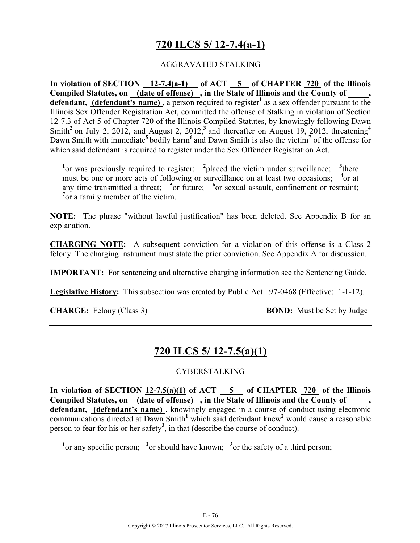# **720 ILCS 5/ 12-7.4(a-1)**

### AGGRAVATED STALKING

In violation of SECTION  $\frac{12-7.4(a-1)}{2}$  of ACT  $\frac{5}{5}$  of CHAPTER  $\frac{720}{720}$  of the Illinois **Compiled Statutes, on (date of offense) , in the State of Illinois and the County of \_\_\_\_\_, defendant, (defendant's name)**, a person required to register<sup>1</sup> as a sex offender pursuant to the Illinois Sex Offender Registration Act, committed the offense of Stalking in violation of Section 12-7.3 of Act 5 of Chapter 720 of the Illinois Compiled Statutes, by knowingly following Dawn Smith<sup>2</sup> on July 2, 2012, and August 2, 2012,<sup>3</sup> and thereafter on August 19, 2012, threatening<sup>4</sup> Dawn Smith with immediate**<sup>5</sup>**bodily harm**<sup>6</sup>**and Dawn Smith is also the victim**<sup>7</sup>** of the offense for which said defendant is required to register under the Sex Offender Registration Act.

<sup>1</sup> or was previously required to register; <sup>2</sup> placed the victim under surveillance; <sup>3</sup> there must be one or more acts of following or surveillance on at least two occasions; <sup>4</sup> or at any time transmitted a threat; <sup>5</sup> or future; <sup>6</sup> or sexual assault, confinement or restraint; <sup>7</sup> or a family member of the victim.

**NOTE:** The phrase "without lawful justification" has been deleted. See Appendix B for an explanation.

**CHARGING NOTE:** A subsequent conviction for a violation of this offense is a Class 2 felony. The charging instrument must state the prior conviction. See Appendix A for discussion.

**IMPORTANT:** For sentencing and alternative charging information see the Sentencing Guide.

**Legislative History:** This subsection was created by Public Act: 97-0468 (Effective: 1-1-12).

**CHARGE:** Felony (Class 3) **BOND:** Must be Set by Judge

# **720 ILCS 5/ 12-7.5(a)(1)**

#### CYBERSTALKING

**In violation of SECTION 12-7.5(a)(1) of ACT 5 of CHAPTER 720 of the Illinois Compiled Statutes, on (date of offense) , in the State of Illinois and the County of \_\_\_\_\_,**  defendant, (defendant's name), knowingly engaged in a course of conduct using electronic communications directed at Dawn Smith<sup>1</sup> which said defendant knew<sup>2</sup> would cause a reasonable person to fear for his or her safety**<sup>3</sup>** , in that (describe the course of conduct).

<sup>1</sup><sup>or</sup> any specific person; <sup>2</sup><sup>or</sup> should have known; <sup>3</sup><sup>or</sup> the safety of a third person;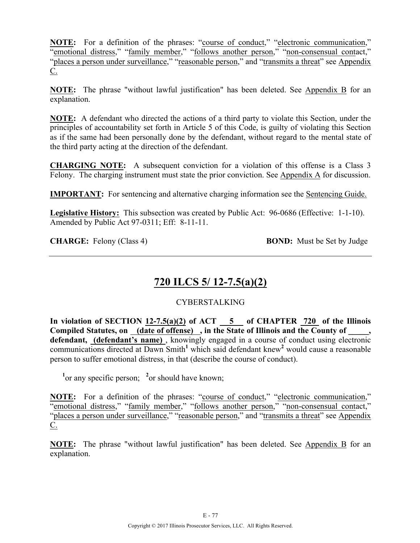**NOTE:** For a definition of the phrases: "course of conduct," "electronic communication," "emotional distress," "family member," "follows another person," "non-consensual contact," "places a person under surveillance," "reasonable person," and "transmits a threat" see Appendix C.

**NOTE:** The phrase "without lawful justification" has been deleted. See Appendix B for an explanation.

**NOTE:** A defendant who directed the actions of a third party to violate this Section, under the principles of accountability set forth in Article 5 of this Code, is guilty of violating this Section as if the same had been personally done by the defendant, without regard to the mental state of the third party acting at the direction of the defendant.

**CHARGING NOTE:** A subsequent conviction for a violation of this offense is a Class 3 Felony. The charging instrument must state the prior conviction. See Appendix A for discussion.

**IMPORTANT:** For sentencing and alternative charging information see the Sentencing Guide.

Legislative History: This subsection was created by Public Act: 96-0686 (Effective: 1-1-10). Amended by Public Act 97-0311; Eff: 8-11-11.

**CHARGE:** Felony (Class 4) **BOND:** Must be Set by Judge

# **720 ILCS 5/ 12-7.5(a)(2)**

## CYBERSTALKING

**In violation of SECTION 12-7.5(a)(2) of ACT 5 of CHAPTER 720 of the Illinois Compiled Statutes, on (date of offense) , in the State of Illinois and the County of \_\_\_\_\_,**  defendant, (defendant's name), knowingly engaged in a course of conduct using electronic communications directed at Dawn Smith<sup>1</sup> which said defendant knew<sup>2</sup> would cause a reasonable person to suffer emotional distress, in that (describe the course of conduct).

<sup>1</sup> or any specific person; <sup>2</sup> or should have known;

**NOTE:** For a definition of the phrases: "course of conduct," "electronic communication," "emotional distress," "family member," "follows another person," "non-consensual contact," "places a person under surveillance," "reasonable person," and "transmits a threat" see Appendix C.

**NOTE:** The phrase "without lawful justification" has been deleted. See Appendix B for an explanation.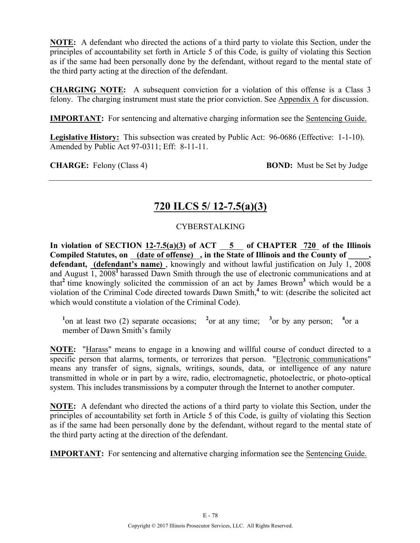**NOTE:** A defendant who directed the actions of a third party to violate this Section, under the principles of accountability set forth in Article 5 of this Code, is guilty of violating this Section as if the same had been personally done by the defendant, without regard to the mental state of the third party acting at the direction of the defendant.

**CHARGING NOTE:** A subsequent conviction for a violation of this offense is a Class 3 felony. The charging instrument must state the prior conviction. See Appendix A for discussion.

**IMPORTANT:** For sentencing and alternative charging information see the Sentencing Guide.

Legislative History: This subsection was created by Public Act: 96-0686 (Effective: 1-1-10). Amended by Public Act 97-0311; Eff: 8-11-11.

**CHARGE:** Felony (Class 4) **BOND:** Must be Set by Judge

# **720 ILCS 5/ 12-7.5(a)(3)**

## CYBERSTALKING

In violation of SECTION  $12-7.5(a)(3)$  of ACT  $-5$  of CHAPTER  $720$  of the Illinois **Compiled Statutes, on (date of offense) , in the State of Illinois and the County of \_\_\_\_\_,**  defendant, (defendant's name), knowingly and without lawful justification on July 1, 2008 and August 1, 2008**<sup>1</sup>**harassed Dawn Smith through the use of electronic communications and at that**<sup>2</sup>**time knowingly solicited the commission of an act by James Brown**<sup>3</sup>** which would be a violation of the Criminal Code directed towards Dawn Smith,**<sup>4</sup>** to wit: (describe the solicited act which would constitute a violation of the Criminal Code).

<sup>1</sup> $\alpha$  on at least two (2) separate occasions; <sup>2</sup> $\alpha$  at any time; <sup>3</sup> $\alpha$  by any person; <sup>4</sup> $\alpha$  a member of Dawn Smith's family

**NOTE:** "Harass" means to engage in a knowing and willful course of conduct directed to a specific person that alarms, torments, or terrorizes that person. "Electronic communications" means any transfer of signs, signals, writings, sounds, data, or intelligence of any nature transmitted in whole or in part by a wire, radio, electromagnetic, photoelectric, or photo-optical system. This includes transmissions by a computer through the Internet to another computer.

**NOTE:** A defendant who directed the actions of a third party to violate this Section, under the principles of accountability set forth in Article 5 of this Code, is guilty of violating this Section as if the same had been personally done by the defendant, without regard to the mental state of the third party acting at the direction of the defendant.

**IMPORTANT:** For sentencing and alternative charging information see the Sentencing Guide.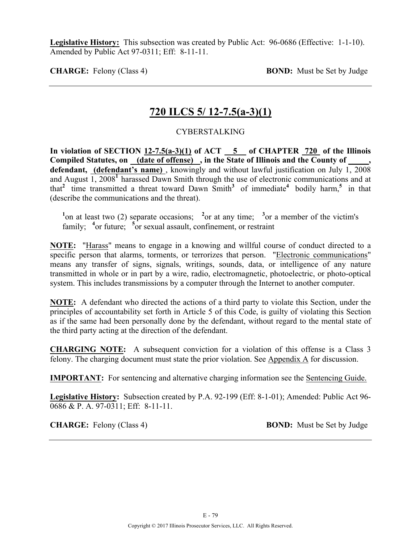Legislative History: This subsection was created by Public Act: 96-0686 (Effective: 1-1-10). Amended by Public Act 97-0311; Eff: 8-11-11.

**CHARGE:** Felony (Class 4) **BOND:** Must be Set by Judge

# **720 ILCS 5/ 12-7.5(a-3)(1)**

### CYBERSTALKING

**In violation of SECTION 12-7.5(a-3)(1) of ACT 5 of CHAPTER 720 of the Illinois Compiled Statutes, on (date of offense) , in the State of Illinois and the County of \_\_\_\_\_, defendant, (defendant's name)** , knowingly and without lawful justification on July 1, 2008 and August 1, 2008**<sup>1</sup>**harassed Dawn Smith through the use of electronic communications and at that<sup>2</sup> time transmitted a threat toward Dawn Smith<sup>3</sup> of immediate<sup>4</sup> bodily harm,<sup>5</sup> in that (describe the communications and the threat).

<sup>1</sup> on at least two (2) separate occasions; <sup>2</sup> or at any time; <sup>3</sup> or a member of the victim's family; <sup>4</sup> or future; <sup>5</sup> or sexual assault, confinement, or restraint

**NOTE:** "Harass" means to engage in a knowing and willful course of conduct directed to a specific person that alarms, torments, or terrorizes that person. "Electronic communications" means any transfer of signs, signals, writings, sounds, data, or intelligence of any nature transmitted in whole or in part by a wire, radio, electromagnetic, photoelectric, or photo-optical system. This includes transmissions by a computer through the Internet to another computer.

**NOTE:** A defendant who directed the actions of a third party to violate this Section, under the principles of accountability set forth in Article 5 of this Code, is guilty of violating this Section as if the same had been personally done by the defendant, without regard to the mental state of the third party acting at the direction of the defendant.

**CHARGING NOTE:** A subsequent conviction for a violation of this offense is a Class 3 felony. The charging document must state the prior violation. See Appendix A for discussion.

**IMPORTANT:** For sentencing and alternative charging information see the Sentencing Guide.

**Legislative History:** Subsection created by P.A. 92-199 (Eff: 8-1-01); Amended: Public Act 96- 0686 & P. A. 97-0311; Eff: 8-11-11.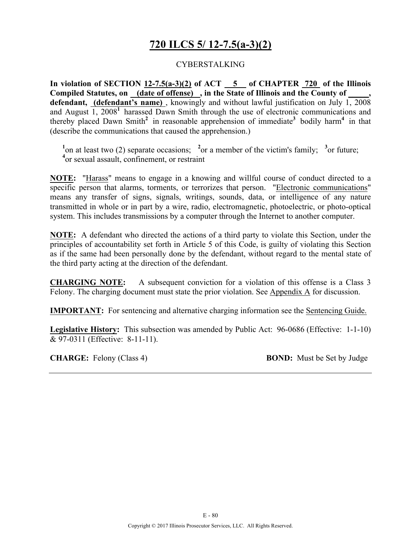# **720 ILCS 5/ 12-7.5(a-3)(2)**

### CYBERSTALKING

**In violation of SECTION 12-7.5(a-3)(2) of ACT 5 of CHAPTER 720 of the Illinois Compiled Statutes, on (date of offense) , in the State of Illinois and the County of \_\_\_\_\_,**  defendant, (defendant's name), knowingly and without lawful justification on July 1, 2008 and August 1, 2008**<sup>1</sup>**harassed Dawn Smith through the use of electronic communications and thereby placed Dawn Smith**<sup>2</sup>**in reasonable apprehension of immediate**<sup>3</sup>**bodily harm**<sup>4</sup>**in that (describe the communications that caused the apprehension.)

<sup>1</sup> on at least two (2) separate occasions; <sup>2</sup> or a member of the victim's family; <sup>3</sup> or future; **4** or sexual assault, confinement, or restraint

**NOTE:** "Harass" means to engage in a knowing and willful course of conduct directed to a specific person that alarms, torments, or terrorizes that person. "Electronic communications" means any transfer of signs, signals, writings, sounds, data, or intelligence of any nature transmitted in whole or in part by a wire, radio, electromagnetic, photoelectric, or photo-optical system. This includes transmissions by a computer through the Internet to another computer.

**NOTE:** A defendant who directed the actions of a third party to violate this Section, under the principles of accountability set forth in Article 5 of this Code, is guilty of violating this Section as if the same had been personally done by the defendant, without regard to the mental state of the third party acting at the direction of the defendant.

**CHARGING NOTE:** A subsequent conviction for a violation of this offense is a Class 3 Felony. The charging document must state the prior violation. See Appendix A for discussion.

**IMPORTANT:** For sentencing and alternative charging information see the Sentencing Guide.

**Legislative History:** This subsection was amended by Public Act: 96-0686 (Effective: 1-1-10) & 97-0311 (Effective: 8-11-11).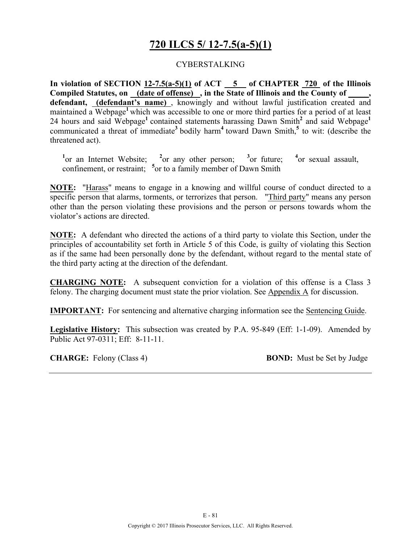# **720 ILCS 5/ 12-7.5(a-5)(1)**

### CYBERSTALKING

**In violation of SECTION 12-7.5(a-5)(1) of ACT 5 of CHAPTER 720 of the Illinois Compiled Statutes, on (date of offense) , in the State of Illinois and the County of \_\_\_\_\_, defendant, (defendant's name)** , knowingly and without lawful justification created and maintained a Webpage**<sup>1</sup>**which was accessible to one or more third parties for a period of at least 24 hours and said Webpage**<sup>1</sup>**contained statements harassing Dawn Smith**<sup>2</sup>** and said Webpage**<sup>1</sup>** communicated a threat of immediate**<sup>3</sup>**bodily harm**<sup>4</sup>**toward Dawn Smith,**<sup>5</sup>** to wit: (describe the threatened act).

<sup>1</sup><sub>or</sub> an Internet Website; <sup>2</sup><sub>or</sub> any other person; <sup>3</sup> <sup>3</sup> or future: <sup>4</sup> or sexual assault, confinement, or restraint; <sup>5</sup> or to a family member of Dawn Smith

**NOTE:** "Harass" means to engage in a knowing and willful course of conduct directed to a specific person that alarms, torments, or terrorizes that person. "Third party" means any person other than the person violating these provisions and the person or persons towards whom the violator's actions are directed.

**NOTE:** A defendant who directed the actions of a third party to violate this Section, under the principles of accountability set forth in Article 5 of this Code, is guilty of violating this Section as if the same had been personally done by the defendant, without regard to the mental state of the third party acting at the direction of the defendant.

**CHARGING NOTE:** A subsequent conviction for a violation of this offense is a Class 3 felony. The charging document must state the prior violation. See Appendix A for discussion.

**IMPORTANT:** For sentencing and alternative charging information see the Sentencing Guide.

**Legislative History:** This subsection was created by P.A. 95-849 (Eff: 1-1-09). Amended by Public Act 97-0311; Eff: 8-11-11.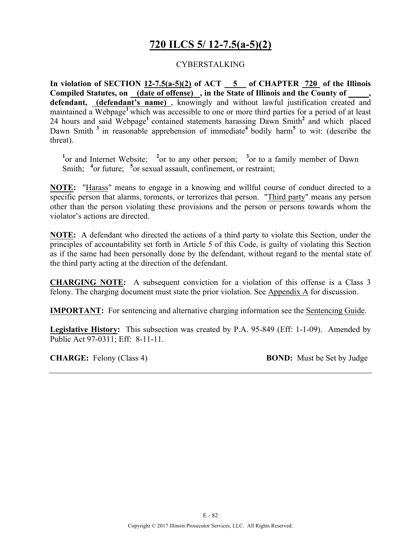# **720 ILCS 5/ 12-7.5(a-5)(2)**

### CYBERSTALKING

**In violation of SECTION 12-7.5(a-5)(2) of ACT 5 of CHAPTER 720 of the Illinois Compiled Statutes, on (date of offense) , in the State of Illinois and the County of \_\_\_\_\_, defendant, (defendant's name)** , knowingly and without lawful justification created and maintained a Webpage<sup>1</sup> which was accessible to one or more third parties for a period of at least 24 hours and said Webpage**<sup>1</sup>**contained statements harassing Dawn Smith**<sup>2</sup>** and which placed Dawn Smith<sup>3</sup> in reasonable apprehension of immediate<sup>4</sup> bodily harm<sup>5</sup> to wit: (describe the threat).

<sup>1</sup><sup>or</sup> and Internet Website; <sup>2</sup><sup>or</sup> to any other person; <sup>3</sup><sup>or</sup> to a family member of Dawn Smith; <sup>4</sup> or future; <sup>5</sup> or sexual assault, confinement, or restraint;

**NOTE:** "Harass" means to engage in a knowing and willful course of conduct directed to a specific person that alarms, torments, or terrorizes that person. "Third party" means any person other than the person violating these provisions and the person or persons towards whom the violator's actions are directed.

**NOTE:** A defendant who directed the actions of a third party to violate this Section, under the principles of accountability set forth in Article 5 of this Code, is guilty of violating this Section as if the same had been personally done by the defendant, without regard to the mental state of the third party acting at the direction of the defendant.

**CHARGING NOTE:** A subsequent conviction for a violation of this offense is a Class 3 felony. The charging document must state the prior violation. See Appendix A for discussion.

**IMPORTANT:** For sentencing and alternative charging information see the Sentencing Guide.

**Legislative History:** This subsection was created by P.A. 95-849 (Eff: 1-1-09). Amended by Public Act 97-0311; Eff: 8-11-11.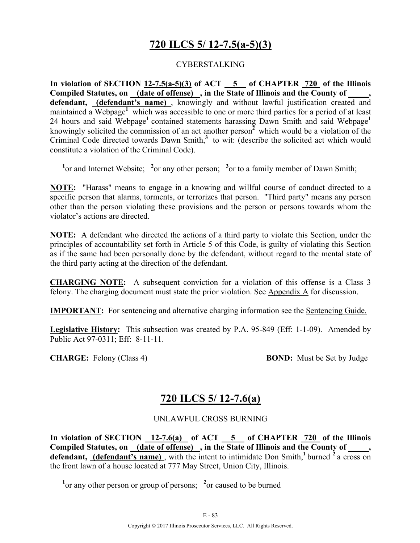# **720 ILCS 5/ 12-7.5(a-5)(3)**

### CYBERSTALKING

**In violation of SECTION 12-7.5(a-5)(3) of ACT 5 of CHAPTER 720 of the Illinois Compiled Statutes, on (date of offense) , in the State of Illinois and the County of \_\_\_\_\_, defendant, (defendant's name)** , knowingly and without lawful justification created and maintained a Webpage<sup>1</sup> which was accessible to one or more third parties for a period of at least 24 hours and said Webpage**<sup>1</sup>**contained statements harassing Dawn Smith and said Webpage**<sup>1</sup>** knowingly solicited the commission of an act another person<sup> $\overline{2}$ </sup> which would be a violation of the Criminal Code directed towards Dawn Smith,<sup>3</sup> to wit: (describe the solicited act which would constitute a violation of the Criminal Code).

<sup>1</sup> or and Internet Website; <sup>2</sup> or any other person; <sup>3</sup> or to a family member of Dawn Smith;

**NOTE:** "Harass" means to engage in a knowing and willful course of conduct directed to a specific person that alarms, torments, or terrorizes that person. "Third party" means any person other than the person violating these provisions and the person or persons towards whom the violator's actions are directed.

**NOTE:** A defendant who directed the actions of a third party to violate this Section, under the principles of accountability set forth in Article 5 of this Code, is guilty of violating this Section as if the same had been personally done by the defendant, without regard to the mental state of the third party acting at the direction of the defendant.

**CHARGING NOTE:** A subsequent conviction for a violation of this offense is a Class 3 felony. The charging document must state the prior violation. See Appendix A for discussion.

**IMPORTANT:** For sentencing and alternative charging information see the Sentencing Guide.

**Legislative History:** This subsection was created by P.A. 95-849 (Eff: 1-1-09). Amended by Public Act 97-0311; Eff: 8-11-11.

**CHARGE:** Felony (Class 4) **BOND:** Must be Set by Judge

# **720 ILCS 5/ 12-7.6(a)**

#### UNLAWFUL CROSS BURNING

In violation of SECTION  $\frac{12-7.6(a)}{12-7.6(a)}$  of ACT  $\frac{5}{12}$  of CHAPTER  $\frac{720}{720}$  of the Illinois Compiled Statutes, on (date of offense), in the State of Illinois and the County of, defendant, **(defendant's name)**, with the intent to intimidate Don Smith,<sup>1</sup> burned <sup>2</sup> a cross on the front lawn of a house located at 777 May Street, Union City, Illinois.

<sup>1</sup> or any other person or group of persons; <sup>2</sup> or caused to be burned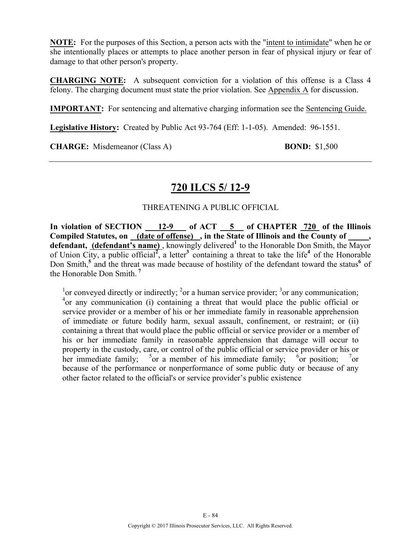**NOTE:** For the purposes of this Section, a person acts with the "intent to intimidate" when he or she intentionally places or attempts to place another person in fear of physical injury or fear of damage to that other person's property.

**CHARGING NOTE:** A subsequent conviction for a violation of this offense is a Class 4 felony. The charging document must state the prior violation. See Appendix A for discussion.

**IMPORTANT:** For sentencing and alternative charging information see the Sentencing Guide.

**Legislative History:** Created by Public Act 93-764 (Eff: 1-1-05). Amended: 96-1551.

**CHARGE:** Misdemeanor (Class A) **BOND:** \$1,500

# **720 ILCS 5/ 12-9**

## THREATENING A PUBLIC OFFICIAL

In violation of SECTION 12-9 of ACT 5 of CHAPTER 720 of the Illinois Compiled Statutes, on (date of offense), in the State of Illinois and the County of defendant, (defendant's name), knowingly delivered<sup>1</sup> to the Honorable Don Smith, the Mayor of Union City, a public official**<sup>2</sup>** , a letter**<sup>3</sup>**containing a threat to take the life**<sup>4</sup>**of the Honorable Don Smith,<sup>5</sup> and the threat was made because of hostility of the defendant toward the status<sup>6</sup> of the Honorable Don Smith. **<sup>7</sup>**

<sup>1</sup> or conveyed directly or indirectly; <sup>2</sup> or a human service provider; <sup>3</sup> or any communication; 4 or any communication (i) containing a threat that would place the public official or service provider or a member of his or her immediate family in reasonable apprehension of immediate or future bodily harm, sexual assault, confinement, or restraint; or (ii) containing a threat that would place the public official or service provider or a member of his or her immediate family in reasonable apprehension that damage will occur to property in the custody, care, or control of the public official or service provider or his or her immediate family;  $5 \text{ or a member of his immediate family;} \quad 6 \text{ or a member of this immediate family.}$  $\delta$  or position; or because of the performance or nonperformance of some public duty or because of any other factor related to the official's or service provider's public existence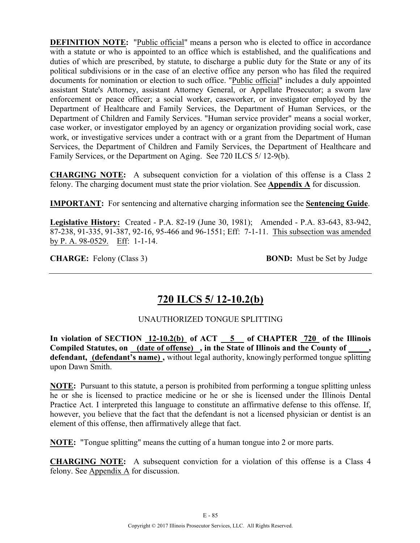**DEFINITION NOTE:** "Public official" means a person who is elected to office in accordance with a statute or who is appointed to an office which is established, and the qualifications and duties of which are prescribed, by statute, to discharge a public duty for the State or any of its political subdivisions or in the case of an elective office any person who has filed the required documents for nomination or election to such office. "Public official" includes a duly appointed assistant State's Attorney, assistant Attorney General, or Appellate Prosecutor; a sworn law enforcement or peace officer; a social worker, caseworker, or investigator employed by the Department of Healthcare and Family Services, the Department of Human Services, or the Department of Children and Family Services. "Human service provider" means a social worker, case worker, or investigator employed by an agency or organization providing social work, case work, or investigative services under a contract with or a grant from the Department of Human Services, the Department of Children and Family Services, the Department of Healthcare and Family Services, or the Department on Aging. See 720 ILCS 5/ 12-9(b).

**CHARGING NOTE:** A subsequent conviction for a violation of this offense is a Class 2 felony. The charging document must state the prior violation. See **Appendix A** for discussion.

**IMPORTANT:** For sentencing and alternative charging information see the **Sentencing Guide**.

**Legislative History:** Created - P.A. 82-19 (June 30, 1981); Amended - P.A. 83-643, 83-942, 87-238, 91-335, 91-387, 92-16, 95-466 and 96-1551; Eff: 7-1-11. This subsection was amended by P. A. 98-0529. Eff: 1-1-14.

**CHARGE:** Felony (Class 3) **BOND:** Must be Set by Judge

# **720 ILCS 5/ 12-10.2(b)**

## UNAUTHORIZED TONGUE SPLITTING

**In violation of SECTION 12-10.2(b) of ACT 5 of CHAPTER 720 of the Illinois**  Compiled Statutes, on (date of offense), in the State of Illinois and the County of **defendant, (defendant's name) ,** without legal authority, knowingly performed tongue splitting upon Dawn Smith.

**NOTE:** Pursuant to this statute, a person is prohibited from performing a tongue splitting unless he or she is licensed to practice medicine or he or she is licensed under the Illinois Dental Practice Act. I interpreted this language to constitute an affirmative defense to this offense. If, however, you believe that the fact that the defendant is not a licensed physician or dentist is an element of this offense, then affirmatively allege that fact.

**NOTE:** "Tongue splitting" means the cutting of a human tongue into 2 or more parts.

**CHARGING NOTE:** A subsequent conviction for a violation of this offense is a Class 4 felony. See Appendix A for discussion.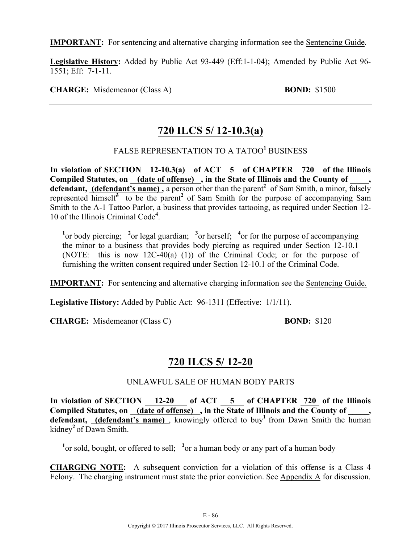**IMPORTANT:** For sentencing and alternative charging information see the Sentencing Guide.

**Legislative History:** Added by Public Act 93-449 (Eff:1-1-04); Amended by Public Act 96- 1551; Eff: 7-1-11.

**CHARGE:** Misdemeanor (Class A) **BOND:** \$1500

# **720 ILCS 5/ 12-10.3(a)**

## FALSE REPRESENTATION TO A TATOO**<sup>1</sup>** BUSINESS

In violation of SECTION 12-10.3(a) of ACT 5 of CHAPTER 720 of the Illinois Compiled Statutes, on (date of offense), in the State of Illinois and the County of defendant, (defendant's name), a person other than the parent<sup>2</sup> of Sam Smith, a minor, falsely represented  $\overline{\text{himsel}}^3$  to be the parent<sup>2</sup> of Sam Smith for the purpose of accompanying Sam Smith to the A-1 Tattoo Parlor, a business that provides tattooing, as required under Section 12- 10 of the Illinois Criminal Code**<sup>4</sup>** .

<sup>1</sup><sup>or</sup> body piercing; <sup>2</sup><sup>or</sup> legal guardian; <sup>3</sup><sup>or</sup> herself; <sup>4</sup><sup>or</sup> for the purpose of accompanying the minor to a business that provides body piercing as required under Section 12-10.1 (NOTE: this is now 12C-40(a) (1)) of the Criminal Code; or for the purpose of furnishing the written consent required under Section 12-10.1 of the Criminal Code.

**IMPORTANT:** For sentencing and alternative charging information see the Sentencing Guide.

**Legislative History:** Added by Public Act: 96-1311 (Effective: 1/1/11).

**CHARGE:** Misdemeanor (Class C) **BOND:** \$120

# **720 ILCS 5/ 12-20**

## UNLAWFUL SALE OF HUMAN BODY PARTS

**In violation of SECTION 12-20 of ACT 5 of CHAPTER 720 of the Illinois**  Compiled Statutes, on (date of offense), in the State of Illinois and the County of defendant, **(defendant's name)**, knowingly offered to buy<sup>1</sup> from Dawn Smith the human kidney**<sup>2</sup>**of Dawn Smith.

<sup>1</sup> or sold, bought, or offered to sell; <sup>2</sup> or a human body or any part of a human body

**CHARGING NOTE:** A subsequent conviction for a violation of this offense is a Class 4 Felony. The charging instrument must state the prior conviction. See Appendix A for discussion.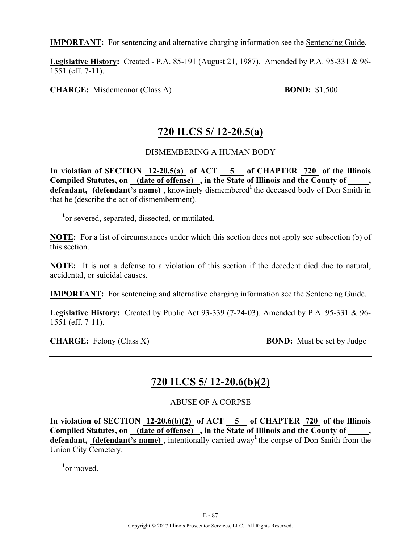**IMPORTANT:** For sentencing and alternative charging information see the Sentencing Guide.

**Legislative History:** Created - P.A. 85-191 (August 21, 1987). Amended by P.A. 95-331 & 96- 1551 (eff. 7-11).

**CHARGE:** Misdemeanor (Class A) **BOND:** \$1,500

# **720 ILCS 5/ 12-20.5(a)**

### DISMEMBERING A HUMAN BODY

**In violation of SECTION 12-20.5(a) of ACT 5 of CHAPTER 720 of the Illinois**  Compiled Statutes, on \_(date of offense) , in the State of Illinois and the County of \_\_\_\_\_ defendant, (defendant's name), knowingly dismembered<sup>1</sup> the deceased body of Don Smith in that he (describe the act of dismemberment).

<sup>1</sup>or severed, separated, dissected, or mutilated.

**NOTE:** For a list of circumstances under which this section does not apply see subsection (b) of this section.

**NOTE:** It is not a defense to a violation of this section if the decedent died due to natural, accidental, or suicidal causes.

**IMPORTANT:** For sentencing and alternative charging information see the Sentencing Guide.

**Legislative History:** Created by Public Act 93-339 (7-24-03). Amended by P.A. 95-331 & 96- 1551 (eff. 7-11).

**CHARGE:** Felony (Class X) **BOND:** Must be set by Judge

# **720 ILCS 5/ 12-20.6(b)(2)**

ABUSE OF A CORPSE

**In violation of SECTION 12-20.6(b)(2) of ACT 5 of CHAPTER 720 of the Illinois**  Compiled Statutes, on (date of offense), in the State of Illinois and the County of defendant, (defendant's name), intentionally carried away<sup>1</sup> the corpse of Don Smith from the Union City Cemetery.

**1** or moved.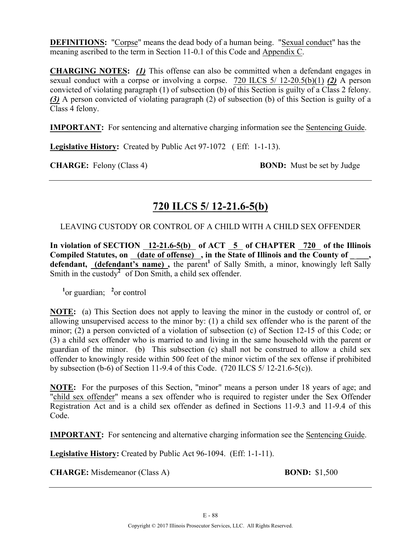**DEFINITIONS:** "Corpse" means the dead body of a human being. "Sexual conduct" has the meaning ascribed to the term in Section 11-0.1 of this Code and Appendix C.

**CHARGING NOTES:** *(1)* This offense can also be committed when a defendant engages in sexual conduct with a corpse or involving a corpse. 720 ILCS 5/ 12-20.5(b)(1) *(2)* A person convicted of violating paragraph (1) of subsection (b) of this Section is guilty of a Class 2 felony. *(3)* A person convicted of violating paragraph (2) of subsection (b) of this Section is guilty of a Class 4 felony.

**IMPORTANT:** For sentencing and alternative charging information see the Sentencing Guide.

**Legislative History:** Created by Public Act 97-1072 ( Eff: 1-1-13).

**CHARGE:** Felony (Class 4) **BOND:** Must be set by Judge

# **720 ILCS 5/ 12-21.6-5(b)**

## LEAVING CUSTODY OR CONTROL OF A CHILD WITH A CHILD SEX OFFENDER

In violation of SECTION 12-21.6-5(b) of ACT 5 of CHAPTER 720 of the Illinois Compiled Statutes, on <u>(date of offense)</u>, in the State of Illinois and the County of defendant, (defendant's name), the parent<sup>1</sup> of Sally Smith, a minor, knowingly left Sally Smith in the custody<sup>2</sup> of Don Smith, a child sex offender.

<sup>1</sup><sup>or</sup> guardian; <sup>2</sup><sup>or</sup> control

**NOTE:** (a) This Section does not apply to leaving the minor in the custody or control of, or allowing unsupervised access to the minor by: (1) a child sex offender who is the parent of the minor; (2) a person convicted of a violation of subsection (c) of Section 12-15 of this Code; or (3) a child sex offender who is married to and living in the same household with the parent or guardian of the minor. (b) This subsection (c) shall not be construed to allow a child sex offender to knowingly reside within 500 feet of the minor victim of the sex offense if prohibited by subsection (b-6) of Section 11-9.4 of this Code. (720 ILCS 5/ 12-21.6-5(c)).

**NOTE:** For the purposes of this Section, "minor" means a person under 18 years of age; and "child sex offender" means a sex offender who is required to register under the Sex Offender Registration Act and is a child sex offender as defined in Sections 11-9.3 and 11-9.4 of this Code.

**IMPORTANT:** For sentencing and alternative charging information see the Sentencing Guide.

**Legislative History:** Created by Public Act 96-1094. (Eff: 1-1-11).

**CHARGE:** Misdemeanor (Class A) **BOND:** \$1,500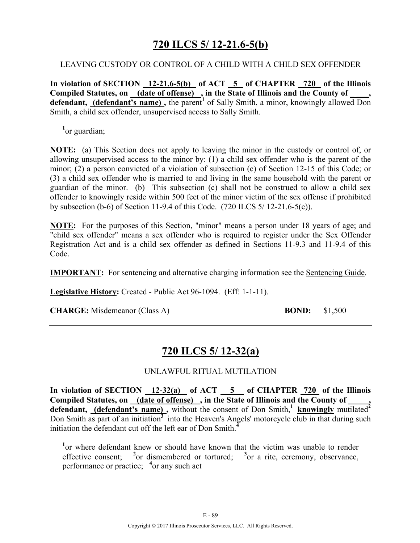# **720 ILCS 5/ 12-21.6-5(b)**

### LEAVING CUSTODY OR CONTROL OF A CHILD WITH A CHILD SEX OFFENDER

**In violation of SECTION 12-21.6-5(b) of ACT 5 of CHAPTER 720 of the Illinois**  Compiled Statutes, on (date of offense), in the State of Illinois and the County of defendant, (defendant's name), the parent<sup>1</sup> of Sally Smith, a minor, knowingly allowed Don Smith, a child sex offender, unsupervised access to Sally Smith.

<sup>1</sup><sup>or</sup> guardian;

**NOTE:** (a) This Section does not apply to leaving the minor in the custody or control of, or allowing unsupervised access to the minor by: (1) a child sex offender who is the parent of the minor; (2) a person convicted of a violation of subsection (c) of Section 12-15 of this Code; or (3) a child sex offender who is married to and living in the same household with the parent or guardian of the minor. (b) This subsection (c) shall not be construed to allow a child sex offender to knowingly reside within 500 feet of the minor victim of the sex offense if prohibited by subsection (b-6) of Section 11-9.4 of this Code. (720 ILCS 5/ 12-21.6-5(c)).

**NOTE:** For the purposes of this Section, "minor" means a person under 18 years of age; and "child sex offender" means a sex offender who is required to register under the Sex Offender Registration Act and is a child sex offender as defined in Sections 11-9.3 and 11-9.4 of this Code.

**IMPORTANT:** For sentencing and alternative charging information see the Sentencing Guide.

**Legislative History:** Created - Public Act 96-1094. (Eff: 1-1-11).

**CHARGE:** Misdemeanor (Class A) **BOND:** \$1,500

# **720 ILCS 5/ 12-32(a)**

## UNLAWFUL RITUAL MUTILATION

**In violation of SECTION 12-32(a) of ACT 5 of CHAPTER 720 of the Illinois Compiled Statutes, on (date of offense) , in the State of Illinois and the County of \_\_\_\_\_,**  defendant, **(defendant's name)**, without the consent of Don Smith,<sup>1</sup> knowingly mutilated<sup>2</sup> Don Smith as part of an initiation<sup>3</sup> into the Heaven's Angels' motorcycle club in that during such initiation the defendant cut off the left ear of Don Smith.**<sup>4</sup>**

<sup>1</sup> or where defendant knew or should have known that the victim was unable to render effective consent; <sup>2</sup> or dismembered or tortured; <sup>3</sup> or a rite, ceremony, observance, performance or practice; **<sup>4</sup>** or any such act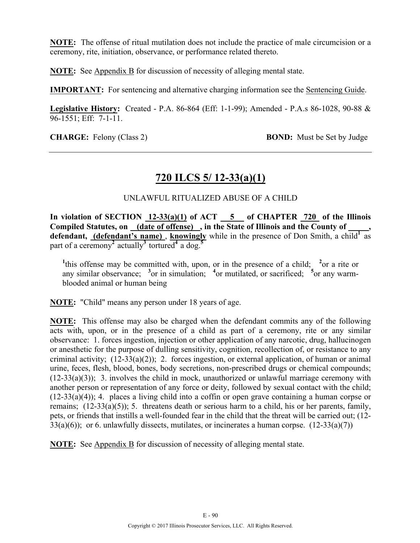**NOTE:** The offense of ritual mutilation does not include the practice of male circumcision or a ceremony, rite, initiation, observance, or performance related thereto.

**NOTE:** See Appendix B for discussion of necessity of alleging mental state.

**IMPORTANT:** For sentencing and alternative charging information see the Sentencing Guide.

**Legislative History:** Created - P.A. 86-864 (Eff: 1-1-99); Amended - P.A.s 86-1028, 90-88 & 96-1551; Eff: 7-1-11.

**CHARGE:** Felony (Class 2) **BOND:** Must be Set by Judge

## **720 ILCS 5/ 12-33(a)(1)**

### UNLAWFUL RITUALIZED ABUSE OF A CHILD

In violation of SECTION  $12-33(a)(1)$  of ACT  $-5$  of CHAPTER 720 of the Illinois **Compiled Statutes, on (date of offense) , in the State of Illinois and the County of \_\_\_\_\_,**  defendant, (defendant's name), knowingly while in the presence of Don Smith, a child<sup>1</sup> as part of a ceremony<sup>2</sup> actually<sup>3</sup> tortured<sup>4</sup> a dog.<sup>5</sup>

<sup>1</sup><sup>this</sup> offense may be committed with, upon, or in the presence of a child; <sup>2</sup>or a rite or any similar observance; <sup>3</sup> or in simulation; <sup>4</sup> or mutilated, or sacrificed; <sup>5</sup> or any warmblooded animal or human being

**NOTE:** "Child" means any person under 18 years of age.

**NOTE:** This offense may also be charged when the defendant commits any of the following acts with, upon, or in the presence of a child as part of a ceremony, rite or any similar observance: 1. forces ingestion, injection or other application of any narcotic, drug, hallucinogen or anesthetic for the purpose of dulling sensitivity, cognition, recollection of, or resistance to any criminal activity;  $(12-33(a)(2))$ ; 2. forces ingestion, or external application, of human or animal urine, feces, flesh, blood, bones, body secretions, non-prescribed drugs or chemical compounds;  $(12-33(a)(3))$ ; 3. involves the child in mock, unauthorized or unlawful marriage ceremony with another person or representation of any force or deity, followed by sexual contact with the child; (12-33(a)(4)); 4. places a living child into a coffin or open grave containing a human corpse or remains; (12-33(a)(5)); 5. threatens death or serious harm to a child, his or her parents, family, pets, or friends that instills a well-founded fear in the child that the threat will be carried out; (12-  $33(a)(6)$ ; or 6. unlawfully dissects, mutilates, or incinerates a human corpse.  $(12-33(a)(7))$ 

**NOTE:** See Appendix B for discussion of necessity of alleging mental state.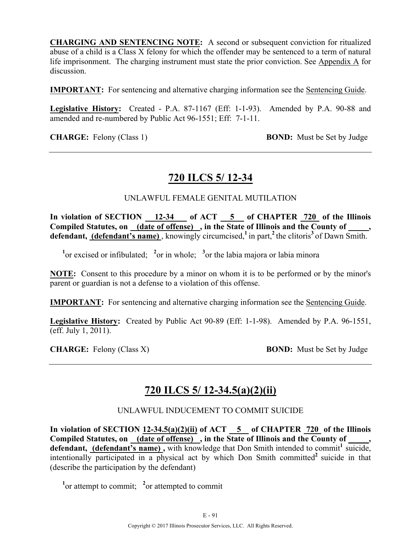**CHARGING AND SENTENCING NOTE:** A second or subsequent conviction for ritualized abuse of a child is a Class X felony for which the offender may be sentenced to a term of natural life imprisonment. The charging instrument must state the prior conviction. See Appendix A for discussion.

**IMPORTANT:** For sentencing and alternative charging information see the Sentencing Guide.

**Legislative History:** Created - P.A. 87-1167 (Eff: 1-1-93). Amended by P.A. 90-88 and amended and re-numbered by Public Act 96-1551; Eff: 7-1-11.

**CHARGE:** Felony (Class 1) **BOND:** Must be Set by Judge

## **720 ILCS 5/ 12-34**

### UNLAWFUL FEMALE GENITAL MUTILATION

In violation of SECTION 12-34 of ACT 5 of CHAPTER 720 of the Illinois Compiled Statutes, on (date of offense), in the State of Illinois and the County of **defendant, (defendant's name)** , knowingly circumcised,**<sup>1</sup>**in part,**<sup>2</sup>**the clitoris**<sup>3</sup>**of Dawn Smith.

<sup>1</sup><sup>or</sup> excised or infibulated; <sup>2</sup><sup>or</sup> in whole; <sup>3</sup><sup>or</sup> the labia majora or labia minora

**NOTE:** Consent to this procedure by a minor on whom it is to be performed or by the minor's parent or guardian is not a defense to a violation of this offense.

**IMPORTANT:** For sentencing and alternative charging information see the Sentencing Guide.

**Legislative History:** Created by Public Act 90-89 (Eff: 1-1-98). Amended by P.A. 96-1551, (eff. July 1, 2011).

**CHARGE:** Felony (Class X) **BOND:** Must be Set by Judge

# **720 ILCS 5/ 12-34.5(a)(2)(ii)**

#### UNLAWFUL INDUCEMENT TO COMMIT SUICIDE

In violation of SECTION  $12-34.5(a)(2)(ii)$  of ACT  $-5$  of CHAPTER  $720$  of the Illinois **Compiled Statutes, on (date of offense) , in the State of Illinois and the County of \_\_\_\_\_, defendant, (defendant's name),** with knowledge that Don Smith intended to commit<sup>1</sup> suicide, intentionally participated in a physical act by which Don Smith committed<sup>2</sup> suicide in that (describe the participation by the defendant)

<sup>1</sup> or attempt to commit; <sup>2</sup> or attempted to commit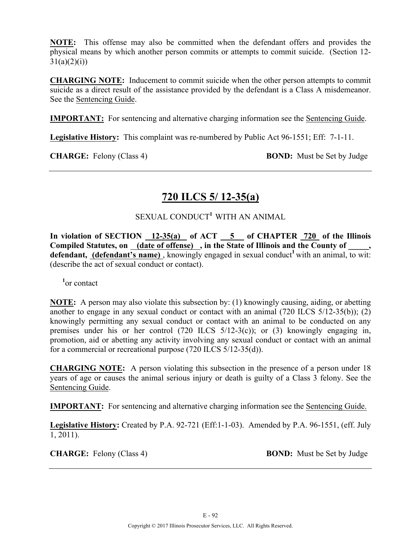**NOTE:** This offense may also be committed when the defendant offers and provides the physical means by which another person commits or attempts to commit suicide. (Section 12-  $31(a)(2)(i)$ 

**CHARGING NOTE:** Inducement to commit suicide when the other person attempts to commit suicide as a direct result of the assistance provided by the defendant is a Class A misdemeanor. See the Sentencing Guide.

**IMPORTANT:** For sentencing and alternative charging information see the Sentencing Guide.

**Legislative History:** This complaint was re-numbered by Public Act 96-1551; Eff: 7-1-11.

**CHARGE:** Felony (Class 4) **BOND:** Must be Set by Judge

# **720 ILCS 5/ 12-35(a)**

## SEXUAL CONDUCT<sup>1</sup> WITH AN ANIMAL

**In violation of SECTION 12-35(a) of ACT 5 of CHAPTER 720 of the Illinois Compiled Statutes, on (date of offense) , in the State of Illinois and the County of \_\_\_\_\_, defendant, (defendant's name)**, knowingly engaged in sexual conduct<sup>1</sup> with an animal, to wit: (describe the act of sexual conduct or contact).

**1** or contact

**NOTE:** A person may also violate this subsection by: (1) knowingly causing, aiding, or abetting another to engage in any sexual conduct or contact with an animal (720 ILCS 5/12-35(b)); (2) knowingly permitting any sexual conduct or contact with an animal to be conducted on any premises under his or her control (720 ILCS 5/12-3(c)); or (3) knowingly engaging in, promotion, aid or abetting any activity involving any sexual conduct or contact with an animal for a commercial or recreational purpose (720 ILCS 5/12-35(d)).

**CHARGING NOTE:** A person violating this subsection in the presence of a person under 18 years of age or causes the animal serious injury or death is guilty of a Class 3 felony. See the Sentencing Guide.

**IMPORTANT:** For sentencing and alternative charging information see the Sentencing Guide.

**Legislative History:** Created by P.A. 92-721 (Eff:1-1-03). Amended by P.A. 96-1551, (eff. July 1, 2011).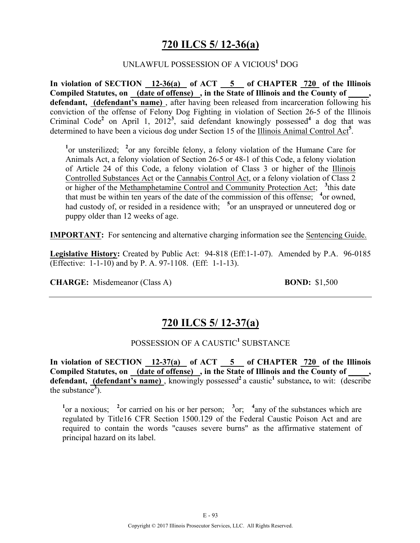# **720 ILCS 5/ 12-36(a)**

### UNLAWFUL POSSESSION OF A VICIOUS**<sup>1</sup>** DOG

**In violation of SECTION 12-36(a) of ACT 5 of CHAPTER 720 of the Illinois Compiled Statutes, on (date of offense) , in the State of Illinois and the County of \_\_\_\_\_,**  defendant, (defendant's name), after having been released from incarceration following his conviction of the offense of Felony Dog Fighting in violation of Section 26-5 of the Illinois Criminal Code<sup>2</sup> on April 1, 2012<sup>3</sup>, said defendant knowingly possessed<sup>4</sup> a dog that was determined to have been a vicious dog under Section 15 of the Illinois Animal Control Act**<sup>5</sup>** .

<sup>1</sup> or unsterilized; <sup>2</sup> or any forcible felony, a felony violation of the Humane Care for Animals Act, a felony violation of Section 26-5 or 48-1 of this Code, a felony violation of Article 24 of this Code, a felony violation of Class 3 or higher of the Illinois Controlled Substances Act or the Cannabis Control Act, or a felony violation of Class 2 or higher of the Methamphetamine Control and Community Protection Act; <sup>3</sup>this date that must be within ten years of the date of the commission of this offense; <sup>4</sup> or owned, had custody of, or resided in a residence with; <sup>5</sup> or an unsprayed or unneutered dog or puppy older than 12 weeks of age.

**IMPORTANT:** For sentencing and alternative charging information see the Sentencing Guide.

**Legislative History:** Created by Public Act: 94-818 (Eff:1-1-07). Amended by P.A. 96-0185 (Effective: 1-1-10) and by P. A. 97-1108. (Eff: 1-1-13).

**CHARGE:** Misdemeanor (Class A) **BOND:** \$1,500

# **720 ILCS 5/ 12-37(a)**

## POSSESSION OF A CAUSTIC<sup>1</sup> SUBSTANCE

**In violation of SECTION 12-37(a) of ACT 5 of CHAPTER 720 of the Illinois Compiled Statutes, on (date of offense) , in the State of Illinois and the County of \_\_\_\_\_,**  defendant, (defendant's name), knowingly possessed<sup>2</sup> a caustic<sup>1</sup> substance, to wit: (describe the substance<sup>3</sup>).

<sup>1</sup><sup>or</sup> a noxious; <sup>2</sup><sup>or</sup> carried on his or her person; <sup>3</sup><sup>or; 4</sup> any of the substances which are regulated by Title16 CFR Section 1500.129 of the Federal Caustic Poison Act and are required to contain the words "causes severe burns" as the affirmative statement of principal hazard on its label.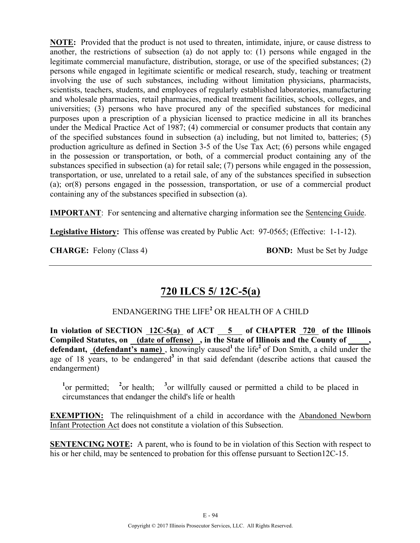**NOTE:** Provided that the product is not used to threaten, intimidate, injure, or cause distress to another, the restrictions of subsection (a) do not apply to: (1) persons while engaged in the legitimate commercial manufacture, distribution, storage, or use of the specified substances; (2) persons while engaged in legitimate scientific or medical research, study, teaching or treatment involving the use of such substances, including without limitation physicians, pharmacists, scientists, teachers, students, and employees of regularly established laboratories, manufacturing and wholesale pharmacies, retail pharmacies, medical treatment facilities, schools, colleges, and universities; (3) persons who have procured any of the specified substances for medicinal purposes upon a prescription of a physician licensed to practice medicine in all its branches under the Medical Practice Act of 1987; (4) commercial or consumer products that contain any of the specified substances found in subsection (a) including, but not limited to, batteries; (5) production agriculture as defined in Section 3-5 of the Use Tax Act; (6) persons while engaged in the possession or transportation, or both, of a commercial product containing any of the substances specified in subsection (a) for retail sale; (7) persons while engaged in the possession, transportation, or use, unrelated to a retail sale, of any of the substances specified in subsection (a); or(8) persons engaged in the possession, transportation, or use of a commercial product containing any of the substances specified in subsection (a).

**IMPORTANT**: For sentencing and alternative charging information see the Sentencing Guide.

**Legislative History:** This offense was created by Public Act: 97-0565; (Effective: 1-1-12).

**CHARGE:** Felony (Class 4) **BOND:** Must be Set by Judge

# **720 ILCS 5/ 12C-5(a)**

## ENDANGERING THE LIFE**<sup>2</sup>** OR HEALTH OF A CHILD

**In violation of SECTION 12C-5(a) of ACT 5 of CHAPTER 720 of the Illinois**  Compiled Statutes, on <u>(date of offense)</u>, in the State of Illinois and the County of defendant, **(defendant's name)**, knowingly caused<sup>1</sup> the life<sup>2</sup> of Don Smith, a child under the age of 18 years, to be endangered<sup>3</sup> in that said defendant (describe actions that caused the endangerment)

<sup>1</sup><sup>or</sup> permitted; <sup>2</sup><sup>or</sup> health; <sup>3</sup><sup>or</sup> willfully caused or permitted a child to be placed in circumstances that endanger the child's life or health

**EXEMPTION:** The relinquishment of a child in accordance with the Abandoned Newborn Infant Protection Act does not constitute a violation of this Subsection.

**SENTENCING NOTE:** A parent, who is found to be in violation of this Section with respect to his or her child, may be sentenced to probation for this offense pursuant to Section12C-15.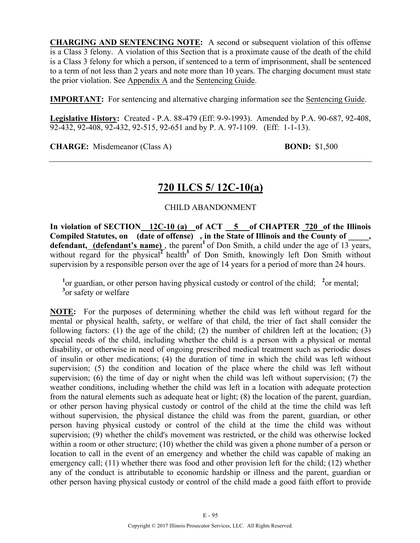**CHARGING AND SENTENCING NOTE:** A second or subsequent violation of this offense is a Class 3 felony. A violation of this Section that is a proximate cause of the death of the child is a Class 3 felony for which a person, if sentenced to a term of imprisonment, shall be sentenced to a term of not less than 2 years and note more than 10 years. The charging document must state the prior violation. See Appendix A and the Sentencing Guide.

**IMPORTANT:** For sentencing and alternative charging information see the Sentencing Guide.

**Legislative History:** Created - P.A. 88-479 (Eff: 9-9-1993). Amended by P.A. 90-687, 92-408, 92-432, 92-408, 92-432, 92-515, 92-651 and by P. A. 97-1109. (Eff: 1-1-13).

**CHARGE:** Misdemeanor (Class A) **BOND:** \$1,500

# **720 ILCS 5/ 12C-10(a)**

## CHILD ABANDONMENT

**In violation of SECTION 12C-10 (a) of ACT 5 of CHAPTER 720 of the Illinois**  Compiled Statutes, on (date of offense), in the State of Illinois and the County of **defendant, (defendant's name)**, the parent<sup>1</sup> of Don Smith, a child under the age of 13 years, without regard for the physical<sup> $2$ </sup> health<sup>3</sup> of Don Smith, knowingly left Don Smith without supervision by a responsible person over the age of 14 years for a period of more than 24 hours.

<sup>1</sup> or guardian, or other person having physical custody or control of the child; <sup>2</sup> or mental; <sup>3</sup> or safety or welfare

**NOTE:** For the purposes of determining whether the child was left without regard for the mental or physical health, safety, or welfare of that child, the trier of fact shall consider the following factors: (1) the age of the child; (2) the number of children left at the location; (3) special needs of the child, including whether the child is a person with a physical or mental disability, or otherwise in need of ongoing prescribed medical treatment such as periodic doses of insulin or other medications; (4) the duration of time in which the child was left without supervision; (5) the condition and location of the place where the child was left without supervision; (6) the time of day or night when the child was left without supervision; (7) the weather conditions, including whether the child was left in a location with adequate protection from the natural elements such as adequate heat or light; (8) the location of the parent, guardian, or other person having physical custody or control of the child at the time the child was left without supervision, the physical distance the child was from the parent, guardian, or other person having physical custody or control of the child at the time the child was without supervision; (9) whether the child's movement was restricted, or the child was otherwise locked within a room or other structure; (10) whether the child was given a phone number of a person or location to call in the event of an emergency and whether the child was capable of making an emergency call; (11) whether there was food and other provision left for the child; (12) whether any of the conduct is attributable to economic hardship or illness and the parent, guardian or other person having physical custody or control of the child made a good faith effort to provide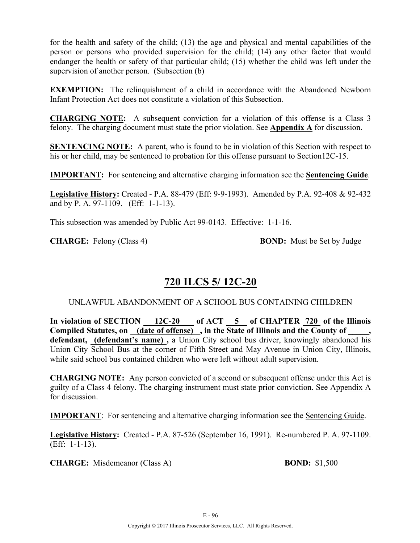for the health and safety of the child; (13) the age and physical and mental capabilities of the person or persons who provided supervision for the child; (14) any other factor that would endanger the health or safety of that particular child; (15) whether the child was left under the supervision of another person. (Subsection (b)

**EXEMPTION:** The relinquishment of a child in accordance with the Abandoned Newborn Infant Protection Act does not constitute a violation of this Subsection.

**CHARGING NOTE:** A subsequent conviction for a violation of this offense is a Class 3 felony. The charging document must state the prior violation. See **Appendix A** for discussion.

**SENTENCING NOTE:** A parent, who is found to be in violation of this Section with respect to his or her child, may be sentenced to probation for this offense pursuant to Section12C-15.

**IMPORTANT:** For sentencing and alternative charging information see the **Sentencing Guide**.

**Legislative History:** Created - P.A. 88-479 (Eff: 9-9-1993). Amended by P.A. 92-408 & 92-432 and by P. A. 97-1109. (Eff: 1-1-13).

This subsection was amended by Public Act 99-0143. Effective: 1-1-16.

**CHARGE:** Felony (Class 4) **BOND:** Must be Set by Judge

# **720 ILCS 5/ 12C-20**

UNLAWFUL ABANDONMENT OF A SCHOOL BUS CONTAINING CHILDREN

In violation of SECTION 12C-20 of ACT 5 of CHAPTER 720 of the Illinois Compiled Statutes, on <u>(date of offense)</u>, in the State of Illinois and the County of **defendant, (defendant's name) ,** a Union City school bus driver, knowingly abandoned his Union City School Bus at the corner of Fifth Street and May Avenue in Union City, Illinois, while said school bus contained children who were left without adult supervision.

**CHARGING NOTE:** Any person convicted of a second or subsequent offense under this Act is guilty of a Class 4 felony. The charging instrument must state prior conviction. See Appendix A for discussion.

**IMPORTANT**: For sentencing and alternative charging information see the Sentencing Guide.

**Legislative History:** Created - P.A. 87-526 (September 16, 1991). Re-numbered P. A. 97-1109. (Eff: 1-1-13).

**CHARGE:** Misdemeanor (Class A) **BOND:** \$1,500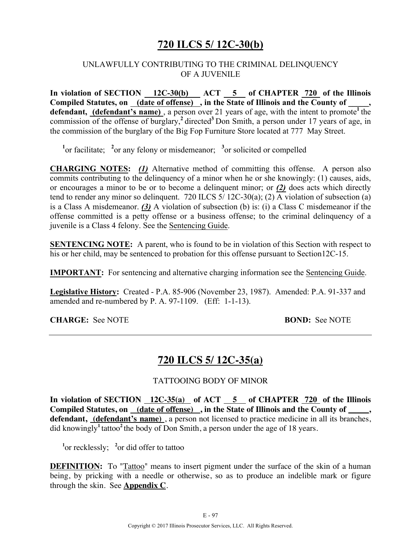# **720 ILCS 5/ 12C-30(b)**

### UNLAWFULLY CONTRIBUTING TO THE CRIMINAL DELINQUENCY OF A JUVENILE

In violation of SECTION 12C-30(b) ACT 5 of CHAPTER 720 of the Illinois Compiled Statutes, on **(date of offense)**, in the State of Illinois and the County of defendant, (defendant's name), a person over 21 years of age, with the intent to promote<sup>1</sup> the commission of the offense of burglary,**<sup>2</sup>**directed**<sup>3</sup>**Don Smith, a person under 17 years of age, in the commission of the burglary of the Big Fop Furniture Store located at 777 May Street.

<sup>1</sup><sup>or facilitate; <sup>2</sup><sub>or</sub> any felony or misdemeanor; <sup>3</sup><sub>or</sub> solicited or compelled</sup>

**CHARGING NOTES:** *(1)* Alternative method of committing this offense. A person also commits contributing to the delinquency of a minor when he or she knowingly: (1) causes, aids, or encourages a minor to be or to become a delinquent minor; or *(2)* does acts which directly tend to render any minor so delinquent. 720 ILCS 5/ 12C-30(a); (2) A violation of subsection (a) is a Class A misdemeanor. *(3)* A violation of subsection (b) is: (i) a Class C misdemeanor if the offense committed is a petty offense or a business offense; to the criminal delinquency of a juvenile is a Class 4 felony. See the Sentencing Guide.

**SENTENCING NOTE:** A parent, who is found to be in violation of this Section with respect to his or her child, may be sentenced to probation for this offense pursuant to Section12C-15.

**IMPORTANT:** For sentencing and alternative charging information see the Sentencing Guide.

**Legislative History:** Created - P.A. 85-906 (November 23, 1987). Amended: P.A. 91-337 and amended and re-numbered by P. A. 97-1109. (Eff: 1-1-13).

### **CHARGE:** See NOTE **BOND:** See NOTE

## **720 ILCS 5/ 12C-35(a)**

#### TATTOOING BODY OF MINOR

**In violation of SECTION 12C-35(a) of ACT 5 of CHAPTER 720 of the Illinois Compiled Statutes, on (date of offense) , in the State of Illinois and the County of \_\_\_\_\_, defendant, (defendant's name)** , a person not licensed to practice medicine in all its branches, did knowingly**<sup>1</sup>**tattoo**<sup>2</sup>**the body of Don Smith, a person under the age of 18 years.

<sup>1</sup><sup>or</sup> recklessly; <sup>2</sup><sup>or</sup> did offer to tattoo

**DEFINITION:** To "Tattoo" means to insert pigment under the surface of the skin of a human being, by pricking with a needle or otherwise, so as to produce an indelible mark or figure through the skin. See **Appendix C**.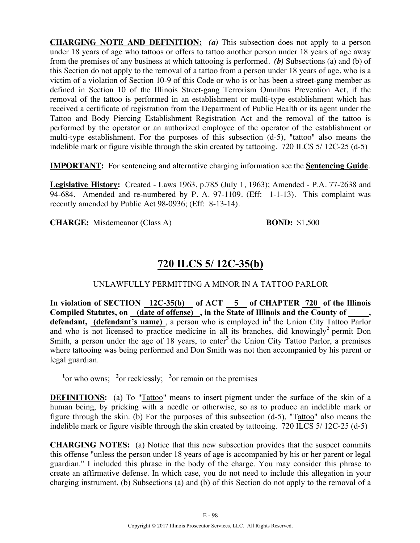**CHARGING NOTE AND DEFINITION:** *(a)* This subsection does not apply to a person under 18 years of age who tattoos or offers to tattoo another person under 18 years of age away from the premises of any business at which tattooing is performed. *(b)* Subsections (a) and (b) of this Section do not apply to the removal of a tattoo from a person under 18 years of age, who is a victim of a violation of Section 10-9 of this Code or who is or has been a street-gang member as defined in Section 10 of the Illinois Street-gang Terrorism Omnibus Prevention Act, if the removal of the tattoo is performed in an establishment or multi-type establishment which has received a certificate of registration from the Department of Public Health or its agent under the Tattoo and Body Piercing Establishment Registration Act and the removal of the tattoo is performed by the operator or an authorized employee of the operator of the establishment or multi-type establishment. For the purposes of this subsection (d-5), "tattoo" also means the indelible mark or figure visible through the skin created by tattooing. 720 ILCS 5/ 12C-25 (d-5)

**IMPORTANT:** For sentencing and alternative charging information see the **Sentencing Guide**.

**Legislative History:** Created - Laws 1963, p.785 (July 1, 1963); Amended - P.A. 77-2638 and 94-684. Amended and re-numbered by P. A. 97-1109. (Eff: 1-1-13). This complaint was recently amended by Public Act 98-0936; (Eff: 8-13-14).

**CHARGE:** Misdemeanor (Class A) **BOND:** \$1,500

# **720 ILCS 5/ 12C-35(b)**

UNLAWFULLY PERMITTING A MINOR IN A TATTOO PARLOR

In violation of SECTION 12C-35(b) of ACT 5 of CHAPTER 720 of the Illinois **Compiled Statutes, on (date of offense) , in the State of Illinois and the County of \_\_\_\_\_,**  defendant, (defendant's name), a person who is employed in<sup>1</sup> the Union City Tattoo Parlor and who is not licensed to practice medicine in all its branches, did knowingly<sup>2</sup> permit Don Smith, a person under the age of 18 years, to enter<sup>3</sup> the Union City Tattoo Parlor, a premises where tattooing was being performed and Don Smith was not then accompanied by his parent or legal guardian.

<sup>1</sup><sup>or</sup> who owns; <sup>2</sup><sup>or</sup> recklessly; <sup>3</sup><sup>or</sup> remain on the premises

**DEFINITIONS:** (a) To "Tattoo" means to insert pigment under the surface of the skin of a human being, by pricking with a needle or otherwise, so as to produce an indelible mark or figure through the skin. (b) For the purposes of this subsection (d-5), "Tattoo" also means the indelible mark or figure visible through the skin created by tattooing. 720 ILCS 5/ 12C-25 (d-5)

**CHARGING NOTES:** (a) Notice that this new subsection provides that the suspect commits this offense "unless the person under 18 years of age is accompanied by his or her parent or legal guardian." I included this phrase in the body of the charge. You may consider this phrase to create an affirmative defense. In which case, you do not need to include this allegation in your charging instrument. (b) Subsections (a) and (b) of this Section do not apply to the removal of a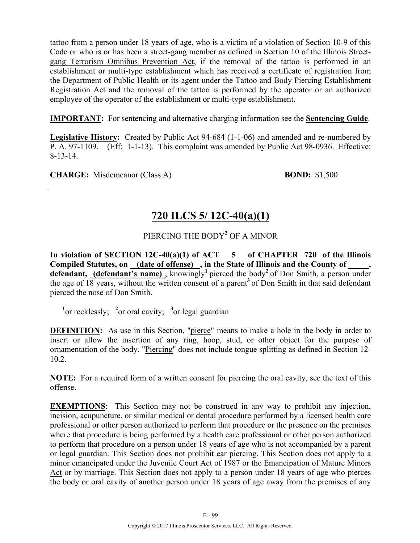tattoo from a person under 18 years of age, who is a victim of a violation of Section 10-9 of this Code or who is or has been a street-gang member as defined in Section 10 of the Illinois Streetgang Terrorism Omnibus Prevention Act, if the removal of the tattoo is performed in an establishment or multi-type establishment which has received a certificate of registration from the Department of Public Health or its agent under the Tattoo and Body Piercing Establishment Registration Act and the removal of the tattoo is performed by the operator or an authorized employee of the operator of the establishment or multi-type establishment.

**IMPORTANT:** For sentencing and alternative charging information see the **Sentencing Guide**.

**Legislative History:** Created by Public Act 94-684 (1-1-06) and amended and re-numbered by P. A. 97-1109. (Eff: 1-1-13). This complaint was amended by Public Act 98-0936. Effective: 8-13-14.

**CHARGE:** Misdemeanor (Class A) **BOND:** \$1,500

# **720 ILCS 5/ 12C-40(a)(1)**

## PIERCING THE BODY**<sup>2</sup>** OF A MINOR

In violation of SECTION  $12C-40(a)(1)$  of ACT  $-5$  of CHAPTER  $720$  of the Illinois Compiled Statutes, on (date of offense), in the State of Illinois and the County of defendant, (defendant's name), knowingly<sup>1</sup> pierced the body<sup>2</sup> of Don Smith, a person under the age of 18 years, without the written consent of a parent**<sup>3</sup>**of Don Smith in that said defendant pierced the nose of Don Smith.

<sup>1</sup><sup>or recklessly; <sup>2</sup><sup>or oral cavity; <sup>3</sup><sup>or legal guardian</sup></sup></sup>

**DEFINITION:** As use in this Section, "pierce" means to make a hole in the body in order to insert or allow the insertion of any ring, hoop, stud, or other object for the purpose of ornamentation of the body. "Piercing" does not include tongue splitting as defined in Section 12- 10.2.

**NOTE:** For a required form of a written consent for piercing the oral cavity, see the text of this offense.

**EXEMPTIONS**: This Section may not be construed in any way to prohibit any injection, incision, acupuncture, or similar medical or dental procedure performed by a licensed health care professional or other person authorized to perform that procedure or the presence on the premises where that procedure is being performed by a health care professional or other person authorized to perform that procedure on a person under 18 years of age who is not accompanied by a parent or legal guardian. This Section does not prohibit ear piercing. This Section does not apply to a minor emancipated under the Juvenile Court Act of 1987 or the Emancipation of Mature Minors Act or by marriage. This Section does not apply to a person under 18 years of age who pierces the body or oral cavity of another person under 18 years of age away from the premises of any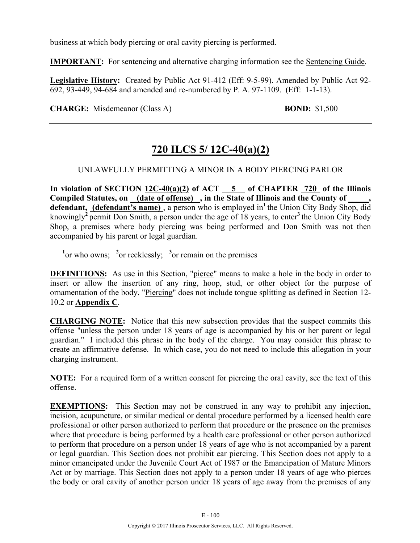business at which body piercing or oral cavity piercing is performed.

**IMPORTANT:** For sentencing and alternative charging information see the Sentencing Guide.

**Legislative History:** Created by Public Act 91-412 (Eff: 9-5-99). Amended by Public Act 92- 692, 93-449, 94-684 and amended and re-numbered by P. A. 97-1109. (Eff: 1-1-13).

**CHARGE:** Misdemeanor (Class A) **BOND:** \$1,500

# **720 ILCS 5/ 12C-40(a)(2)**

## UNLAWFULLY PERMITTING A MINOR IN A BODY PIERCING PARLOR

**In violation of SECTION 12C-40(a)(2) of ACT 5 of CHAPTER 720 of the Illinois Compiled Statutes, on (date of offense) , in the State of Illinois and the County of \_\_\_\_\_,**  defendant, (defendant's name), a person who is employed in<sup>1</sup> the Union City Body Shop, did knowingly**<sup>2</sup>**permit Don Smith, a person under the age of 18 years, to enter**<sup>3</sup>**the Union City Body Shop, a premises where body piercing was being performed and Don Smith was not then accompanied by his parent or legal guardian.

 $\frac{1}{2}$  or who owns;  $\frac{2}{3}$  or recklessly;  $\frac{3}{3}$  or remain on the premises

**DEFINITIONS:** As use in this Section, "pierce" means to make a hole in the body in order to insert or allow the insertion of any ring, hoop, stud, or other object for the purpose of ornamentation of the body. "Piercing" does not include tongue splitting as defined in Section 12- 10.2 or **Appendix C**.

**CHARGING NOTE:** Notice that this new subsection provides that the suspect commits this offense "unless the person under 18 years of age is accompanied by his or her parent or legal guardian." I included this phrase in the body of the charge. You may consider this phrase to create an affirmative defense. In which case, you do not need to include this allegation in your charging instrument.

**NOTE:** For a required form of a written consent for piercing the oral cavity, see the text of this offense.

**EXEMPTIONS:** This Section may not be construed in any way to prohibit any injection, incision, acupuncture, or similar medical or dental procedure performed by a licensed health care professional or other person authorized to perform that procedure or the presence on the premises where that procedure is being performed by a health care professional or other person authorized to perform that procedure on a person under 18 years of age who is not accompanied by a parent or legal guardian. This Section does not prohibit ear piercing. This Section does not apply to a minor emancipated under the Juvenile Court Act of 1987 or the Emancipation of Mature Minors Act or by marriage. This Section does not apply to a person under 18 years of age who pierces the body or oral cavity of another person under 18 years of age away from the premises of any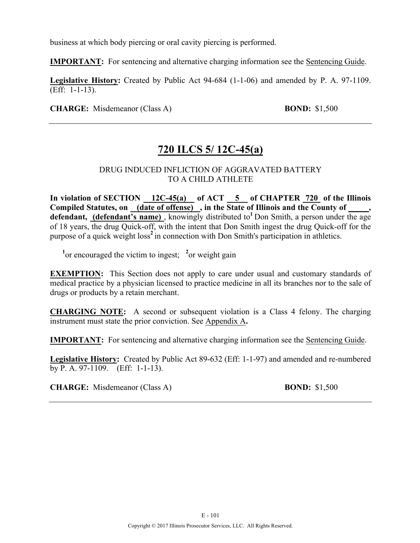business at which body piercing or oral cavity piercing is performed.

**IMPORTANT:** For sentencing and alternative charging information see the Sentencing Guide.

**Legislative History:** Created by Public Act 94-684 (1-1-06) and amended by P. A. 97-1109. (Eff: 1-1-13).

**CHARGE:** Misdemeanor (Class A) **BOND:** \$1,500

# **720 ILCS 5/ 12C-45(a)**

## DRUG INDUCED INFLICTION OF AGGRAVATED BATTERY TO A CHILD ATHLETE

**In violation of SECTION 12C-45(a) of ACT 5 of CHAPTER 720 of the Illinois Compiled Statutes, on (date of offense) , in the State of Illinois and the County of \_\_\_\_\_,**  defendant, (defendant's name), knowingly distributed to<sup>1</sup> Don Smith, a person under the age of 18 years, the drug Quick-off, with the intent that Don Smith ingest the drug Quick-off for the purpose of a quick weight  $loss<sup>2</sup>$  in connection with Don Smith's participation in athletics.

<sup>1</sup> or encouraged the victim to ingest;  $\frac{2}{x}$  or weight gain

**EXEMPTION:** This Section does not apply to care under usual and customary standards of medical practice by a physician licensed to practice medicine in all its branches nor to the sale of drugs or products by a retain merchant.

**CHARGING NOTE:** A second or subsequent violation is a Class 4 felony. The charging instrument must state the prior conviction. See Appendix A**.**

**IMPORTANT:** For sentencing and alternative charging information see the Sentencing Guide.

**Legislative History:** Created by Public Act 89-632 (Eff: 1-1-97) and amended and re-numbered by P. A. 97-1109. (Eff: 1-1-13).

**CHARGE:** Misdemeanor (Class A) **BOND:** \$1,500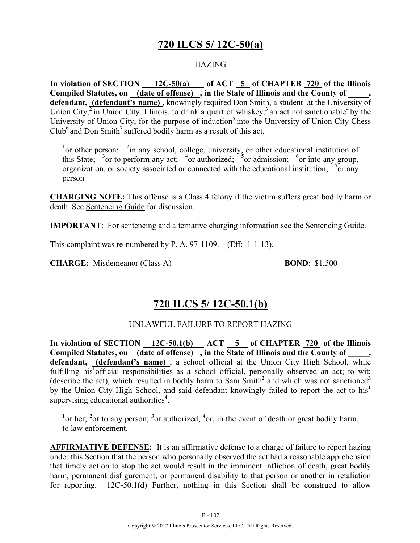# **720 ILCS 5/ 12C-50(a)**

## **HAZING**

**In violation of SECTION 12C-50(a) of ACT 5 of CHAPTER 720 of the Illinois**  Compiled Statutes, on (date of offense), in the State of Illinois and the County of **defendant, (defendant's name),** knowingly required Don Smith, a student<sup>1</sup> at the University of Union City,<sup> $2$ </sup> in Union City, Illinois, to drink a quart of whiskey,<sup>3</sup> an act not sanctionable<sup>4</sup> by the University of Union City, for the purpose of induction<sup>5</sup> into the University of Union City Chess  $\text{Club}^6$  and Don Smith<sup>7</sup> suffered bodily harm as a result of this act.

 $\frac{1}{1}$  or other person;  $\frac{2}{1}$  in any school, college, university, or other educational institution of this State;  $\frac{3}{5}$  or to perform any act;  $\frac{4}{5}$  or authorized;  $\frac{5}{5}$  or admission;  $\frac{6}{5}$  or into any group, organization, or society associated or connected with the educational institution;  $\frac{7}{1}$  or any person

**CHARGING NOTE:** This offense is a Class 4 felony if the victim suffers great bodily harm or death. See Sentencing Guide for discussion.

**IMPORTANT**: For sentencing and alternative charging information see the Sentencing Guide.

This complaint was re-numbered by P. A. 97-1109. (Eff: 1-1-13).

**CHARGE:** Misdemeanor (Class A) **BOND**: \$1,500

# **720 ILCS 5/ 12C-50.1(b)**

#### UNLAWFUL FAILURE TO REPORT HAZING

In violation of SECTION 12C-50.1(b) ACT 5 of CHAPTER 720 of the Illinois Compiled Statutes, on \_(date of offense) , in the State of Illinois and the County of \_ **defendant, (defendant's name)** , a school official at the Union City High School, while fulfilling his<sup>1</sup>official responsibilities as a school official, personally observed an act; to wit: (describe the act), which resulted in bodily harm to Sam Smith**<sup>2</sup>** and which was not sanctioned**<sup>3</sup>** by the Union City High School, and said defendant knowingly failed to report the act to his**<sup>1</sup>** supervising educational authorities**<sup>4</sup>** .

<sup>1</sup> or her; <sup>2</sup> or to any person; <sup>3</sup> or authorized; <sup>4</sup> or, in the event of death or great bodily harm, to law enforcement.

**AFFIRMATIVE DEFENSE:** It is an affirmative defense to a charge of failure to report hazing under this Section that the person who personally observed the act had a reasonable apprehension that timely action to stop the act would result in the imminent infliction of death, great bodily harm, permanent disfigurement, or permanent disability to that person or another in retaliation for reporting. 12C-50.1(d) Further, nothing in this Section shall be construed to allow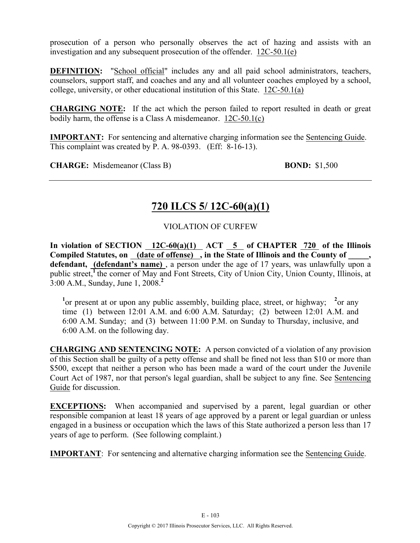prosecution of a person who personally observes the act of hazing and assists with an investigation and any subsequent prosecution of the offender. 12C-50.1(e)

**DEFINITION:** "School official" includes any and all paid school administrators, teachers, counselors, support staff, and coaches and any and all volunteer coaches employed by a school, college, university, or other educational institution of this State. 12C-50.1(a)

**CHARGING NOTE:** If the act which the person failed to report resulted in death or great bodily harm, the offense is a Class A misdemeanor. 12C-50.1(c)

**IMPORTANT:** For sentencing and alternative charging information see the Sentencing Guide. This complaint was created by P. A. 98-0393. (Eff: 8-16-13).

**CHARGE:** Misdemeanor (Class B) **BOND:** \$1,500

# **720 ILCS 5/ 12C-60(a)(1)**

VIOLATION OF CURFEW

In violation of SECTION  $12C-60(a)(1)$  ACT  $5$  of CHAPTER 720 of the Illinois **Compiled Statutes, on (date of offense) , in the State of Illinois and the County of \_\_\_\_\_, defendant, (defendant's name)** , a person under the age of 17 years, was unlawfully upon a public street,<sup>1</sup> the corner of May and Font Streets, City of Union City, Union County, Illinois, at 3:00 A.M., Sunday, June 1, 2008. **2**

<sup>1</sup> or present at or upon any public assembly, building place, street, or highway; <sup>2</sup> or any time (1) between 12:01 A.M. and 6:00 A.M. Saturday; (2) between 12:01 A.M. and 6:00 A.M. Sunday; and (3) between 11:00 P.M. on Sunday to Thursday, inclusive, and 6:00 A.M. on the following day.

**CHARGING AND SENTENCING NOTE:** A person convicted of a violation of any provision of this Section shall be guilty of a petty offense and shall be fined not less than \$10 or more than \$500, except that neither a person who has been made a ward of the court under the Juvenile Court Act of 1987, nor that person's legal guardian, shall be subject to any fine. See Sentencing Guide for discussion.

**EXCEPTIONS:** When accompanied and supervised by a parent, legal guardian or other responsible companion at least 18 years of age approved by a parent or legal guardian or unless engaged in a business or occupation which the laws of this State authorized a person less than 17 years of age to perform. (See following complaint.)

**IMPORTANT**: For sentencing and alternative charging information see the Sentencing Guide.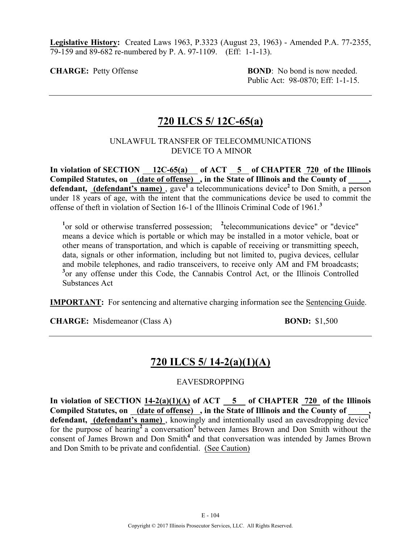**Legislative History:** Created Laws 1963, P.3323 (August 23, 1963) - Amended P.A. 77-2355, 79-159 and 89-682 re-numbered by P. A. 97-1109. (Eff: 1-1-13).

**CHARGE:** Petty Offense **BOND**: No bond is now needed. Public Act: 98-0870; Eff: 1-1-15.

# **720 ILCS 5/ 12C-65(a)**

### UNLAWFUL TRANSFER OF TELECOMMUNICATIONS DEVICE TO A MINOR

In violation of SECTION 12C-65(a) of ACT 5 of CHAPTER 720 of the Illinois Compiled Statutes, on (date of offense), in the State of Illinois and the County of defendant, (defendant's name), gave<sup>1</sup> a telecommunications device<sup>2</sup> to Don Smith, a person under 18 years of age, with the intent that the communications device be used to commit the offense of theft in violation of Section 16-1 of the Illinois Criminal Code of 1961.**<sup>3</sup>**

<sup>1</sup> or sold or otherwise transferred possession; <sup>2</sup> telecommunications device" or "device" means a device which is portable or which may be installed in a motor vehicle, boat or other means of transportation, and which is capable of receiving or transmitting speech, data, signals or other information, including but not limited to, pugiva devices, cellular and mobile telephones, and radio transceivers, to receive only AM and FM broadcasts; <sup>3</sup> or any offense under this Code, the Cannabis Control Act, or the Illinois Controlled Substances Act

**IMPORTANT:** For sentencing and alternative charging information see the Sentencing Guide.

**CHARGE:** Misdemeanor (Class A) **BOND:** \$1,500

# **720 ILCS 5/ 14-2(a)(1)(A)**

## EAVESDROPPING

In violation of SECTION  $14-2(a)(1)(A)$  of ACT  $\overline{5}$  of CHAPTER  $\overline{720}$  of the Illinois Compiled Statutes, on <u>(date of offense)</u>, in the State of Illinois and the County of defendant, (defendant's name), knowingly and intentionally used an eavesdropping device<sup>1</sup> for the purpose of hearing<sup>2</sup> a conversation<sup>3</sup> between James Brown and Don Smith without the consent of James Brown and Don Smith**<sup>4</sup>** and that conversation was intended by James Brown and Don Smith to be private and confidential. (See Caution)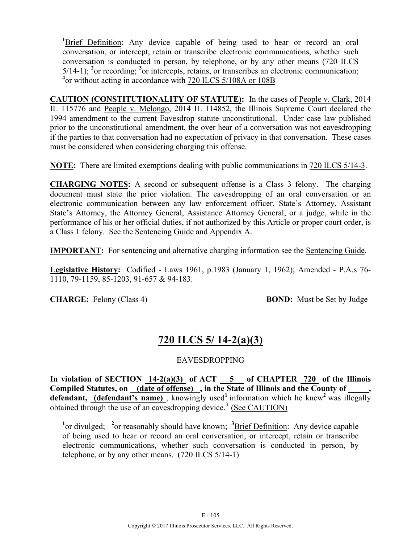<sup>1</sup>Brief Definition: Any device capable of being used to hear or record an oral conversation, or intercept, retain or transcribe electronic communications, whether such conversation is conducted in person, by telephone, or by any other means (720 ILCS 5/14-1); **<sup>2</sup>** or recording; **<sup>3</sup>** or intercepts, retains, or transcribes an electronic communication; <sup>4</sup> or without acting in accordance with 720 ILCS 5/108A or 108B

**CAUTION (CONSTITUTIONALITY OF STATUTE):** In the cases of People v. Clark, 2014 IL 115776 and People v. Melongo, 2014 IL 114852, the Illinois Supreme Court declared the 1994 amendment to the current Eavesdrop statute unconstitutional. Under case law published prior to the unconstitutional amendment, the over hear of a conversation was not eavesdropping if the parties to that conversation had no expectation of privacy in that conversation. These cases must be considered when considering charging this offense.

**NOTE:** There are limited exemptions dealing with public communications in 720 ILCS 5/14-3.

**CHARGING NOTES:** A second or subsequent offense is a Class 3 felony. The charging document must state the prior violation. The eavesdropping of an oral conversation or an electronic communication between any law enforcement officer, State's Attorney, Assistant State's Attorney, the Attorney General, Assistance Attorney General, or a judge, while in the performance of his or her official duties, if not authorized by this Article or proper court order, is a Class 1 felony. See the Sentencing Guide and Appendix A.

**IMPORTANT:** For sentencing and alternative charging information see the Sentencing Guide.

**Legislative History:** Codified - Laws 1961, p.1983 (January 1, 1962); Amended - P.A.s 76- 1110, 79-1159, 85-1203, 91-657 & 94-183.

**CHARGE:** Felony (Class 4) **BOND:** Must be Set by Judge

# **720 ILCS 5/ 14-2(a)(3)**

## EAVESDROPPING

**In violation of SECTION 14-2(a)(3) of ACT 5 of CHAPTER 720 of the Illinois**  Compiled Statutes, on <u>(date of offense</u>), in the State of Illinois and the County of defendant, (defendant's name), knowingly used<sup>1</sup> information which he knew<sup>2</sup> was illegally obtained through the use of an eavesdropping device.<sup>3</sup> (See CAUTION)

<sup>1</sup> or divulged; <sup>2</sup> or reasonably should have known; <sup>3</sup> Brief Definition: Any device capable of being used to hear or record an oral conversation, or intercept, retain or transcribe electronic communications, whether such conversation is conducted in person, by telephone, or by any other means. (720 ILCS 5/14-1)